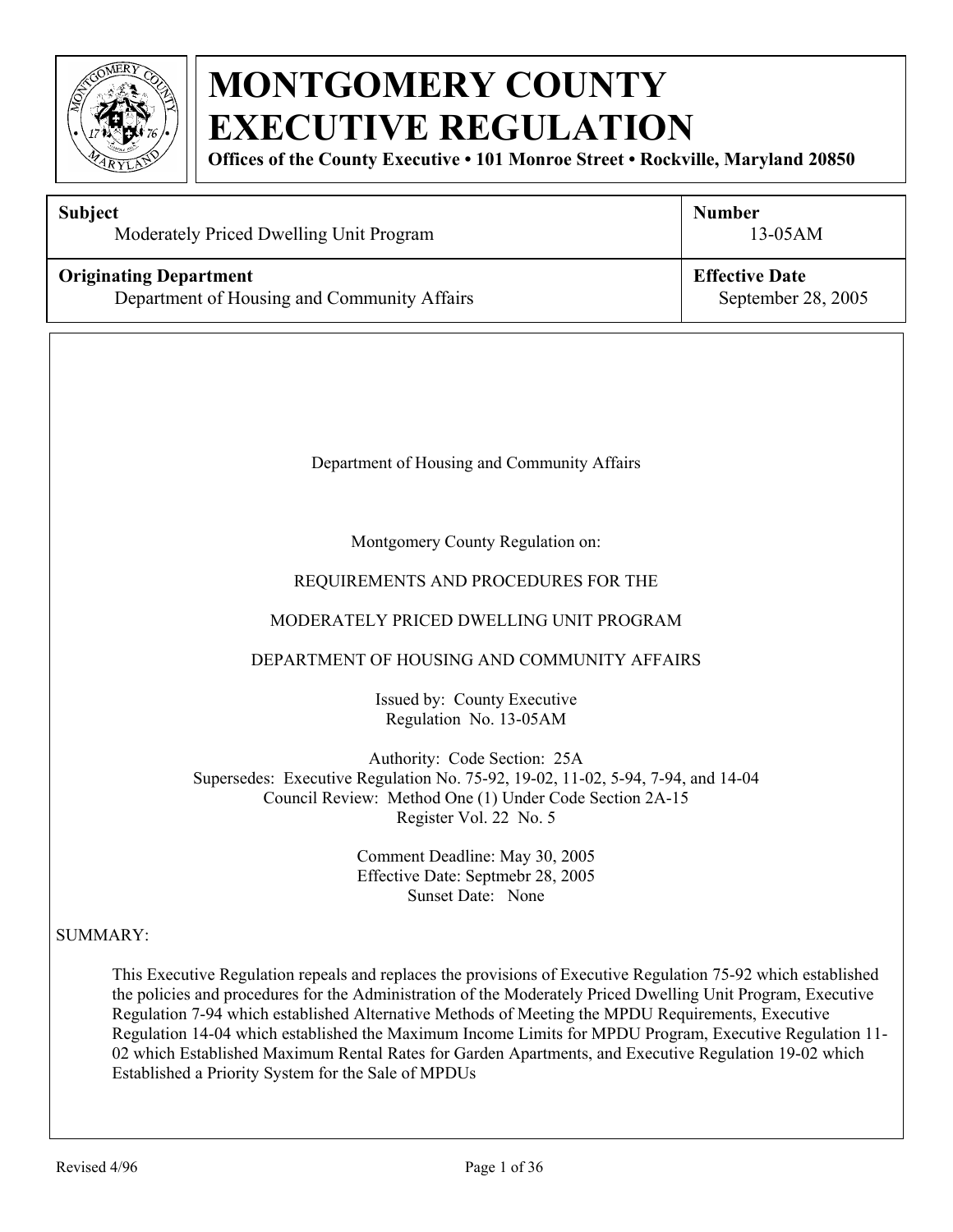

**Offices of the County Executive • 101 Monroe Street • Rockville, Maryland 20850**

| Subject<br>Moderately Priced Dwelling Unit Program                           | <b>Number</b><br>13-05AM                    |
|------------------------------------------------------------------------------|---------------------------------------------|
| <b>Originating Department</b><br>Department of Housing and Community Affairs | <b>Effective Date</b><br>September 28, 2005 |
|                                                                              |                                             |
| Department of Housing and Community Affairs                                  |                                             |
| Montgomery County Regulation on:<br>REQUIREMENTS AND PROCEDURES FOR THE      |                                             |

#### MODERATELY PRICED DWELLING UNIT PROGRAM

#### DEPARTMENT OF HOUSING AND COMMUNITY AFFAIRS

Issued by: County Executive Regulation No. 13-05AM

Authority: Code Section: 25A Supersedes: Executive Regulation No. 75-92, 19-02, 11-02, 5-94, 7-94, and 14-04 Council Review: Method One (1) Under Code Section 2A-15 Register Vol. 22 No. 5

> Comment Deadline: May 30, 2005 Effective Date: Septmebr 28, 2005 Sunset Date: None

#### SUMMARY:

This Executive Regulation repeals and replaces the provisions of Executive Regulation 75-92 which established the policies and procedures for the Administration of the Moderately Priced Dwelling Unit Program, Executive Regulation 7-94 which established Alternative Methods of Meeting the MPDU Requirements, Executive Regulation 14-04 which established the Maximum Income Limits for MPDU Program, Executive Regulation 11- 02 which Established Maximum Rental Rates for Garden Apartments, and Executive Regulation 19-02 which Established a Priority System for the Sale of MPDUs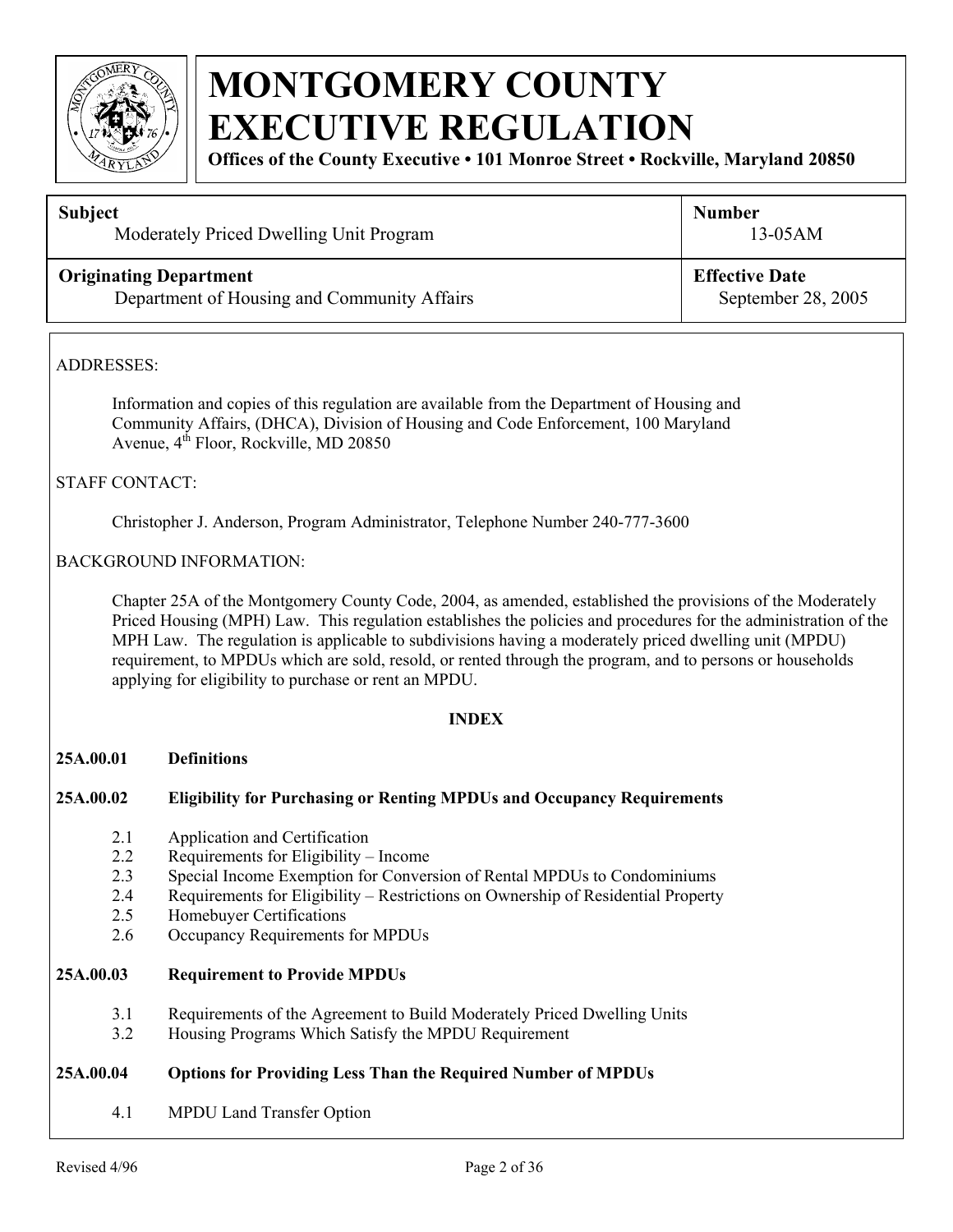

**Offices of the County Executive • 101 Monroe Street • Rockville, Maryland 20850**

| <b>Subject</b>                              | <b>Number</b>         |
|---------------------------------------------|-----------------------|
| Moderately Priced Dwelling Unit Program     | $13-05AM$             |
| <b>Originating Department</b>               | <b>Effective Date</b> |
| Department of Housing and Community Affairs | September 28, 2005    |

#### ADDRESSES:

 Information and copies of this regulation are available from the Department of Housing and Community Affairs, (DHCA), Division of Housing and Code Enforcement, 100 Maryland Avenue, 4<sup>th</sup> Floor, Rockville, MD 20850

#### STAFF CONTACT:

Christopher J. Anderson, Program Administrator, Telephone Number 240-777-3600

#### BACKGROUND INFORMATION:

Chapter 25A of the Montgomery County Code, 2004, as amended, established the provisions of the Moderately Priced Housing (MPH) Law. This regulation establishes the policies and procedures for the administration of the MPH Law. The regulation is applicable to subdivisions having a moderately priced dwelling unit (MPDU) requirement, to MPDUs which are sold, resold, or rented through the program, and to persons or households applying for eligibility to purchase or rent an MPDU.

#### **INDEX**

#### **25A.00.01 Definitions**

#### **25A.00.02 Eligibility for Purchasing or Renting MPDUs and Occupancy Requirements**

- 2.1 Application and Certification
- 2.2 Requirements for Eligibility Income
- 2.3 Special Income Exemption for Conversion of Rental MPDUs to Condominiums
- 2.4 Requirements for Eligibility Restrictions on Ownership of Residential Property
- 2.5 Homebuyer Certifications
- 2.6 Occupancy Requirements for MPDUs

#### **25A.00.03 Requirement to Provide MPDUs**

- 3.1 Requirements of the Agreement to Build Moderately Priced Dwelling Units
- 3.2 Housing Programs Which Satisfy the MPDU Requirement

#### **25A.00.04 Options for Providing Less Than the Required Number of MPDUs**

4.1 MPDU Land Transfer Option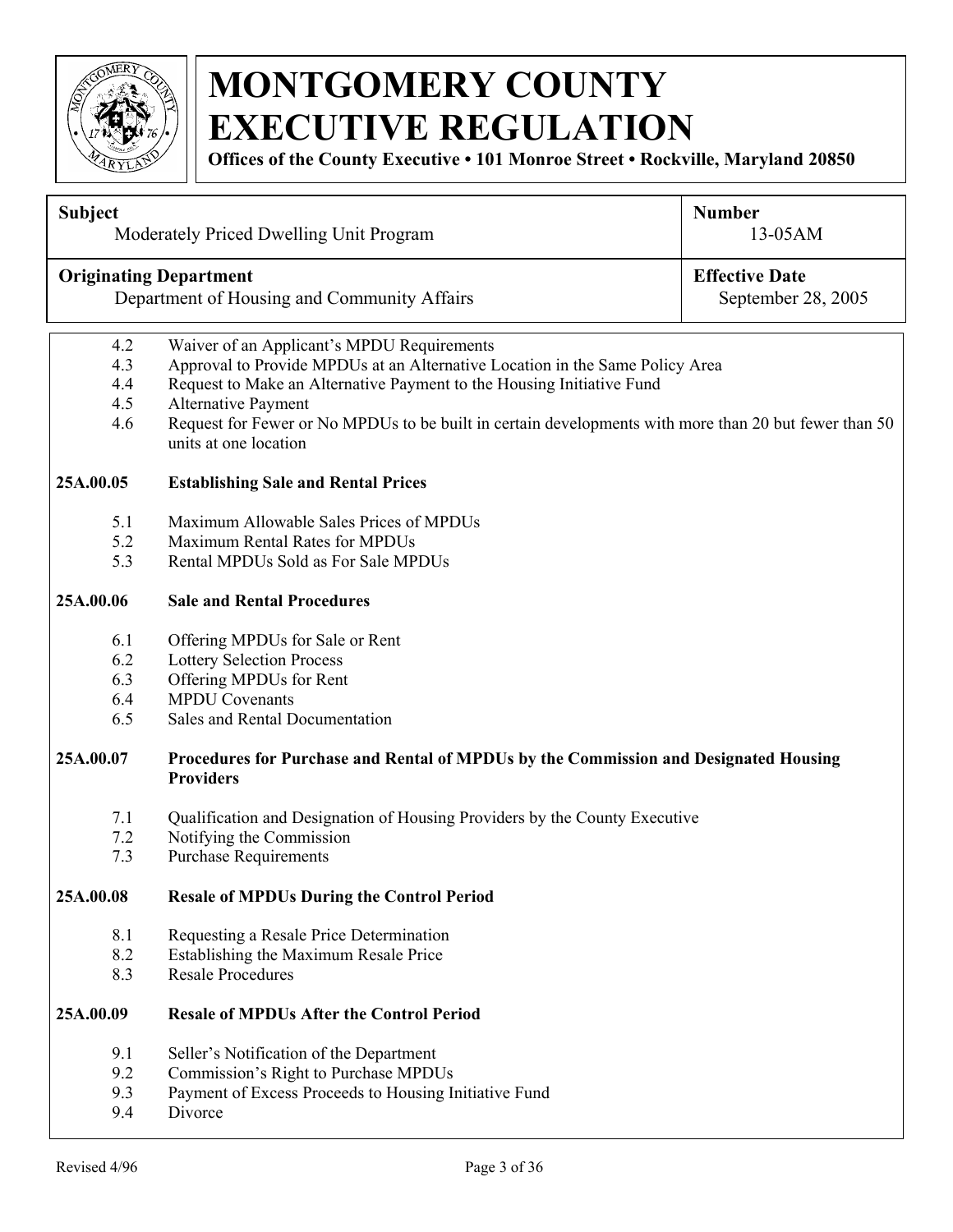

**Offices of the County Executive • 101 Monroe Street • Rockville, Maryland 20850**

| <b>Subject</b>                |                                                                                                          | <b>Number</b>         |  |  |  |
|-------------------------------|----------------------------------------------------------------------------------------------------------|-----------------------|--|--|--|
|                               | Moderately Priced Dwelling Unit Program                                                                  | 13-05AM               |  |  |  |
| <b>Originating Department</b> |                                                                                                          | <b>Effective Date</b> |  |  |  |
|                               | Department of Housing and Community Affairs<br>September 28, 2005                                        |                       |  |  |  |
| 4.2                           | Waiver of an Applicant's MPDU Requirements                                                               |                       |  |  |  |
| 4.3                           | Approval to Provide MPDUs at an Alternative Location in the Same Policy Area                             |                       |  |  |  |
| 4.4                           | Request to Make an Alternative Payment to the Housing Initiative Fund                                    |                       |  |  |  |
| 4.5                           | <b>Alternative Payment</b>                                                                               |                       |  |  |  |
| 4.6                           | Request for Fewer or No MPDUs to be built in certain developments with more than 20 but fewer than 50    |                       |  |  |  |
|                               | units at one location                                                                                    |                       |  |  |  |
| 25A.00.05                     | <b>Establishing Sale and Rental Prices</b>                                                               |                       |  |  |  |
| 5.1                           | Maximum Allowable Sales Prices of MPDUs                                                                  |                       |  |  |  |
| 5.2                           | Maximum Rental Rates for MPDUs                                                                           |                       |  |  |  |
| 5.3                           | Rental MPDUs Sold as For Sale MPDUs                                                                      |                       |  |  |  |
| 25A.00.06                     | <b>Sale and Rental Procedures</b>                                                                        |                       |  |  |  |
| 6.1                           | Offering MPDUs for Sale or Rent                                                                          |                       |  |  |  |
| 6.2                           | <b>Lottery Selection Process</b>                                                                         |                       |  |  |  |
| 6.3                           | Offering MPDUs for Rent                                                                                  |                       |  |  |  |
| 6.4                           | <b>MPDU Covenants</b>                                                                                    |                       |  |  |  |
| 6.5                           | Sales and Rental Documentation                                                                           |                       |  |  |  |
| 25A.00.07                     | Procedures for Purchase and Rental of MPDUs by the Commission and Designated Housing<br><b>Providers</b> |                       |  |  |  |
| 7.1                           | Qualification and Designation of Housing Providers by the County Executive                               |                       |  |  |  |
| 7.2                           | Notifying the Commission                                                                                 |                       |  |  |  |
| 7.3                           | <b>Purchase Requirements</b>                                                                             |                       |  |  |  |
| 25A.00.08                     | <b>Resale of MPDUs During the Control Period</b>                                                         |                       |  |  |  |
| 8.1                           | Requesting a Resale Price Determination                                                                  |                       |  |  |  |
| 8.2                           | Establishing the Maximum Resale Price                                                                    |                       |  |  |  |
| 8.3                           | <b>Resale Procedures</b>                                                                                 |                       |  |  |  |
| 25A.00.09                     | <b>Resale of MPDUs After the Control Period</b>                                                          |                       |  |  |  |
| 9.1                           | Seller's Notification of the Department                                                                  |                       |  |  |  |
| 9.2                           | Commission's Right to Purchase MPDUs                                                                     |                       |  |  |  |
|                               | 9.3<br>Payment of Excess Proceeds to Housing Initiative Fund                                             |                       |  |  |  |
| 9.4                           | Divorce                                                                                                  |                       |  |  |  |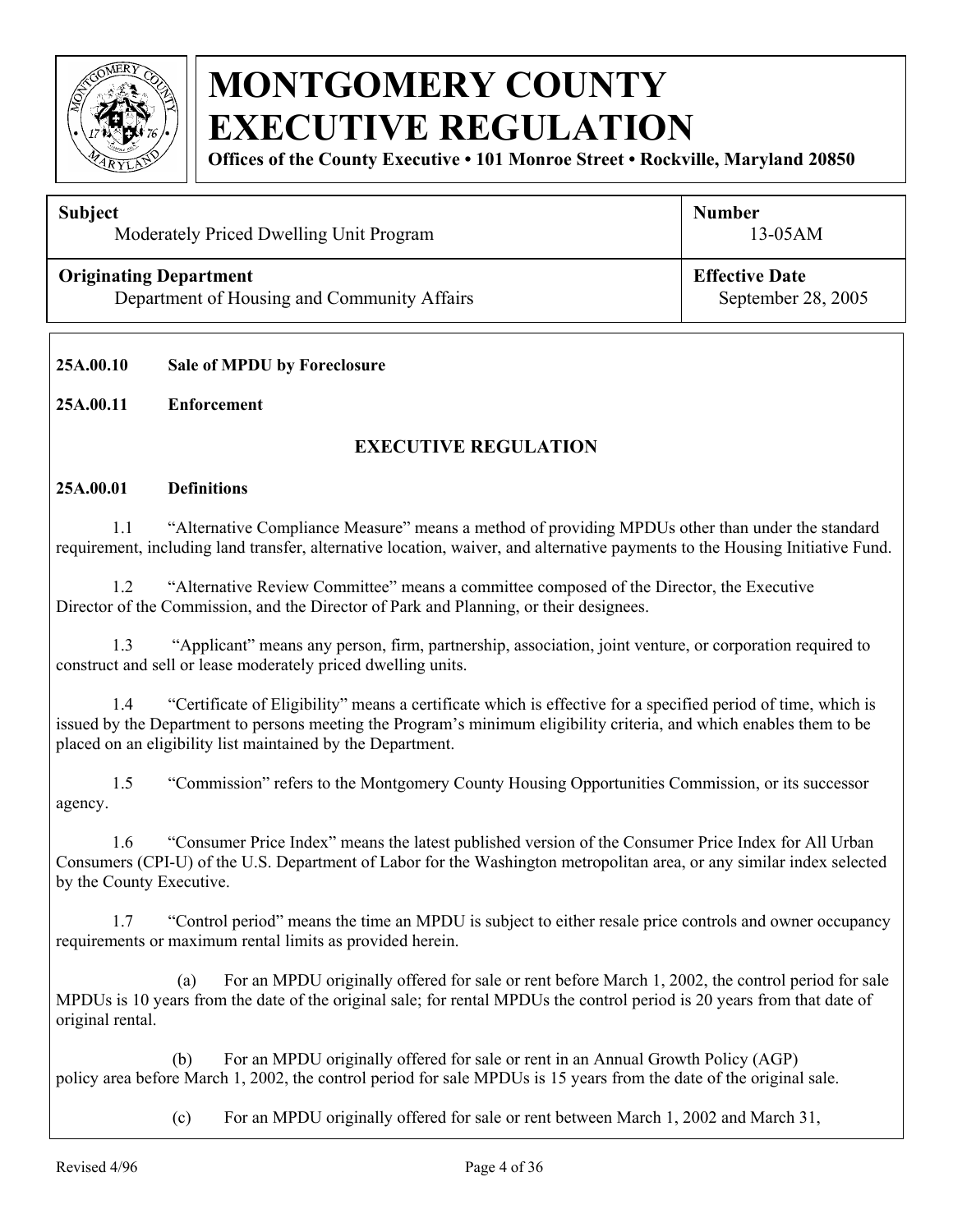

**Offices of the County Executive • 101 Monroe Street • Rockville, Maryland 20850**

#### **Subject**

Moderately Priced Dwelling Unit Program

#### **Originating Department**

Department of Housing and Community Affairs

**Effective Date**

13-05AM

**Number** 

September 28, 2005

#### **25A.00.10 Sale of MPDU by Foreclosure**

#### **25A.00.11 Enforcement**

#### **EXECUTIVE REGULATION**

#### **25A.00.01 Definitions**

 1.1 "Alternative Compliance Measure" means a method of providing MPDUs other than under the standard requirement, including land transfer, alternative location, waiver, and alternative payments to the Housing Initiative Fund.

1.2 "Alternative Review Committee" means a committee composed of the Director, the Executive Director of the Commission, and the Director of Park and Planning, or their designees.

1.3 "Applicant" means any person, firm, partnership, association, joint venture, or corporation required to construct and sell or lease moderately priced dwelling units.

 1.4 "Certificate of Eligibility" means a certificate which is effective for a specified period of time, which is issued by the Department to persons meeting the Program's minimum eligibility criteria, and which enables them to be placed on an eligibility list maintained by the Department.

 1.5 "Commission" refers to the Montgomery County Housing Opportunities Commission, or its successor agency.

 1.6 "Consumer Price Index" means the latest published version of the Consumer Price Index for All Urban Consumers (CPI-U) of the U.S. Department of Labor for the Washington metropolitan area, or any similar index selected by the County Executive.

 1.7 "Control period" means the time an MPDU is subject to either resale price controls and owner occupancy requirements or maximum rental limits as provided herein.

(a) For an MPDU originally offered for sale or rent before March 1, 2002, the control period for sale MPDUs is 10 years from the date of the original sale; for rental MPDUs the control period is 20 years from that date of original rental.

 (b) For an MPDU originally offered for sale or rent in an Annual Growth Policy (AGP) policy area before March 1, 2002, the control period for sale MPDUs is 15 years from the date of the original sale.

(c) For an MPDU originally offered for sale or rent between March 1, 2002 and March 31,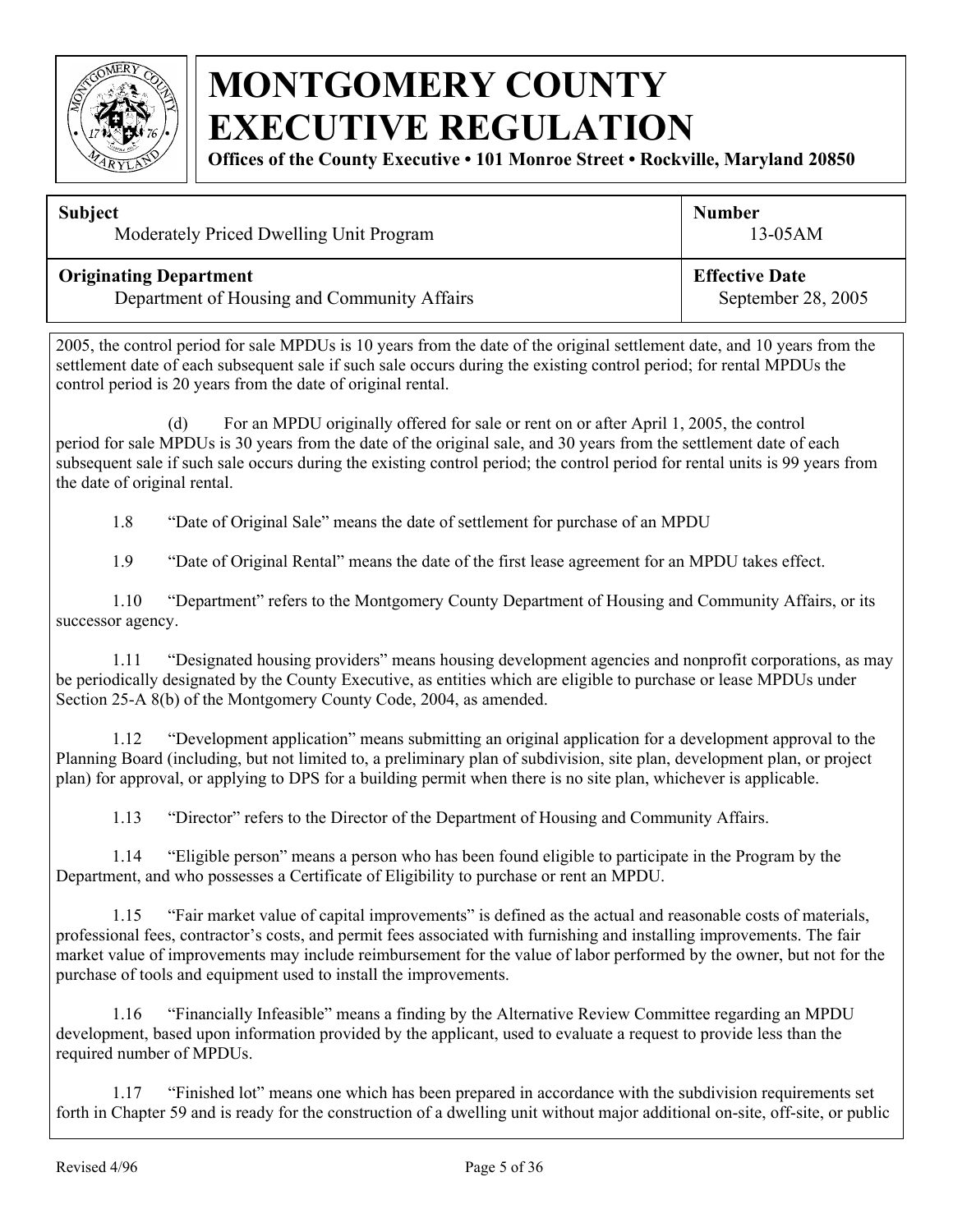

**Offices of the County Executive • 101 Monroe Street • Rockville, Maryland 20850**

| <b>Subject</b>                              | <b>Number</b>         |
|---------------------------------------------|-----------------------|
| Moderately Priced Dwelling Unit Program     | $13-05AM$             |
| <b>Originating Department</b>               | <b>Effective Date</b> |
| Department of Housing and Community Affairs | September 28, 2005    |

2005, the control period for sale MPDUs is 10 years from the date of the original settlement date, and 10 years from the settlement date of each subsequent sale if such sale occurs during the existing control period; for rental MPDUs the control period is 20 years from the date of original rental.

(d) For an MPDU originally offered for sale or rent on or after April 1, 2005, the control period for sale MPDUs is 30 years from the date of the original sale, and 30 years from the settlement date of each subsequent sale if such sale occurs during the existing control period; the control period for rental units is 99 years from the date of original rental.

1.8 "Date of Original Sale" means the date of settlement for purchase of an MPDU

1.9 "Date of Original Rental" means the date of the first lease agreement for an MPDU takes effect.

 1.10 "Department" refers to the Montgomery County Department of Housing and Community Affairs, or its successor agency.

 1.11 "Designated housing providers" means housing development agencies and nonprofit corporations, as may be periodically designated by the County Executive, as entities which are eligible to purchase or lease MPDUs under Section 25-A 8(b) of the Montgomery County Code, 2004, as amended.

1.12 "Development application" means submitting an original application for a development approval to the Planning Board (including, but not limited to, a preliminary plan of subdivision, site plan, development plan, or project plan) for approval, or applying to DPS for a building permit when there is no site plan, whichever is applicable.

1.13 "Director" refers to the Director of the Department of Housing and Community Affairs.

 1.14 "Eligible person" means a person who has been found eligible to participate in the Program by the Department, and who possesses a Certificate of Eligibility to purchase or rent an MPDU.

 1.15 "Fair market value of capital improvements" is defined as the actual and reasonable costs of materials, professional fees, contractor's costs, and permit fees associated with furnishing and installing improvements. The fair market value of improvements may include reimbursement for the value of labor performed by the owner, but not for the purchase of tools and equipment used to install the improvements.

 1.16 "Financially Infeasible" means a finding by the Alternative Review Committee regarding an MPDU development, based upon information provided by the applicant, used to evaluate a request to provide less than the required number of MPDUs.

 1.17 "Finished lot" means one which has been prepared in accordance with the subdivision requirements set forth in Chapter 59 and is ready for the construction of a dwelling unit without major additional on-site, off-site, or public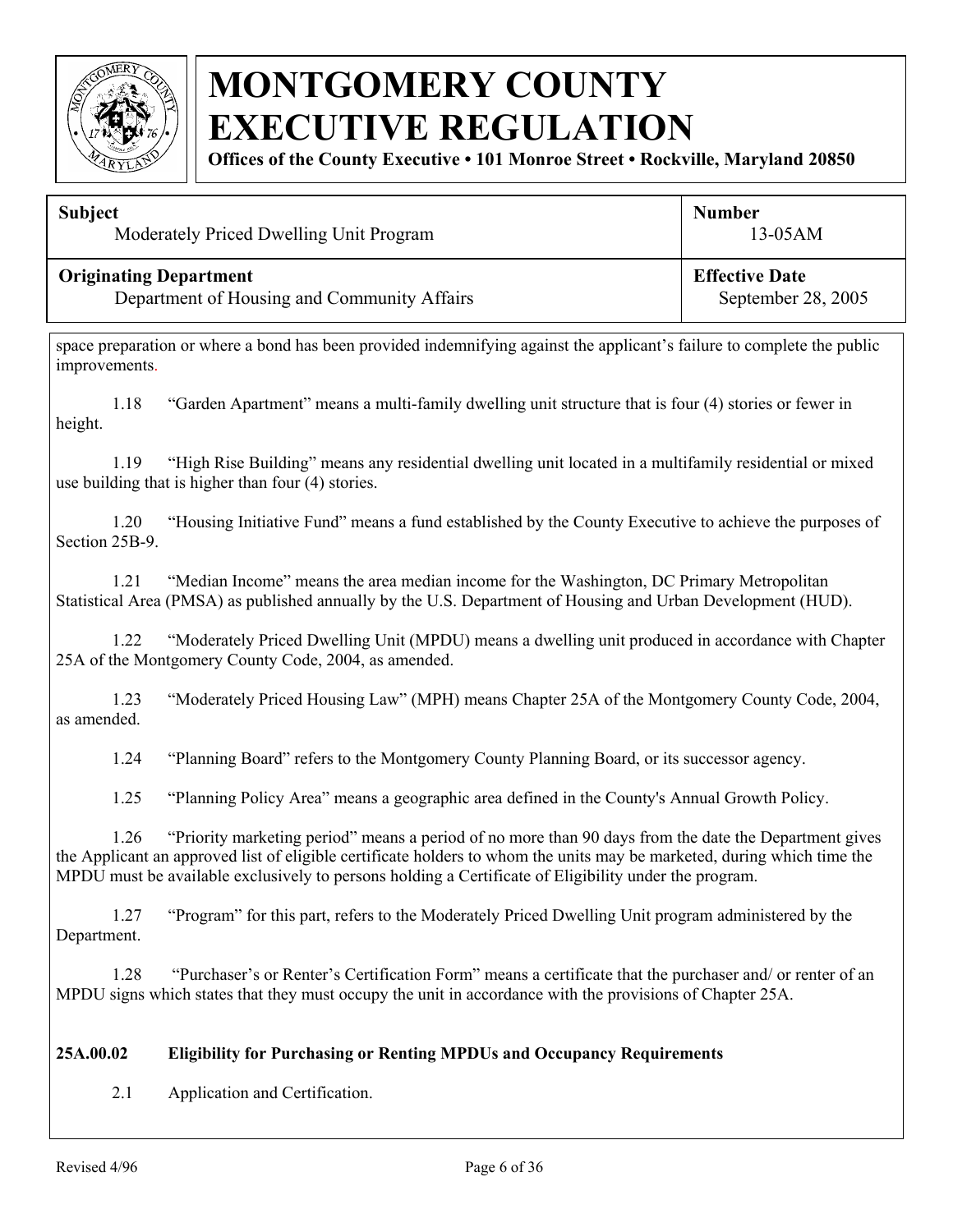

**Offices of the County Executive • 101 Monroe Street • Rockville, Maryland 20850**

| <b>Subject</b>                              | <b>Number</b>         |
|---------------------------------------------|-----------------------|
| Moderately Priced Dwelling Unit Program     | $13-05AM$             |
| <b>Originating Department</b>               | <b>Effective Date</b> |
| Department of Housing and Community Affairs | September 28, 2005    |

space preparation or where a bond has been provided indemnifying against the applicant's failure to complete the public improvements.

 1.18 "Garden Apartment" means a multi-family dwelling unit structure that is four (4) stories or fewer in height.

 1.19 "High Rise Building" means any residential dwelling unit located in a multifamily residential or mixed use building that is higher than four (4) stories.

 1.20 "Housing Initiative Fund" means a fund established by the County Executive to achieve the purposes of Section 25B-9.

 1.21 "Median Income" means the area median income for the Washington, DC Primary Metropolitan Statistical Area (PMSA) as published annually by the U.S. Department of Housing and Urban Development (HUD).

 1.22 "Moderately Priced Dwelling Unit (MPDU) means a dwelling unit produced in accordance with Chapter 25A of the Montgomery County Code, 2004, as amended.

 1.23 "Moderately Priced Housing Law" (MPH) means Chapter 25A of the Montgomery County Code, 2004, as amended.

1.24 "Planning Board" refers to the Montgomery County Planning Board, or its successor agency.

1.25 "Planning Policy Area" means a geographic area defined in the County's Annual Growth Policy.

 1.26 "Priority marketing period" means a period of no more than 90 days from the date the Department gives the Applicant an approved list of eligible certificate holders to whom the units may be marketed, during which time the MPDU must be available exclusively to persons holding a Certificate of Eligibility under the program.

 1.27 "Program" for this part, refers to the Moderately Priced Dwelling Unit program administered by the Department.

 1.28 "Purchaser's or Renter's Certification Form" means a certificate that the purchaser and/ or renter of an MPDU signs which states that they must occupy the unit in accordance with the provisions of Chapter 25A.

#### **25A.00.02 Eligibility for Purchasing or Renting MPDUs and Occupancy Requirements**

2.1 Application and Certification.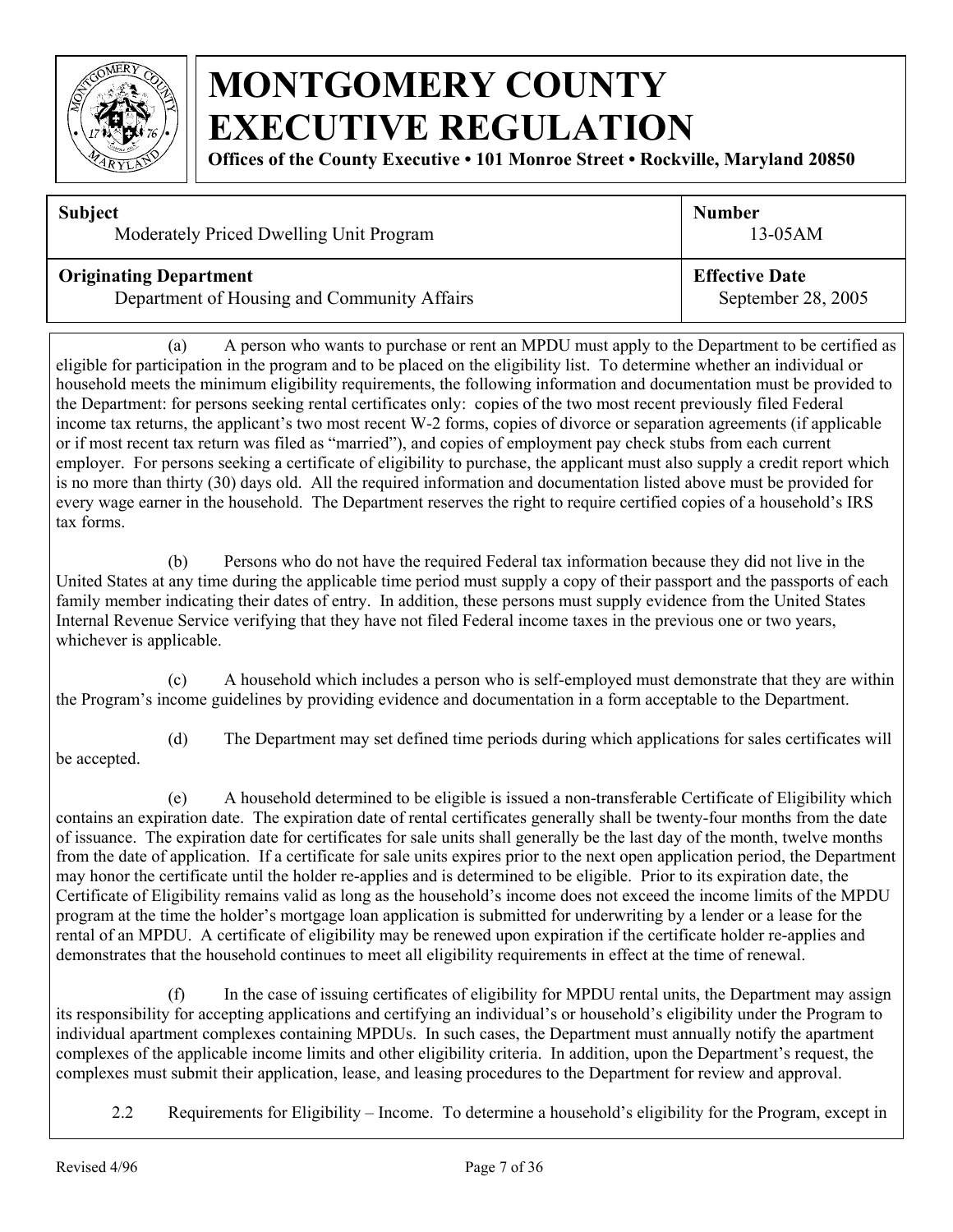

**Offices of the County Executive • 101 Monroe Street • Rockville, Maryland 20850**

| <b>Subject</b>                              | <b>Number</b>         |
|---------------------------------------------|-----------------------|
| Moderately Priced Dwelling Unit Program     | $13-05AM$             |
| <b>Originating Department</b>               | <b>Effective Date</b> |
| Department of Housing and Community Affairs | September 28, 2005    |

(a) A person who wants to purchase or rent an MPDU must apply to the Department to be certified as eligible for participation in the program and to be placed on the eligibility list. To determine whether an individual or household meets the minimum eligibility requirements, the following information and documentation must be provided to the Department: for persons seeking rental certificates only: copies of the two most recent previously filed Federal income tax returns, the applicant's two most recent W-2 forms, copies of divorce or separation agreements (if applicable or if most recent tax return was filed as "married"), and copies of employment pay check stubs from each current employer. For persons seeking a certificate of eligibility to purchase, the applicant must also supply a credit report which is no more than thirty (30) days old. All the required information and documentation listed above must be provided for every wage earner in the household. The Department reserves the right to require certified copies of a household's IRS tax forms.

(b) Persons who do not have the required Federal tax information because they did not live in the United States at any time during the applicable time period must supply a copy of their passport and the passports of each family member indicating their dates of entry. In addition, these persons must supply evidence from the United States Internal Revenue Service verifying that they have not filed Federal income taxes in the previous one or two years, whichever is applicable.

(c) A household which includes a person who is self-employed must demonstrate that they are within the Program's income guidelines by providing evidence and documentation in a form acceptable to the Department.

(d) The Department may set defined time periods during which applications for sales certificates will be accepted.

(e) A household determined to be eligible is issued a non-transferable Certificate of Eligibility which contains an expiration date. The expiration date of rental certificates generally shall be twenty-four months from the date of issuance. The expiration date for certificates for sale units shall generally be the last day of the month, twelve months from the date of application. If a certificate for sale units expires prior to the next open application period, the Department may honor the certificate until the holder re-applies and is determined to be eligible. Prior to its expiration date, the Certificate of Eligibility remains valid as long as the household's income does not exceed the income limits of the MPDU program at the time the holder's mortgage loan application is submitted for underwriting by a lender or a lease for the rental of an MPDU. A certificate of eligibility may be renewed upon expiration if the certificate holder re-applies and demonstrates that the household continues to meet all eligibility requirements in effect at the time of renewal.

(f) In the case of issuing certificates of eligibility for MPDU rental units, the Department may assign its responsibility for accepting applications and certifying an individual's or household's eligibility under the Program to individual apartment complexes containing MPDUs. In such cases, the Department must annually notify the apartment complexes of the applicable income limits and other eligibility criteria. In addition, upon the Department's request, the complexes must submit their application, lease, and leasing procedures to the Department for review and approval.

2.2 Requirements for Eligibility – Income. To determine a household's eligibility for the Program, except in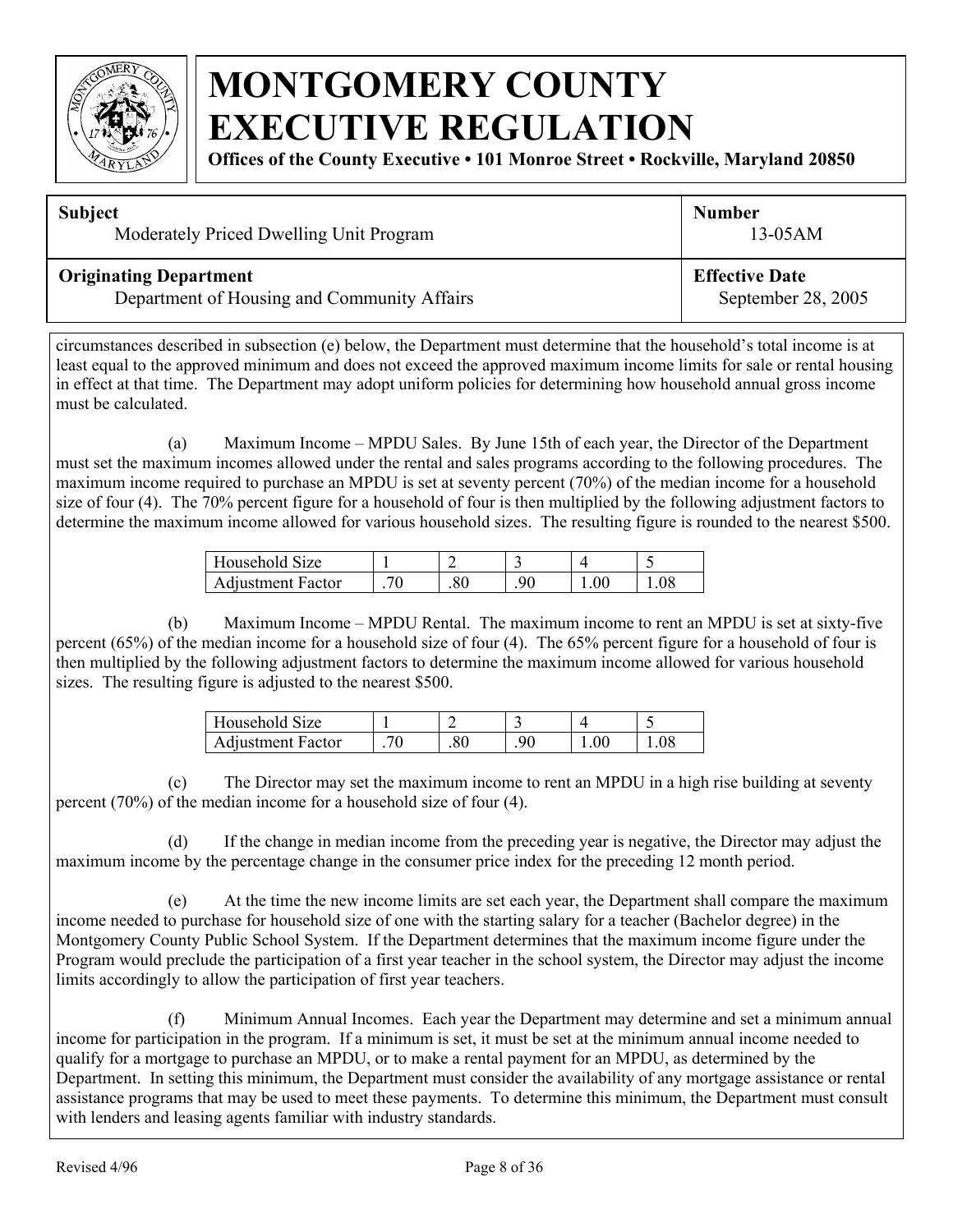

**Offices of the County Executive • 101 Monroe Street • Rockville, Maryland 20850**

| <b>Subject</b>                              | <b>Number</b>         |  |
|---------------------------------------------|-----------------------|--|
| Moderately Priced Dwelling Unit Program     | $13-05AM$             |  |
| <b>Originating Department</b>               | <b>Effective Date</b> |  |
| Department of Housing and Community Affairs | September 28, 2005    |  |

circumstances described in subsection (e) below, the Department must determine that the household's total income is at least equal to the approved minimum and does not exceed the approved maximum income limits for sale or rental housing in effect at that time. The Department may adopt uniform policies for determining how household annual gross income must be calculated.

(a) Maximum Income – MPDU Sales. By June 15th of each year, the Director of the Department must set the maximum incomes allowed under the rental and sales programs according to the following procedures. The maximum income required to purchase an MPDU is set at seventy percent (70%) of the median income for a household size of four (4). The 70% percent figure for a household of four is then multiplied by the following adjustment factors to determine the maximum income allowed for various household sizes. The resulting figure is rounded to the nearest \$500.

| Household Size           |    |    | -  |  |
|--------------------------|----|----|----|--|
| <b>Adjustment Factor</b> | חר | oι | 90 |  |

(b) Maximum Income – MPDU Rental. The maximum income to rent an MPDU is set at sixty-five percent (65%) of the median income for a household size of four (4). The 65% percent figure for a household of four is then multiplied by the following adjustment factors to determine the maximum income allowed for various household sizes. The resulting figure is adjusted to the nearest \$500.

| Household Size           |  |  |  |
|--------------------------|--|--|--|
| <b>Adjustment Factor</b> |  |  |  |

(c) The Director may set the maximum income to rent an MPDU in a high rise building at seventy percent (70%) of the median income for a household size of four (4).

(d) If the change in median income from the preceding year is negative, the Director may adjust the maximum income by the percentage change in the consumer price index for the preceding 12 month period.

(e) At the time the new income limits are set each year, the Department shall compare the maximum income needed to purchase for household size of one with the starting salary for a teacher (Bachelor degree) in the Montgomery County Public School System. If the Department determines that the maximum income figure under the Program would preclude the participation of a first year teacher in the school system, the Director may adjust the income limits accordingly to allow the participation of first year teachers.

(f) Minimum Annual Incomes. Each year the Department may determine and set a minimum annual income for participation in the program. If a minimum is set, it must be set at the minimum annual income needed to qualify for a mortgage to purchase an MPDU, or to make a rental payment for an MPDU, as determined by the Department. In setting this minimum, the Department must consider the availability of any mortgage assistance or rental assistance programs that may be used to meet these payments. To determine this minimum, the Department must consult with lenders and leasing agents familiar with industry standards.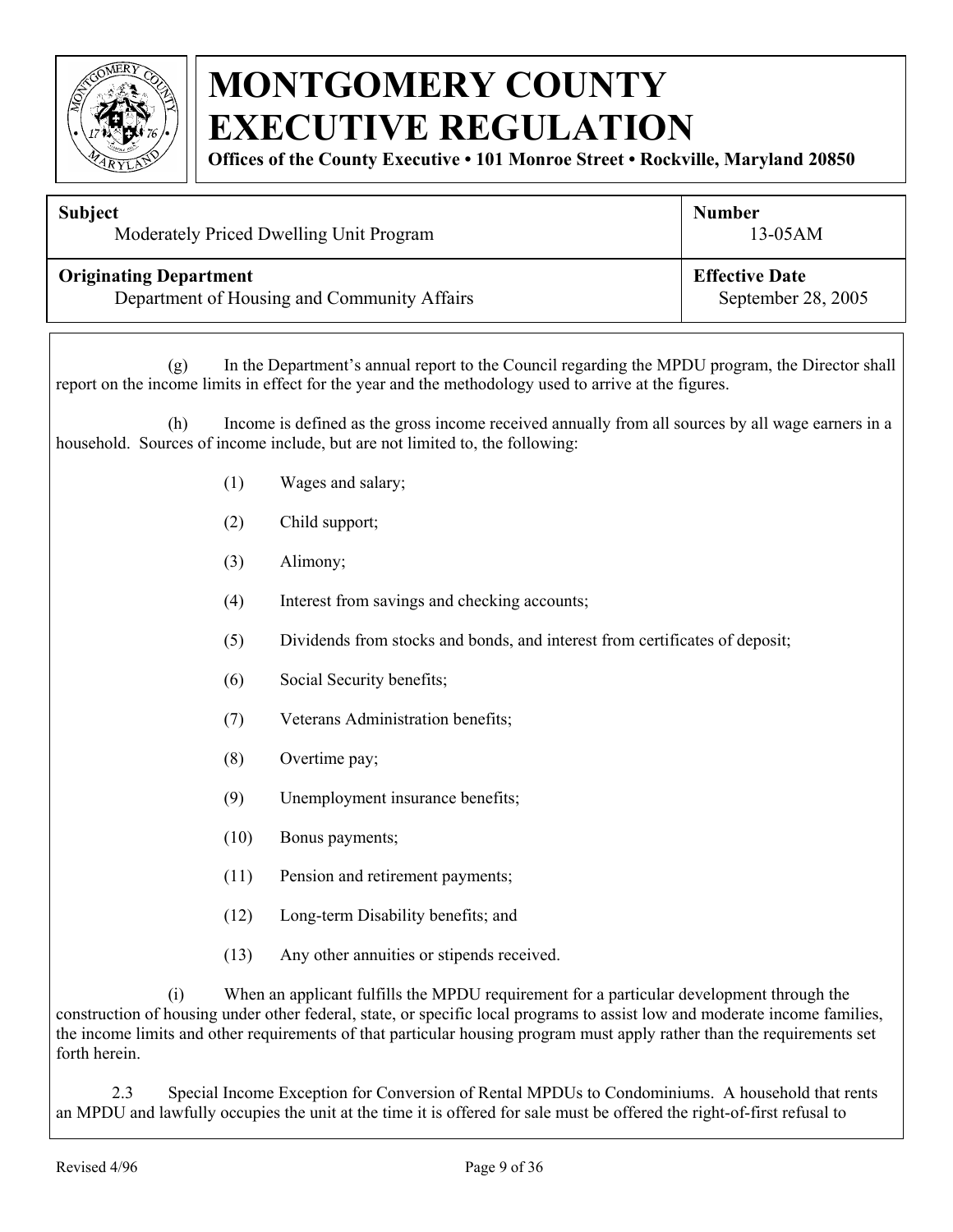

**Offices of the County Executive • 101 Monroe Street • Rockville, Maryland 20850**

| <b>Subject</b>                              | <b>Number</b>         |
|---------------------------------------------|-----------------------|
| Moderately Priced Dwelling Unit Program     | $13-05AM$             |
| <b>Originating Department</b>               | <b>Effective Date</b> |
| Department of Housing and Community Affairs | September 28, 2005    |
|                                             |                       |

(g) In the Department's annual report to the Council regarding the MPDU program, the Director shall report on the income limits in effect for the year and the methodology used to arrive at the figures.

 (h) Income is defined as the gross income received annually from all sources by all wage earners in a household. Sources of income include, but are not limited to, the following:

- (1) Wages and salary;
- (2) Child support;
- (3) Alimony;
- (4) Interest from savings and checking accounts;
- (5) Dividends from stocks and bonds, and interest from certificates of deposit;
- (6) Social Security benefits;
- (7) Veterans Administration benefits;
- (8) Overtime pay;
- (9) Unemployment insurance benefits;
- (10) Bonus payments;
- (11) Pension and retirement payments;
- (12) Long-term Disability benefits; and
- (13) Any other annuities or stipends received.

(i) When an applicant fulfills the MPDU requirement for a particular development through the construction of housing under other federal, state, or specific local programs to assist low and moderate income families, the income limits and other requirements of that particular housing program must apply rather than the requirements set forth herein.

2.3 Special Income Exception for Conversion of Rental MPDUs to Condominiums. A household that rents an MPDU and lawfully occupies the unit at the time it is offered for sale must be offered the right-of-first refusal to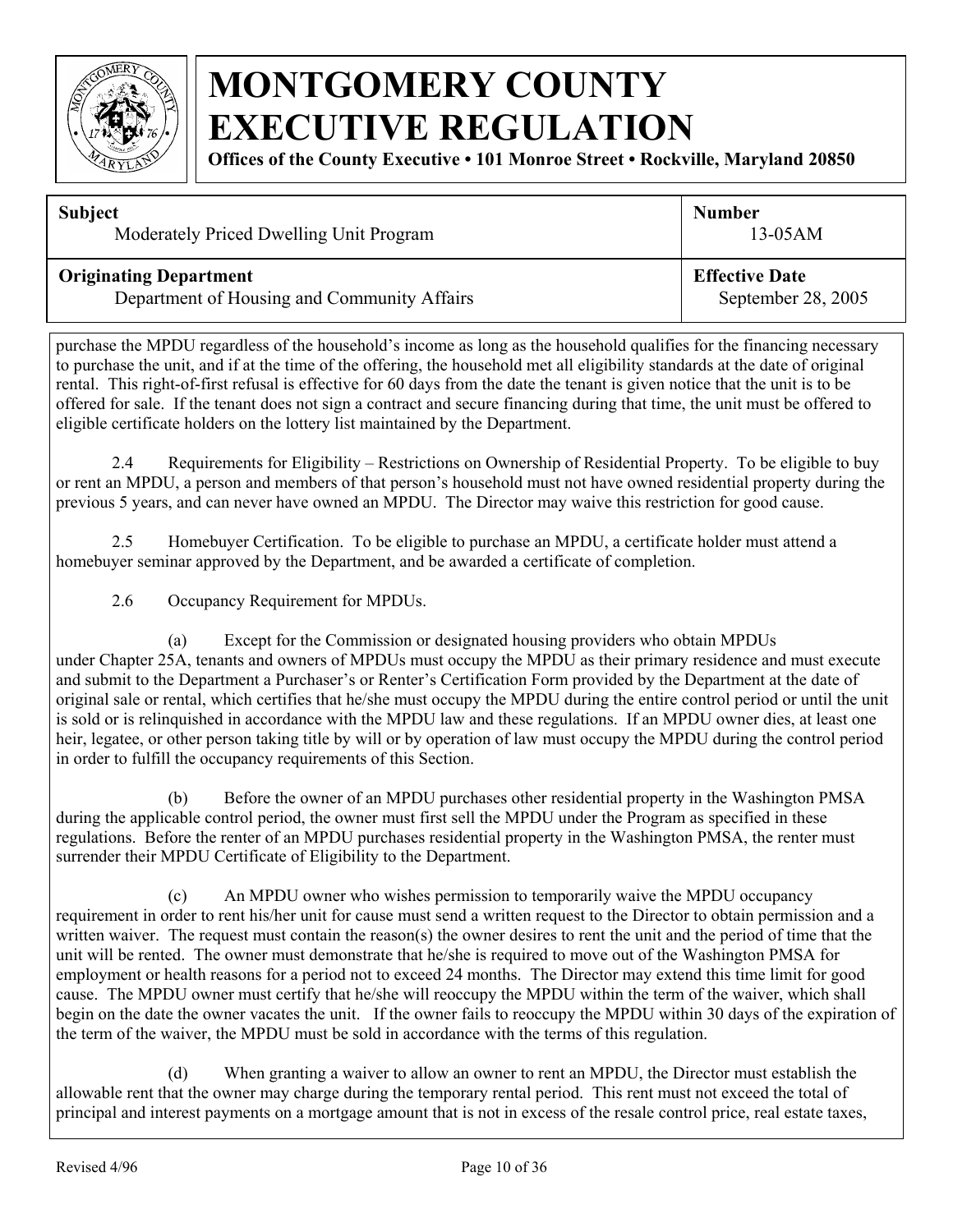

**Offices of the County Executive • 101 Monroe Street • Rockville, Maryland 20850**

| <b>Subject</b>                              | <b>Number</b>         |
|---------------------------------------------|-----------------------|
| Moderately Priced Dwelling Unit Program     | $13-05AM$             |
| <b>Originating Department</b>               | <b>Effective Date</b> |
| Department of Housing and Community Affairs | September 28, 2005    |

purchase the MPDU regardless of the household's income as long as the household qualifies for the financing necessary to purchase the unit, and if at the time of the offering, the household met all eligibility standards at the date of original rental. This right-of-first refusal is effective for 60 days from the date the tenant is given notice that the unit is to be offered for sale. If the tenant does not sign a contract and secure financing during that time, the unit must be offered to eligible certificate holders on the lottery list maintained by the Department.

2.4 Requirements for Eligibility – Restrictions on Ownership of Residential Property. To be eligible to buy or rent an MPDU, a person and members of that person's household must not have owned residential property during the previous 5 years, and can never have owned an MPDU. The Director may waive this restriction for good cause.

 2.5 Homebuyer Certification. To be eligible to purchase an MPDU, a certificate holder must attend a homebuyer seminar approved by the Department, and be awarded a certificate of completion.

2.6 Occupancy Requirement for MPDUs.

(a) Except for the Commission or designated housing providers who obtain MPDUs under Chapter 25A, tenants and owners of MPDUs must occupy the MPDU as their primary residence and must execute and submit to the Department a Purchaser's or Renter's Certification Form provided by the Department at the date of original sale or rental, which certifies that he/she must occupy the MPDU during the entire control period or until the unit is sold or is relinquished in accordance with the MPDU law and these regulations. If an MPDU owner dies, at least one heir, legatee, or other person taking title by will or by operation of law must occupy the MPDU during the control period in order to fulfill the occupancy requirements of this Section.

(b) Before the owner of an MPDU purchases other residential property in the Washington PMSA during the applicable control period, the owner must first sell the MPDU under the Program as specified in these regulations. Before the renter of an MPDU purchases residential property in the Washington PMSA, the renter must surrender their MPDU Certificate of Eligibility to the Department.

(c) An MPDU owner who wishes permission to temporarily waive the MPDU occupancy requirement in order to rent his/her unit for cause must send a written request to the Director to obtain permission and a written waiver. The request must contain the reason(s) the owner desires to rent the unit and the period of time that the unit will be rented. The owner must demonstrate that he/she is required to move out of the Washington PMSA for employment or health reasons for a period not to exceed 24 months. The Director may extend this time limit for good cause. The MPDU owner must certify that he/she will reoccupy the MPDU within the term of the waiver, which shall begin on the date the owner vacates the unit. If the owner fails to reoccupy the MPDU within 30 days of the expiration of the term of the waiver, the MPDU must be sold in accordance with the terms of this regulation.

(d) When granting a waiver to allow an owner to rent an MPDU, the Director must establish the allowable rent that the owner may charge during the temporary rental period. This rent must not exceed the total of principal and interest payments on a mortgage amount that is not in excess of the resale control price, real estate taxes,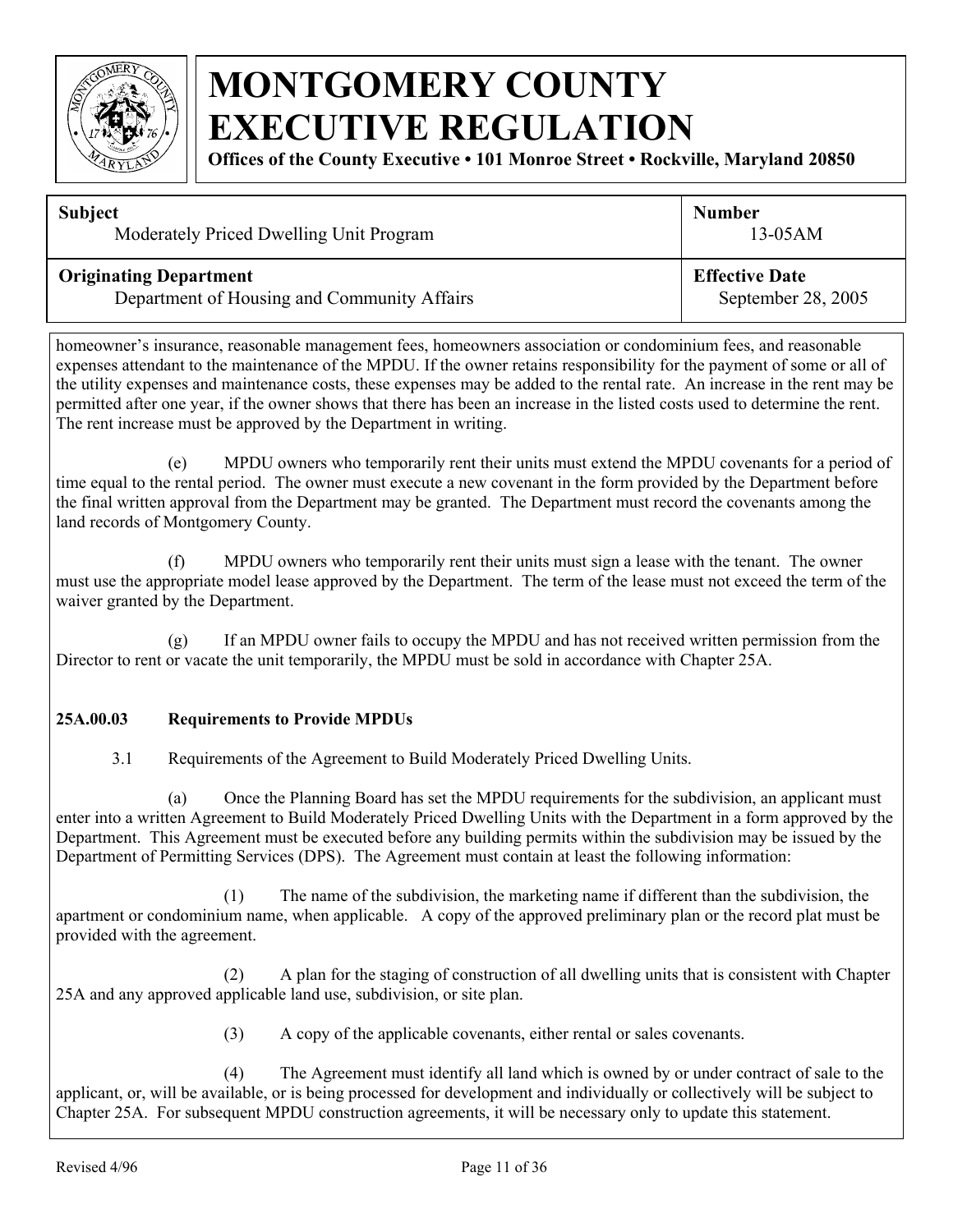

**Offices of the County Executive • 101 Monroe Street • Rockville, Maryland 20850**

| <b>Subject</b>                              | <b>Number</b>         |
|---------------------------------------------|-----------------------|
| Moderately Priced Dwelling Unit Program     | $13-05AM$             |
| <b>Originating Department</b>               | <b>Effective Date</b> |
| Department of Housing and Community Affairs | September 28, 2005    |

homeowner's insurance, reasonable management fees, homeowners association or condominium fees, and reasonable expenses attendant to the maintenance of the MPDU. If the owner retains responsibility for the payment of some or all of the utility expenses and maintenance costs, these expenses may be added to the rental rate. An increase in the rent may be permitted after one year, if the owner shows that there has been an increase in the listed costs used to determine the rent. The rent increase must be approved by the Department in writing.

(e) MPDU owners who temporarily rent their units must extend the MPDU covenants for a period of time equal to the rental period. The owner must execute a new covenant in the form provided by the Department before the final written approval from the Department may be granted. The Department must record the covenants among the land records of Montgomery County.

(f) MPDU owners who temporarily rent their units must sign a lease with the tenant. The owner must use the appropriate model lease approved by the Department. The term of the lease must not exceed the term of the waiver granted by the Department.

(g) If an MPDU owner fails to occupy the MPDU and has not received written permission from the Director to rent or vacate the unit temporarily, the MPDU must be sold in accordance with Chapter 25A.

#### **25A.00.03 Requirements to Provide MPDUs**

3.1 Requirements of the Agreement to Build Moderately Priced Dwelling Units.

(a) Once the Planning Board has set the MPDU requirements for the subdivision, an applicant must enter into a written Agreement to Build Moderately Priced Dwelling Units with the Department in a form approved by the Department. This Agreement must be executed before any building permits within the subdivision may be issued by the Department of Permitting Services (DPS). The Agreement must contain at least the following information:

(1) The name of the subdivision, the marketing name if different than the subdivision, the apartment or condominium name, when applicable. A copy of the approved preliminary plan or the record plat must be provided with the agreement.

(2) A plan for the staging of construction of all dwelling units that is consistent with Chapter 25A and any approved applicable land use, subdivision, or site plan.

(3) A copy of the applicable covenants, either rental or sales covenants.

(4) The Agreement must identify all land which is owned by or under contract of sale to the applicant, or, will be available, or is being processed for development and individually or collectively will be subject to Chapter 25A. For subsequent MPDU construction agreements, it will be necessary only to update this statement.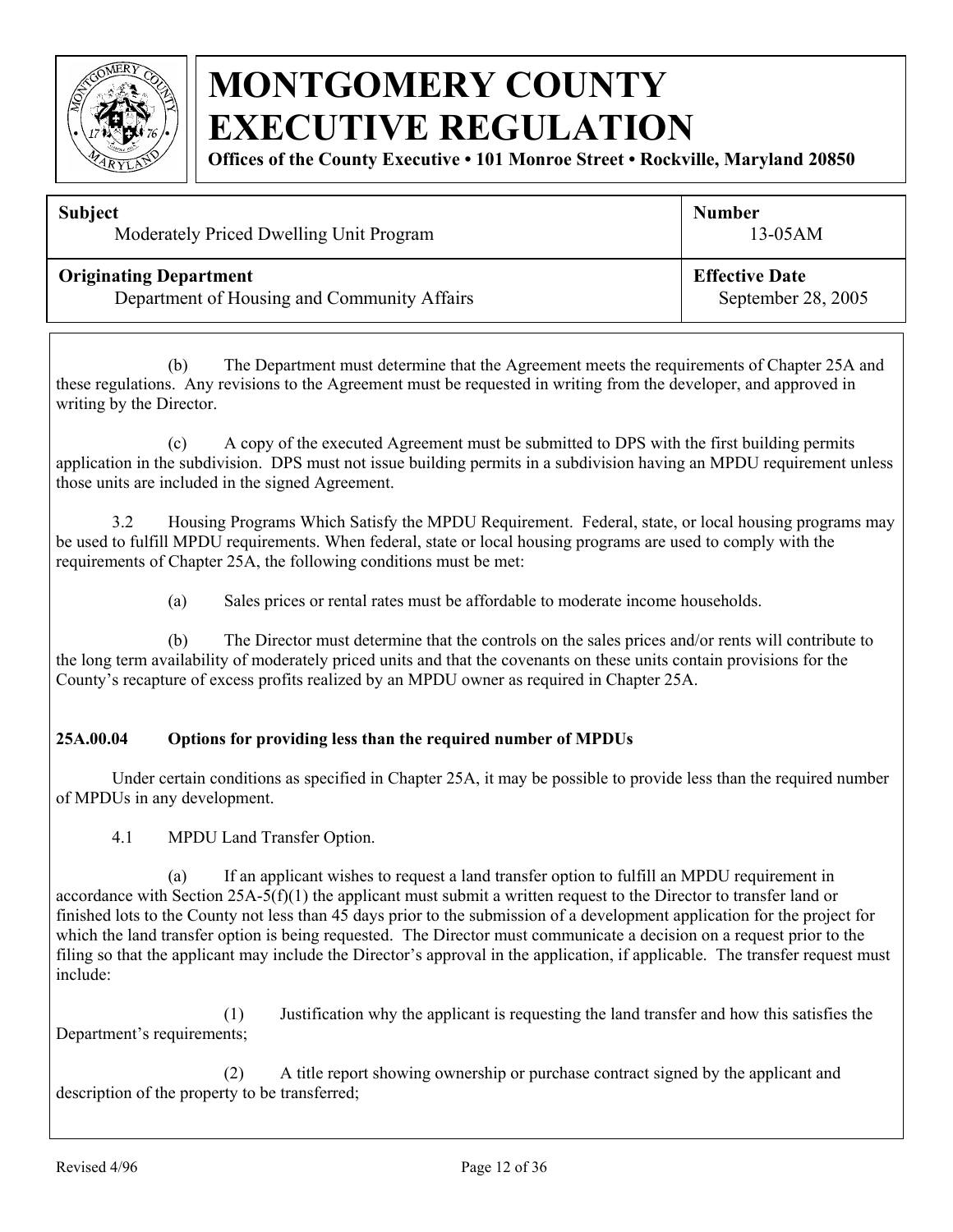

**Offices of the County Executive • 101 Monroe Street • Rockville, Maryland 20850**

| <b>Subject</b>                              | <b>Number</b>         |
|---------------------------------------------|-----------------------|
| Moderately Priced Dwelling Unit Program     | $13-05AM$             |
| <b>Originating Department</b>               | <b>Effective Date</b> |
| Department of Housing and Community Affairs | September 28, 2005    |

(b) The Department must determine that the Agreement meets the requirements of Chapter 25A and these regulations. Any revisions to the Agreement must be requested in writing from the developer, and approved in writing by the Director.

(c) A copy of the executed Agreement must be submitted to DPS with the first building permits application in the subdivision. DPS must not issue building permits in a subdivision having an MPDU requirement unless those units are included in the signed Agreement.

3.2 Housing Programs Which Satisfy the MPDU Requirement. Federal, state, or local housing programs may be used to fulfill MPDU requirements. When federal, state or local housing programs are used to comply with the requirements of Chapter 25A, the following conditions must be met:

(a) Sales prices or rental rates must be affordable to moderate income households.

 (b) The Director must determine that the controls on the sales prices and/or rents will contribute to the long term availability of moderately priced units and that the covenants on these units contain provisions for the County's recapture of excess profits realized by an MPDU owner as required in Chapter 25A.

#### **25A.00.04 Options for providing less than the required number of MPDUs**

Under certain conditions as specified in Chapter 25A, it may be possible to provide less than the required number of MPDUs in any development.

4.1 MPDU Land Transfer Option.

(a) If an applicant wishes to request a land transfer option to fulfill an MPDU requirement in accordance with Section  $25A-5(f)(1)$  the applicant must submit a written request to the Director to transfer land or finished lots to the County not less than 45 days prior to the submission of a development application for the project for which the land transfer option is being requested. The Director must communicate a decision on a request prior to the filing so that the applicant may include the Director's approval in the application, if applicable. The transfer request must include:

(1) Justification why the applicant is requesting the land transfer and how this satisfies the Department's requirements;

(2) A title report showing ownership or purchase contract signed by the applicant and description of the property to be transferred;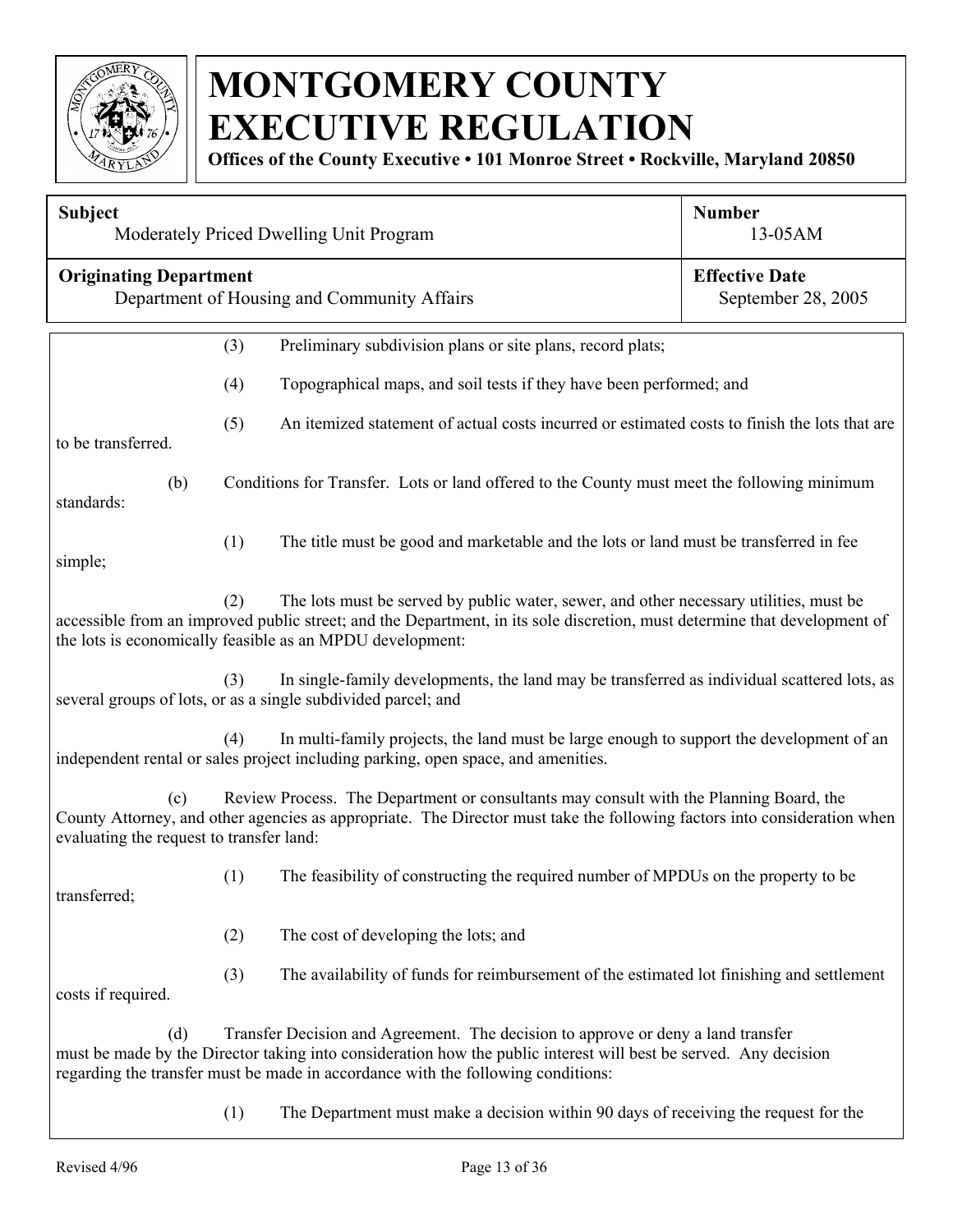

**Offices of the County Executive • 101 Monroe Street • Rockville, Maryland 20850**

| <b>Subject</b>                                                                                                                                                                                                                                                                          |                                                                                                                                                                                                                                                                | Moderately Priced Dwelling Unit Program                                                                                                                                                                                                                                                  | <b>Number</b><br>13-05AM |  |
|-----------------------------------------------------------------------------------------------------------------------------------------------------------------------------------------------------------------------------------------------------------------------------------------|----------------------------------------------------------------------------------------------------------------------------------------------------------------------------------------------------------------------------------------------------------------|------------------------------------------------------------------------------------------------------------------------------------------------------------------------------------------------------------------------------------------------------------------------------------------|--------------------------|--|
| <b>Originating Department</b><br>Department of Housing and Community Affairs                                                                                                                                                                                                            |                                                                                                                                                                                                                                                                | <b>Effective Date</b><br>September 28, 2005                                                                                                                                                                                                                                              |                          |  |
|                                                                                                                                                                                                                                                                                         | (3)                                                                                                                                                                                                                                                            | Preliminary subdivision plans or site plans, record plats;                                                                                                                                                                                                                               |                          |  |
|                                                                                                                                                                                                                                                                                         | (4)                                                                                                                                                                                                                                                            | Topographical maps, and soil tests if they have been performed; and                                                                                                                                                                                                                      |                          |  |
| to be transferred.                                                                                                                                                                                                                                                                      | (5)                                                                                                                                                                                                                                                            | An itemized statement of actual costs incurred or estimated costs to finish the lots that are                                                                                                                                                                                            |                          |  |
| (b)<br>standards:                                                                                                                                                                                                                                                                       |                                                                                                                                                                                                                                                                | Conditions for Transfer. Lots or land offered to the County must meet the following minimum                                                                                                                                                                                              |                          |  |
| simple;                                                                                                                                                                                                                                                                                 | (1)                                                                                                                                                                                                                                                            | The title must be good and marketable and the lots or land must be transferred in fee                                                                                                                                                                                                    |                          |  |
| The lots must be served by public water, sewer, and other necessary utilities, must be<br>(2)<br>accessible from an improved public street; and the Department, in its sole discretion, must determine that development of<br>the lots is economically feasible as an MPDU development: |                                                                                                                                                                                                                                                                |                                                                                                                                                                                                                                                                                          |                          |  |
|                                                                                                                                                                                                                                                                                         | (3)                                                                                                                                                                                                                                                            | In single-family developments, the land may be transferred as individual scattered lots, as<br>several groups of lots, or as a single subdivided parcel; and                                                                                                                             |                          |  |
|                                                                                                                                                                                                                                                                                         | (4)                                                                                                                                                                                                                                                            | In multi-family projects, the land must be large enough to support the development of an<br>independent rental or sales project including parking, open space, and amenities.                                                                                                            |                          |  |
| (c)                                                                                                                                                                                                                                                                                     | Review Process. The Department or consultants may consult with the Planning Board, the<br>County Attorney, and other agencies as appropriate. The Director must take the following factors into consideration when<br>evaluating the request to transfer land: |                                                                                                                                                                                                                                                                                          |                          |  |
| transferred;                                                                                                                                                                                                                                                                            | (1)                                                                                                                                                                                                                                                            | The feasibility of constructing the required number of MPDUs on the property to be                                                                                                                                                                                                       |                          |  |
|                                                                                                                                                                                                                                                                                         | (2)                                                                                                                                                                                                                                                            | The cost of developing the lots; and                                                                                                                                                                                                                                                     |                          |  |
| costs if required.                                                                                                                                                                                                                                                                      | (3)                                                                                                                                                                                                                                                            | The availability of funds for reimbursement of the estimated lot finishing and settlement                                                                                                                                                                                                |                          |  |
| (d)                                                                                                                                                                                                                                                                                     |                                                                                                                                                                                                                                                                | Transfer Decision and Agreement. The decision to approve or deny a land transfer<br>must be made by the Director taking into consideration how the public interest will best be served. Any decision<br>regarding the transfer must be made in accordance with the following conditions: |                          |  |
|                                                                                                                                                                                                                                                                                         | (1)                                                                                                                                                                                                                                                            | The Department must make a decision within 90 days of receiving the request for the                                                                                                                                                                                                      |                          |  |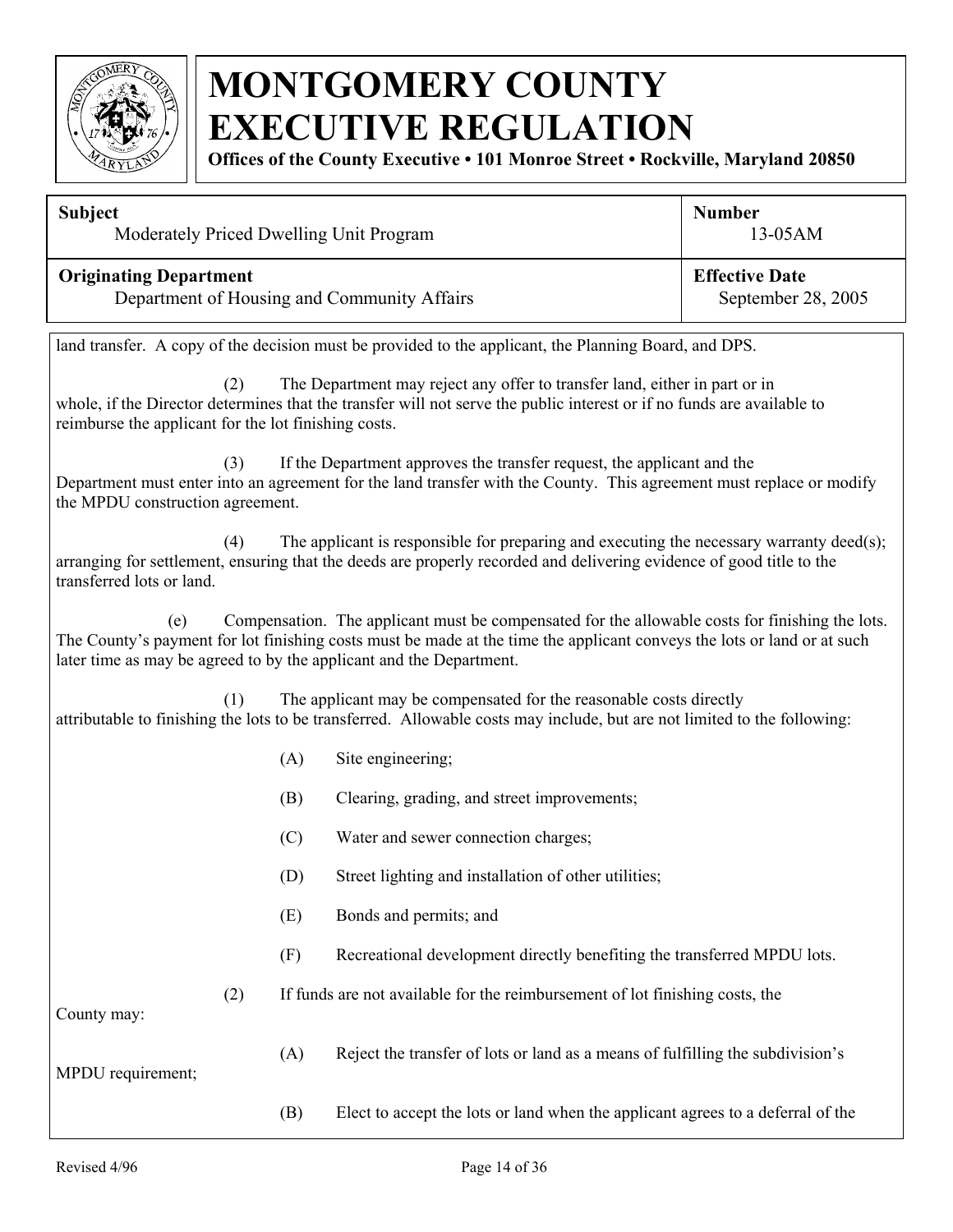

**Offices of the County Executive • 101 Monroe Street • Rockville, Maryland 20850**

| <b>Subject</b>                              | <b>Number</b>         |
|---------------------------------------------|-----------------------|
| Moderately Priced Dwelling Unit Program     | $13-05AM$             |
| <b>Originating Department</b>               | <b>Effective Date</b> |
| Department of Housing and Community Affairs | September 28, 2005    |

land transfer. A copy of the decision must be provided to the applicant, the Planning Board, and DPS.

(2) The Department may reject any offer to transfer land, either in part or in whole, if the Director determines that the transfer will not serve the public interest or if no funds are available to reimburse the applicant for the lot finishing costs.

(3) If the Department approves the transfer request, the applicant and the Department must enter into an agreement for the land transfer with the County. This agreement must replace or modify the MPDU construction agreement.

 (4) The applicant is responsible for preparing and executing the necessary warranty deed(s); arranging for settlement, ensuring that the deeds are properly recorded and delivering evidence of good title to the transferred lots or land.

(e) Compensation. The applicant must be compensated for the allowable costs for finishing the lots. The County's payment for lot finishing costs must be made at the time the applicant conveys the lots or land or at such later time as may be agreed to by the applicant and the Department.

(1) The applicant may be compensated for the reasonable costs directly attributable to finishing the lots to be transferred. Allowable costs may include, but are not limited to the following:

- (A) Site engineering;
- (B) Clearing, grading, and street improvements;
- (C) Water and sewer connection charges;
- (D) Street lighting and installation of other utilities;
- (E) Bonds and permits; and
- (F) Recreational development directly benefiting the transferred MPDU lots.
- (2) If funds are not available for the reimbursement of lot finishing costs, the

County may:

(A) Reject the transfer of lots or land as a means of fulfilling the subdivision's

MPDU requirement;

(B) Elect to accept the lots or land when the applicant agrees to a deferral of the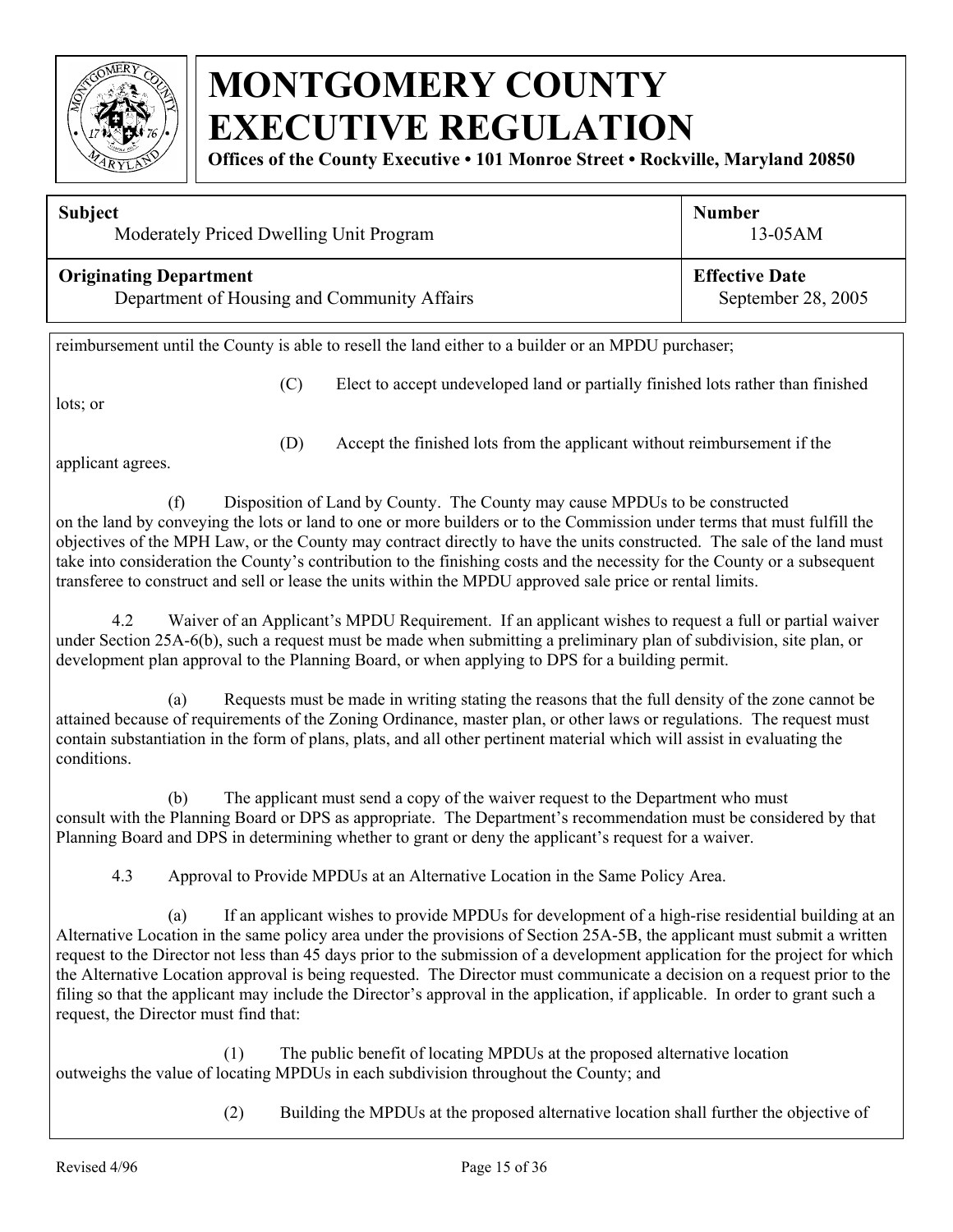

**Offices of the County Executive • 101 Monroe Street • Rockville, Maryland 20850**

| <b>Subject</b>                              | <b>Number</b>         |
|---------------------------------------------|-----------------------|
| Moderately Priced Dwelling Unit Program     | $13-05AM$             |
| <b>Originating Department</b>               | <b>Effective Date</b> |
| Department of Housing and Community Affairs | September 28, 2005    |

reimbursement until the County is able to resell the land either to a builder or an MPDU purchaser;

lots; or

(C) Elect to accept undeveloped land or partially finished lots rather than finished

applicant agrees.

(D) Accept the finished lots from the applicant without reimbursement if the

(f) Disposition of Land by County. The County may cause MPDUs to be constructed on the land by conveying the lots or land to one or more builders or to the Commission under terms that must fulfill the objectives of the MPH Law, or the County may contract directly to have the units constructed. The sale of the land must take into consideration the County's contribution to the finishing costs and the necessity for the County or a subsequent transferee to construct and sell or lease the units within the MPDU approved sale price or rental limits.

4.2 Waiver of an Applicant's MPDU Requirement. If an applicant wishes to request a full or partial waiver under Section 25A-6(b), such a request must be made when submitting a preliminary plan of subdivision, site plan, or development plan approval to the Planning Board, or when applying to DPS for a building permit.

(a) Requests must be made in writing stating the reasons that the full density of the zone cannot be attained because of requirements of the Zoning Ordinance, master plan, or other laws or regulations. The request must contain substantiation in the form of plans, plats, and all other pertinent material which will assist in evaluating the conditions.

(b) The applicant must send a copy of the waiver request to the Department who must consult with the Planning Board or DPS as appropriate. The Department's recommendation must be considered by that Planning Board and DPS in determining whether to grant or deny the applicant's request for a waiver.

4.3 Approval to Provide MPDUs at an Alternative Location in the Same Policy Area.

(a) If an applicant wishes to provide MPDUs for development of a high-rise residential building at an Alternative Location in the same policy area under the provisions of Section 25A-5B, the applicant must submit a written request to the Director not less than 45 days prior to the submission of a development application for the project for which the Alternative Location approval is being requested. The Director must communicate a decision on a request prior to the filing so that the applicant may include the Director's approval in the application, if applicable. In order to grant such a request, the Director must find that:

(1) The public benefit of locating MPDUs at the proposed alternative location outweighs the value of locating MPDUs in each subdivision throughout the County; and

(2) Building the MPDUs at the proposed alternative location shall further the objective of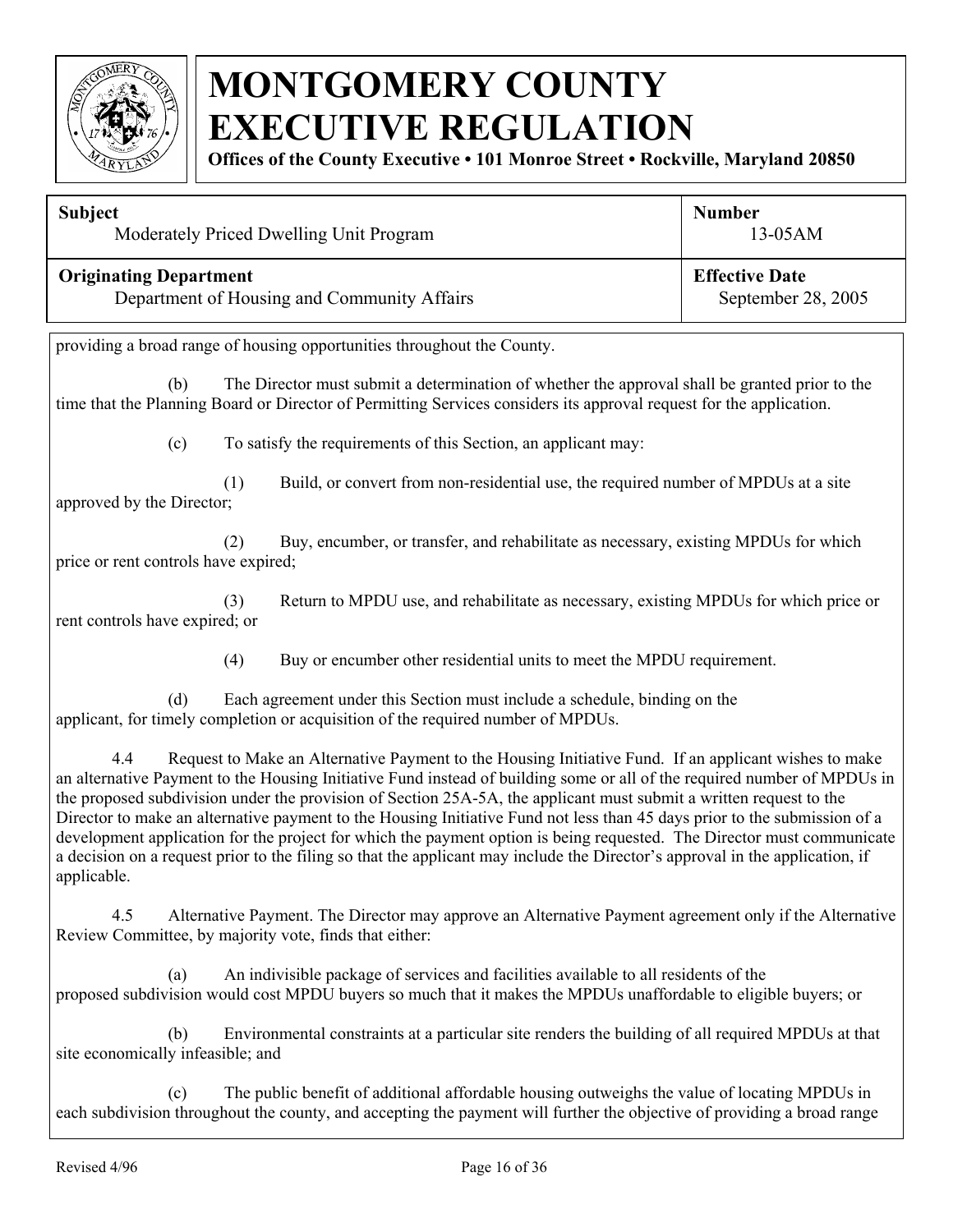

**Offices of the County Executive • 101 Monroe Street • Rockville, Maryland 20850**

| <b>Subject</b>                              | <b>Number</b>         |
|---------------------------------------------|-----------------------|
| Moderately Priced Dwelling Unit Program     | $13-05AM$             |
| <b>Originating Department</b>               | <b>Effective Date</b> |
| Department of Housing and Community Affairs | September 28, 2005    |

providing a broad range of housing opportunities throughout the County.

(b) The Director must submit a determination of whether the approval shall be granted prior to the time that the Planning Board or Director of Permitting Services considers its approval request for the application.

(c) To satisfy the requirements of this Section, an applicant may:

(1) Build, or convert from non-residential use, the required number of MPDUs at a site approved by the Director;

(2) Buy, encumber, or transfer, and rehabilitate as necessary, existing MPDUs for which price or rent controls have expired;

(3) Return to MPDU use, and rehabilitate as necessary, existing MPDUs for which price or rent controls have expired; or

(4) Buy or encumber other residential units to meet the MPDU requirement.

(d) Each agreement under this Section must include a schedule, binding on the applicant, for timely completion or acquisition of the required number of MPDUs.

 4.4 Request to Make an Alternative Payment to the Housing Initiative Fund. If an applicant wishes to make an alternative Payment to the Housing Initiative Fund instead of building some or all of the required number of MPDUs in the proposed subdivision under the provision of Section 25A-5A, the applicant must submit a written request to the Director to make an alternative payment to the Housing Initiative Fund not less than 45 days prior to the submission of a development application for the project for which the payment option is being requested. The Director must communicate a decision on a request prior to the filing so that the applicant may include the Director's approval in the application, if applicable.

4.5 Alternative Payment. The Director may approve an Alternative Payment agreement only if the Alternative Review Committee, by majority vote, finds that either:

(a) An indivisible package of services and facilities available to all residents of the proposed subdivision would cost MPDU buyers so much that it makes the MPDUs unaffordable to eligible buyers; or

(b) Environmental constraints at a particular site renders the building of all required MPDUs at that site economically infeasible; and

(c) The public benefit of additional affordable housing outweighs the value of locating MPDUs in each subdivision throughout the county, and accepting the payment will further the objective of providing a broad range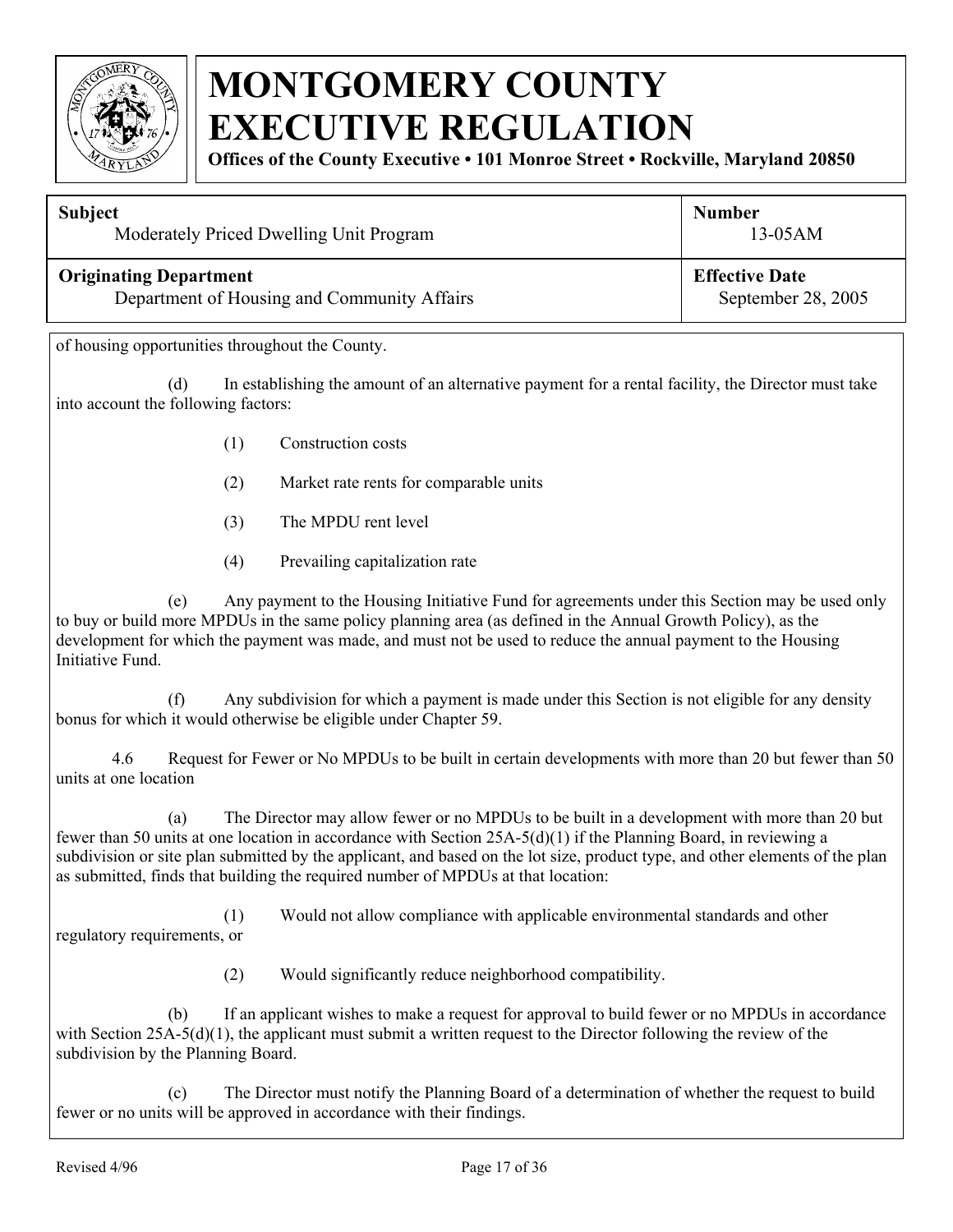

**Offices of the County Executive • 101 Monroe Street • Rockville, Maryland 20850**

| <b>Subject</b>                              | <b>Number</b>         |
|---------------------------------------------|-----------------------|
| Moderately Priced Dwelling Unit Program     | $13-05AM$             |
| <b>Originating Department</b>               | <b>Effective Date</b> |
| Department of Housing and Community Affairs | September 28, 2005    |

of housing opportunities throughout the County.

(d) In establishing the amount of an alternative payment for a rental facility, the Director must take into account the following factors:

- (1) Construction costs
- (2) Market rate rents for comparable units
- (3) The MPDU rent level
- (4) Prevailing capitalization rate

 (e) Any payment to the Housing Initiative Fund for agreements under this Section may be used only to buy or build more MPDUs in the same policy planning area (as defined in the Annual Growth Policy), as the development for which the payment was made, and must not be used to reduce the annual payment to the Housing Initiative Fund.

 (f) Any subdivision for which a payment is made under this Section is not eligible for any density bonus for which it would otherwise be eligible under Chapter 59.

 4.6 Request for Fewer or No MPDUs to be built in certain developments with more than 20 but fewer than 50 units at one location

 (a) The Director may allow fewer or no MPDUs to be built in a development with more than 20 but fewer than 50 units at one location in accordance with Section 25A-5(d)(1) if the Planning Board, in reviewing a subdivision or site plan submitted by the applicant, and based on the lot size, product type, and other elements of the plan as submitted, finds that building the required number of MPDUs at that location:

 (1) Would not allow compliance with applicable environmental standards and other regulatory requirements, or

(2) Would significantly reduce neighborhood compatibility.

 (b) If an applicant wishes to make a request for approval to build fewer or no MPDUs in accordance with Section  $25A-5(d)(1)$ , the applicant must submit a written request to the Director following the review of the subdivision by the Planning Board.

 (c) The Director must notify the Planning Board of a determination of whether the request to build fewer or no units will be approved in accordance with their findings.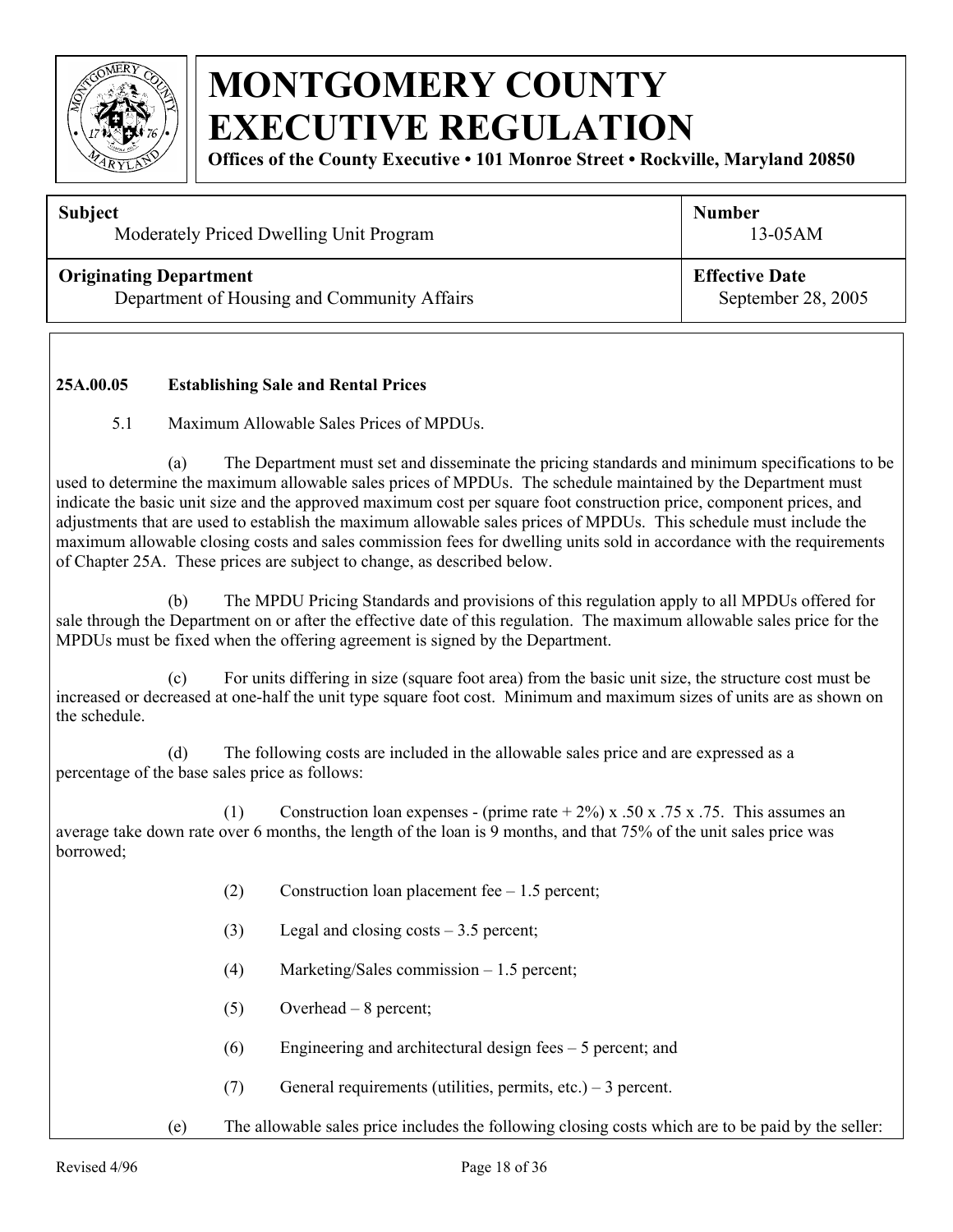

**Offices of the County Executive • 101 Monroe Street • Rockville, Maryland 20850**

#### **Subject**

Moderately Priced Dwelling Unit Program

#### **Originating Department**

Department of Housing and Community Affairs

13-05AM

**Number** 

**Effective Date** September 28, 2005

#### **25A.00.05 Establishing Sale and Rental Prices**

5.1 Maximum Allowable Sales Prices of MPDUs.

(a) The Department must set and disseminate the pricing standards and minimum specifications to be used to determine the maximum allowable sales prices of MPDUs. The schedule maintained by the Department must indicate the basic unit size and the approved maximum cost per square foot construction price, component prices, and adjustments that are used to establish the maximum allowable sales prices of MPDUs. This schedule must include the maximum allowable closing costs and sales commission fees for dwelling units sold in accordance with the requirements of Chapter 25A. These prices are subject to change, as described below.

(b) The MPDU Pricing Standards and provisions of this regulation apply to all MPDUs offered for sale through the Department on or after the effective date of this regulation. The maximum allowable sales price for the MPDUs must be fixed when the offering agreement is signed by the Department.

(c) For units differing in size (square foot area) from the basic unit size, the structure cost must be increased or decreased at one-half the unit type square foot cost. Minimum and maximum sizes of units are as shown on the schedule.

(d) The following costs are included in the allowable sales price and are expressed as a percentage of the base sales price as follows:

(1) Construction loan expenses - (prime rate  $+ 2\%$ ) x .50 x .75 x .75. This assumes an average take down rate over 6 months, the length of the loan is 9 months, and that 75% of the unit sales price was borrowed;

- (2) Construction loan placement fee 1.5 percent;
- (3) Legal and closing costs 3.5 percent;
- (4) Marketing/Sales commission 1.5 percent;
- (5) Overhead 8 percent;
- (6) Engineering and architectural design fees 5 percent; and
- (7) General requirements (utilities, permits, etc.) 3 percent.

(e) The allowable sales price includes the following closing costs which are to be paid by the seller: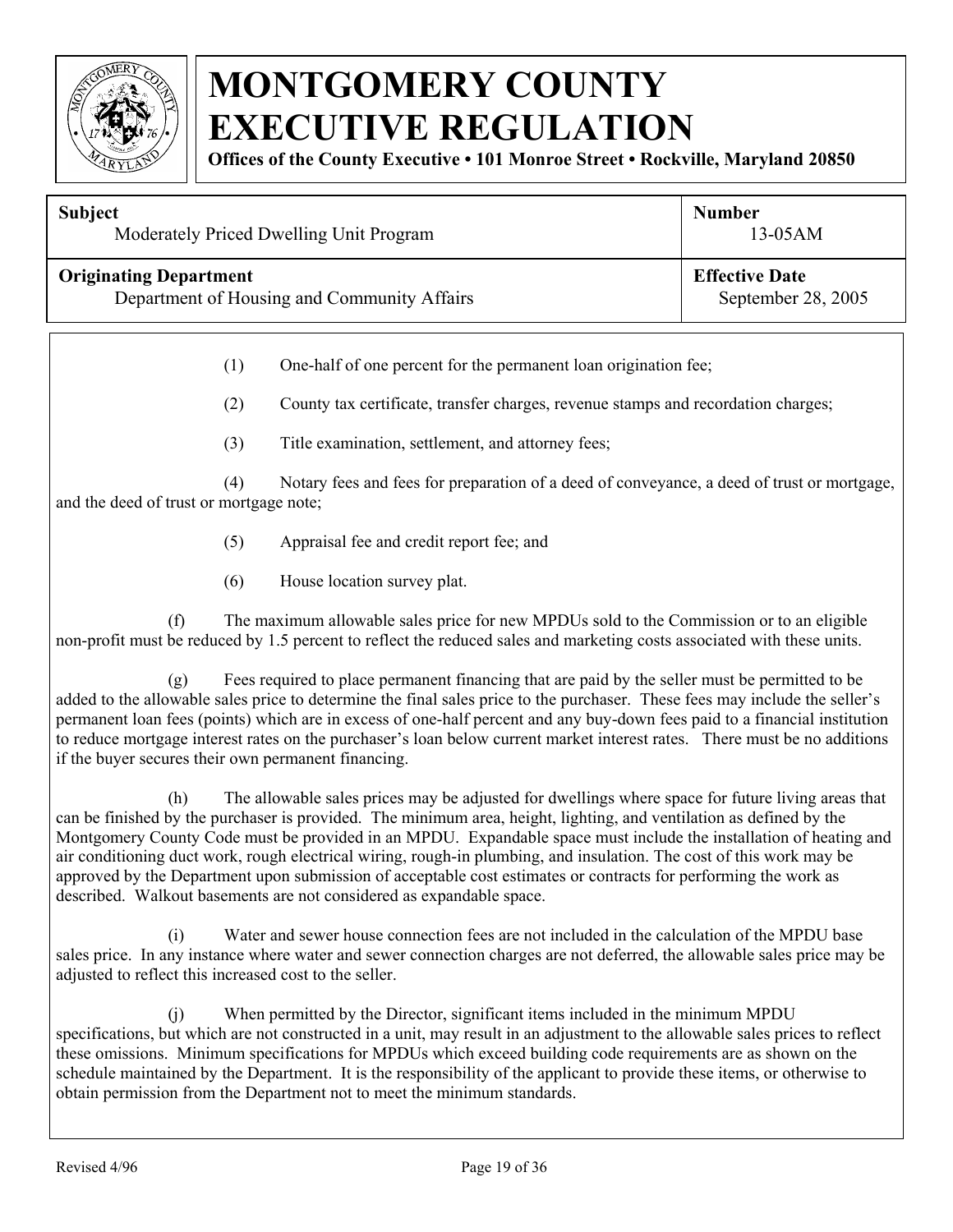

**Offices of the County Executive • 101 Monroe Street • Rockville, Maryland 20850**

| <b>Subject</b>                              | <b>Number</b>         |
|---------------------------------------------|-----------------------|
| Moderately Priced Dwelling Unit Program     | $13-05AM$             |
| <b>Originating Department</b>               | <b>Effective Date</b> |
| Department of Housing and Community Affairs | September 28, 2005    |

(1) One-half of one percent for the permanent loan origination fee;

(2) County tax certificate, transfer charges, revenue stamps and recordation charges;

(3) Title examination, settlement, and attorney fees;

(4) Notary fees and fees for preparation of a deed of conveyance, a deed of trust or mortgage, and the deed of trust or mortgage note;

- (5) Appraisal fee and credit report fee; and
- (6) House location survey plat.

(f) The maximum allowable sales price for new MPDUs sold to the Commission or to an eligible non-profit must be reduced by 1.5 percent to reflect the reduced sales and marketing costs associated with these units.

(g) Fees required to place permanent financing that are paid by the seller must be permitted to be added to the allowable sales price to determine the final sales price to the purchaser. These fees may include the seller's permanent loan fees (points) which are in excess of one-half percent and any buy-down fees paid to a financial institution to reduce mortgage interest rates on the purchaser's loan below current market interest rates. There must be no additions if the buyer secures their own permanent financing.

(h) The allowable sales prices may be adjusted for dwellings where space for future living areas that can be finished by the purchaser is provided. The minimum area, height, lighting, and ventilation as defined by the Montgomery County Code must be provided in an MPDU. Expandable space must include the installation of heating and air conditioning duct work, rough electrical wiring, rough-in plumbing, and insulation. The cost of this work may be approved by the Department upon submission of acceptable cost estimates or contracts for performing the work as described. Walkout basements are not considered as expandable space.

(i) Water and sewer house connection fees are not included in the calculation of the MPDU base sales price. In any instance where water and sewer connection charges are not deferred, the allowable sales price may be adjusted to reflect this increased cost to the seller.

(j) When permitted by the Director, significant items included in the minimum MPDU specifications, but which are not constructed in a unit, may result in an adjustment to the allowable sales prices to reflect these omissions. Minimum specifications for MPDUs which exceed building code requirements are as shown on the schedule maintained by the Department. It is the responsibility of the applicant to provide these items, or otherwise to obtain permission from the Department not to meet the minimum standards.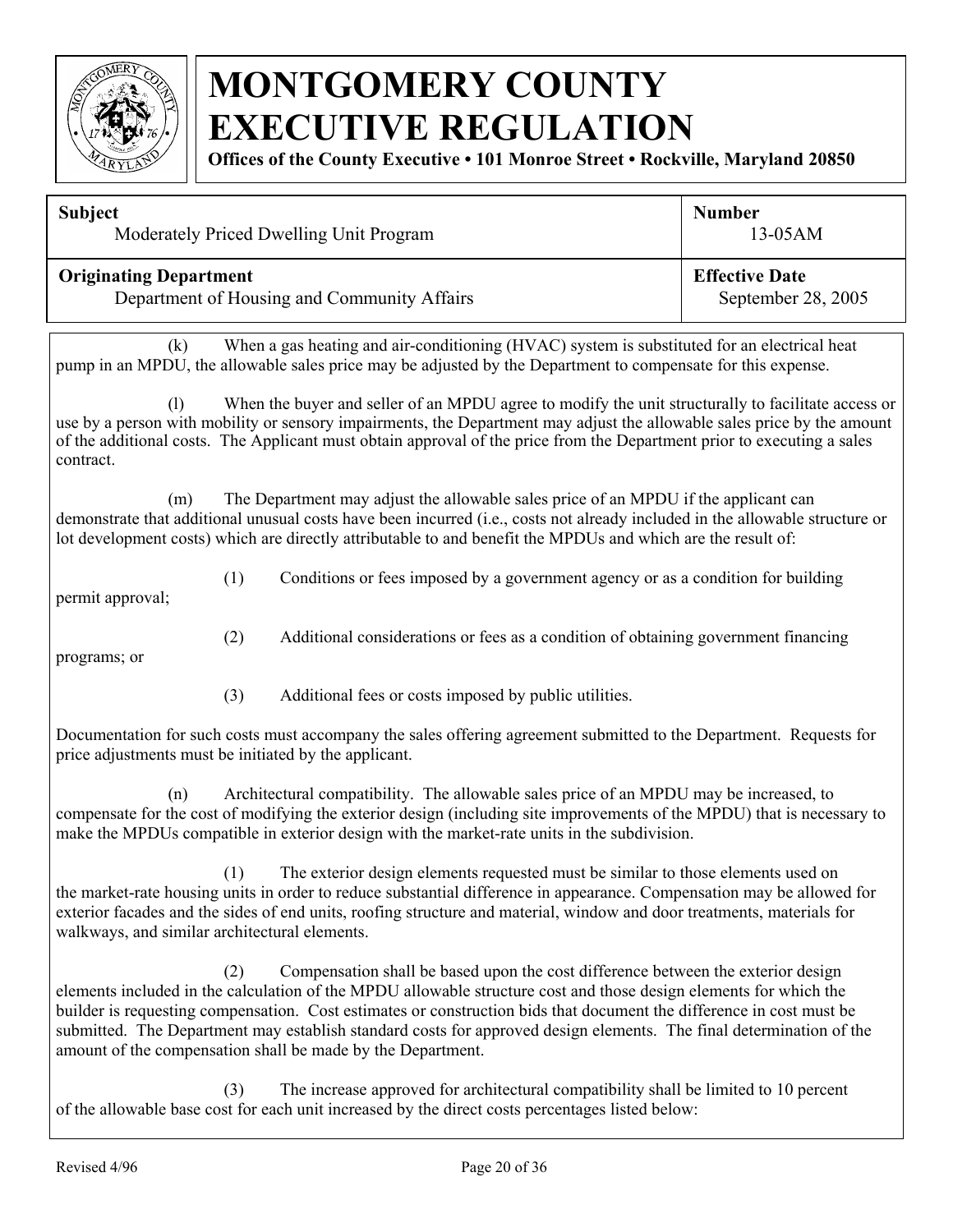

**Offices of the County Executive • 101 Monroe Street • Rockville, Maryland 20850**

| <b>Subject</b>                              | <b>Number</b>         |
|---------------------------------------------|-----------------------|
| Moderately Priced Dwelling Unit Program     | $13-05AM$             |
| <b>Originating Department</b>               | <b>Effective Date</b> |
| Department of Housing and Community Affairs | September 28, 2005    |

(k) When a gas heating and air-conditioning (HVAC) system is substituted for an electrical heat pump in an MPDU, the allowable sales price may be adjusted by the Department to compensate for this expense.

(l) When the buyer and seller of an MPDU agree to modify the unit structurally to facilitate access or use by a person with mobility or sensory impairments, the Department may adjust the allowable sales price by the amount of the additional costs. The Applicant must obtain approval of the price from the Department prior to executing a sales contract.

(m) The Department may adjust the allowable sales price of an MPDU if the applicant can demonstrate that additional unusual costs have been incurred (i.e., costs not already included in the allowable structure or lot development costs) which are directly attributable to and benefit the MPDUs and which are the result of:

(2) Additional considerations or fees as a condition of obtaining government financing

(1) Conditions or fees imposed by a government agency or as a condition for building permit approval;

programs; or

(3) Additional fees or costs imposed by public utilities.

Documentation for such costs must accompany the sales offering agreement submitted to the Department. Requests for price adjustments must be initiated by the applicant.

(n) Architectural compatibility. The allowable sales price of an MPDU may be increased, to compensate for the cost of modifying the exterior design (including site improvements of the MPDU) that is necessary to make the MPDUs compatible in exterior design with the market-rate units in the subdivision.

(1) The exterior design elements requested must be similar to those elements used on the market-rate housing units in order to reduce substantial difference in appearance. Compensation may be allowed for exterior facades and the sides of end units, roofing structure and material, window and door treatments, materials for walkways, and similar architectural elements.

(2) Compensation shall be based upon the cost difference between the exterior design elements included in the calculation of the MPDU allowable structure cost and those design elements for which the builder is requesting compensation. Cost estimates or construction bids that document the difference in cost must be submitted. The Department may establish standard costs for approved design elements. The final determination of the amount of the compensation shall be made by the Department.

(3) The increase approved for architectural compatibility shall be limited to 10 percent of the allowable base cost for each unit increased by the direct costs percentages listed below: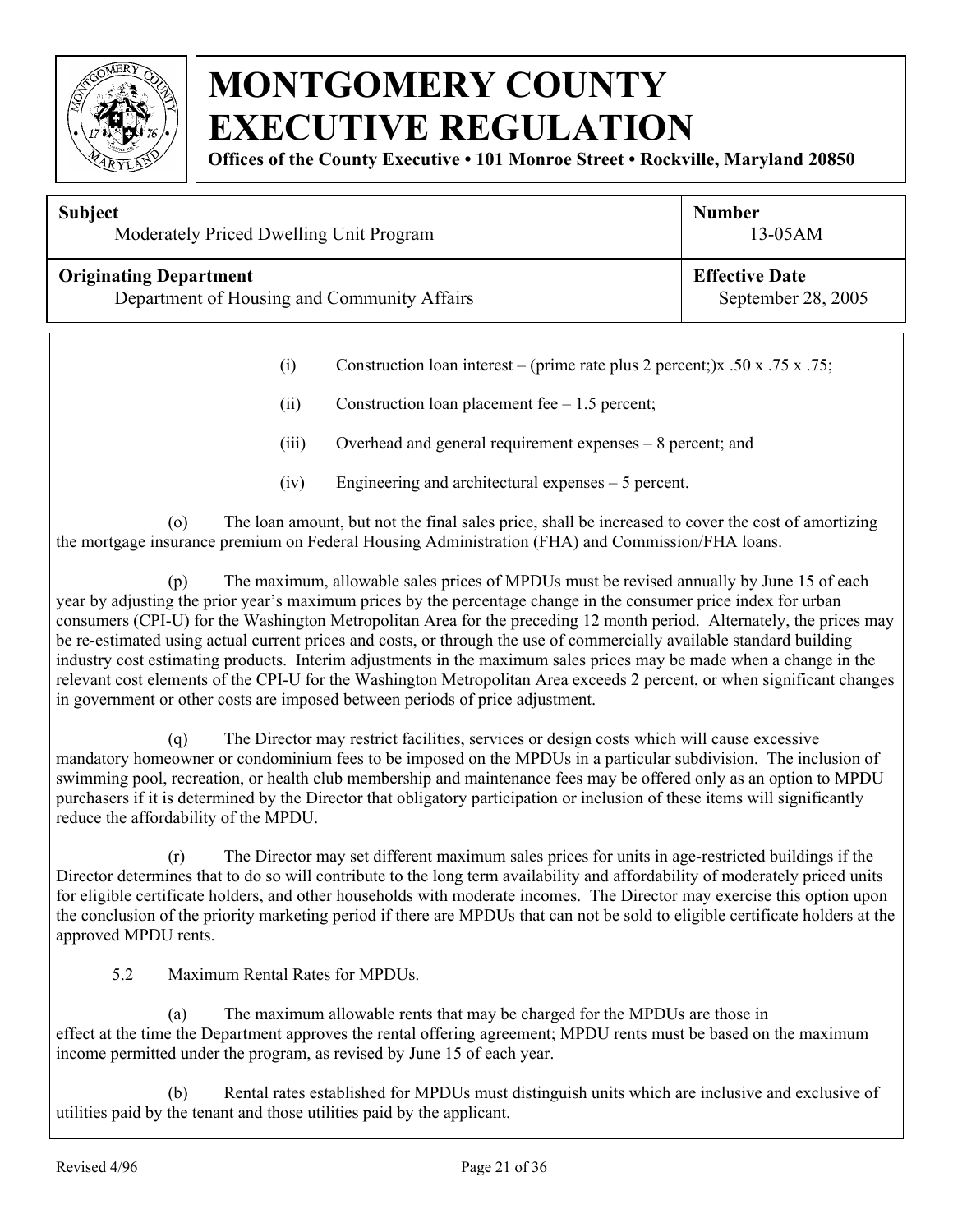

**Offices of the County Executive • 101 Monroe Street • Rockville, Maryland 20850**

| <b>Subject</b>                              | <b>Number</b>         |
|---------------------------------------------|-----------------------|
| Moderately Priced Dwelling Unit Program     | $13-05AM$             |
| <b>Originating Department</b>               | <b>Effective Date</b> |
| Department of Housing and Community Affairs | September 28, 2005    |

- (i) Construction loan interest (prime rate plus 2 percent;)x .50 x .75 x .75;
- (ii) Construction loan placement fee 1.5 percent;
- (iii) Overhead and general requirement expenses 8 percent; and
- (iv) Engineering and architectural expenses 5 percent.

(o) The loan amount, but not the final sales price, shall be increased to cover the cost of amortizing the mortgage insurance premium on Federal Housing Administration (FHA) and Commission/FHA loans.

(p) The maximum, allowable sales prices of MPDUs must be revised annually by June 15 of each year by adjusting the prior year's maximum prices by the percentage change in the consumer price index for urban consumers (CPI-U) for the Washington Metropolitan Area for the preceding 12 month period. Alternately, the prices may be re-estimated using actual current prices and costs, or through the use of commercially available standard building industry cost estimating products. Interim adjustments in the maximum sales prices may be made when a change in the relevant cost elements of the CPI-U for the Washington Metropolitan Area exceeds 2 percent, or when significant changes in government or other costs are imposed between periods of price adjustment.

(q) The Director may restrict facilities, services or design costs which will cause excessive mandatory homeowner or condominium fees to be imposed on the MPDUs in a particular subdivision. The inclusion of swimming pool, recreation, or health club membership and maintenance fees may be offered only as an option to MPDU purchasers if it is determined by the Director that obligatory participation or inclusion of these items will significantly reduce the affordability of the MPDU.

(r) The Director may set different maximum sales prices for units in age-restricted buildings if the Director determines that to do so will contribute to the long term availability and affordability of moderately priced units for eligible certificate holders, and other households with moderate incomes. The Director may exercise this option upon the conclusion of the priority marketing period if there are MPDUs that can not be sold to eligible certificate holders at the approved MPDU rents.

5.2 Maximum Rental Rates for MPDUs.

(a) The maximum allowable rents that may be charged for the MPDUs are those in effect at the time the Department approves the rental offering agreement; MPDU rents must be based on the maximum income permitted under the program, as revised by June 15 of each year.

(b) Rental rates established for MPDUs must distinguish units which are inclusive and exclusive of utilities paid by the tenant and those utilities paid by the applicant.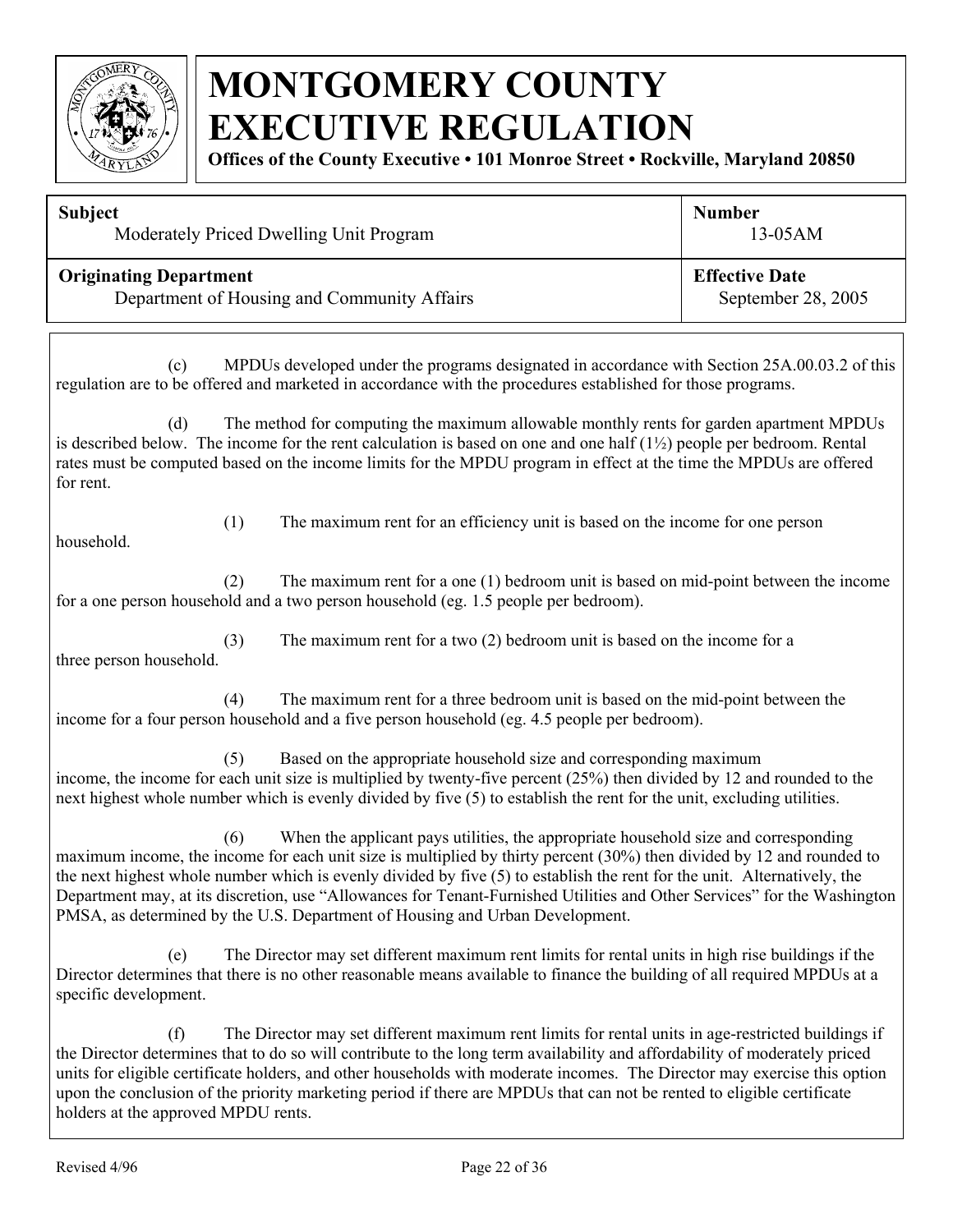

**Offices of the County Executive • 101 Monroe Street • Rockville, Maryland 20850**

| <b>Subject</b><br>Moderately Priced Dwelling Unit Program                    |                                                                                                                                                                                                                                                                                                                                                                                                                                                                                                                                                      | <b>Number</b><br>13-05AM                    |  |
|------------------------------------------------------------------------------|------------------------------------------------------------------------------------------------------------------------------------------------------------------------------------------------------------------------------------------------------------------------------------------------------------------------------------------------------------------------------------------------------------------------------------------------------------------------------------------------------------------------------------------------------|---------------------------------------------|--|
| <b>Originating Department</b><br>Department of Housing and Community Affairs |                                                                                                                                                                                                                                                                                                                                                                                                                                                                                                                                                      | <b>Effective Date</b><br>September 28, 2005 |  |
| (c)                                                                          | MPDUs developed under the programs designated in accordance with Section 25A.00.03.2 of this<br>regulation are to be offered and marketed in accordance with the procedures established for those programs.                                                                                                                                                                                                                                                                                                                                          |                                             |  |
| (d)<br>for rent.                                                             | The method for computing the maximum allowable monthly rents for garden apartment MPDUs<br>is described below. The income for the rent calculation is based on one and one half $(1\frac{1}{2})$ people per bedroom. Rental<br>rates must be computed based on the income limits for the MPDU program in effect at the time the MPDUs are offered                                                                                                                                                                                                    |                                             |  |
| (1)<br>household.                                                            | The maximum rent for an efficiency unit is based on the income for one person                                                                                                                                                                                                                                                                                                                                                                                                                                                                        |                                             |  |
| (2)                                                                          | The maximum rent for a one $(1)$ bedroom unit is based on mid-point between the income<br>for a one person household and a two person household (eg. 1.5 people per bedroom).                                                                                                                                                                                                                                                                                                                                                                        |                                             |  |
| (3)<br>three person household.                                               | The maximum rent for a two $(2)$ bedroom unit is based on the income for a                                                                                                                                                                                                                                                                                                                                                                                                                                                                           |                                             |  |
| (4)                                                                          | The maximum rent for a three bedroom unit is based on the mid-point between the<br>income for a four person household and a five person household (eg. 4.5 people per bedroom).                                                                                                                                                                                                                                                                                                                                                                      |                                             |  |
| (5)                                                                          | Based on the appropriate household size and corresponding maximum<br>income, the income for each unit size is multiplied by twenty-five percent (25%) then divided by 12 and rounded to the<br>next highest whole number which is evenly divided by five (5) to establish the rent for the unit, excluding utilities.                                                                                                                                                                                                                                |                                             |  |
| (6)                                                                          | When the applicant pays utilities, the appropriate household size and corresponding<br>maximum income, the income for each unit size is multiplied by thirty percent (30%) then divided by 12 and rounded to<br>the next highest whole number which is evenly divided by five (5) to establish the rent for the unit. Alternatively, the<br>Department may, at its discretion, use "Allowances for Tenant-Furnished Utilities and Other Services" for the Washington<br>PMSA, as determined by the U.S. Department of Housing and Urban Development. |                                             |  |
| (e)<br>specific development.                                                 | The Director may set different maximum rent limits for rental units in high rise buildings if the<br>Director determines that there is no other reasonable means available to finance the building of all required MPDUs at a                                                                                                                                                                                                                                                                                                                        |                                             |  |
|                                                                              |                                                                                                                                                                                                                                                                                                                                                                                                                                                                                                                                                      |                                             |  |

(f) The Director may set different maximum rent limits for rental units in age-restricted buildings if the Director determines that to do so will contribute to the long term availability and affordability of moderately priced units for eligible certificate holders, and other households with moderate incomes. The Director may exercise this option upon the conclusion of the priority marketing period if there are MPDUs that can not be rented to eligible certificate holders at the approved MPDU rents.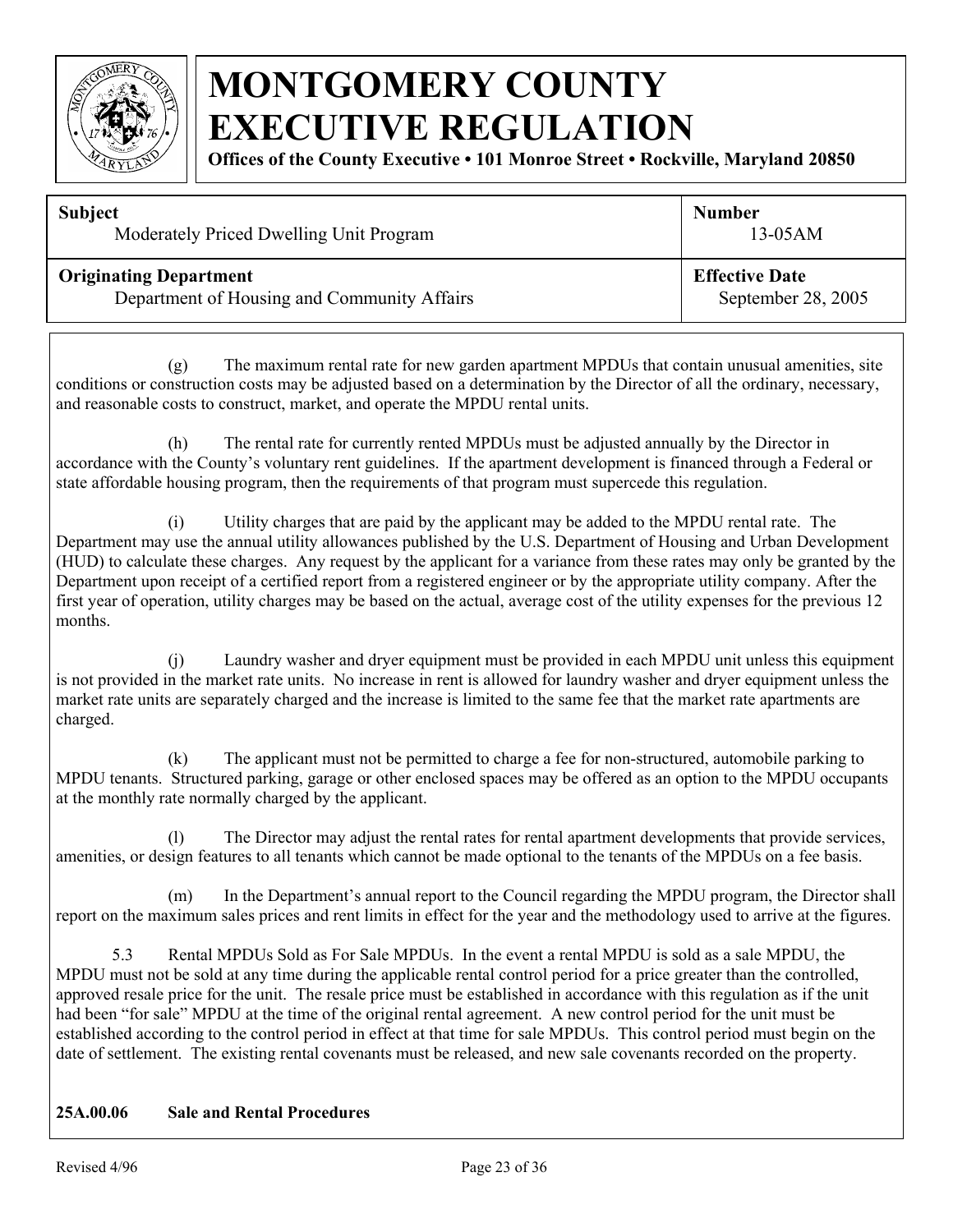

**Offices of the County Executive • 101 Monroe Street • Rockville, Maryland 20850**

| <b>Subject</b>                              | <b>Number</b>         |
|---------------------------------------------|-----------------------|
| Moderately Priced Dwelling Unit Program     | $13-05AM$             |
| <b>Originating Department</b>               | <b>Effective Date</b> |
| Department of Housing and Community Affairs | September 28, 2005    |

(g) The maximum rental rate for new garden apartment MPDUs that contain unusual amenities, site conditions or construction costs may be adjusted based on a determination by the Director of all the ordinary, necessary, and reasonable costs to construct, market, and operate the MPDU rental units.

(h) The rental rate for currently rented MPDUs must be adjusted annually by the Director in accordance with the County's voluntary rent guidelines. If the apartment development is financed through a Federal or state affordable housing program, then the requirements of that program must supercede this regulation.

(i) Utility charges that are paid by the applicant may be added to the MPDU rental rate. The Department may use the annual utility allowances published by the U.S. Department of Housing and Urban Development (HUD) to calculate these charges. Any request by the applicant for a variance from these rates may only be granted by the Department upon receipt of a certified report from a registered engineer or by the appropriate utility company. After the first year of operation, utility charges may be based on the actual, average cost of the utility expenses for the previous 12 months.

(j) Laundry washer and dryer equipment must be provided in each MPDU unit unless this equipment is not provided in the market rate units. No increase in rent is allowed for laundry washer and dryer equipment unless the market rate units are separately charged and the increase is limited to the same fee that the market rate apartments are charged.

(k) The applicant must not be permitted to charge a fee for non-structured, automobile parking to MPDU tenants. Structured parking, garage or other enclosed spaces may be offered as an option to the MPDU occupants at the monthly rate normally charged by the applicant.

(l) The Director may adjust the rental rates for rental apartment developments that provide services, amenities, or design features to all tenants which cannot be made optional to the tenants of the MPDUs on a fee basis.

(m) In the Department's annual report to the Council regarding the MPDU program, the Director shall report on the maximum sales prices and rent limits in effect for the year and the methodology used to arrive at the figures.

5.3 Rental MPDUs Sold as For Sale MPDUs. In the event a rental MPDU is sold as a sale MPDU, the MPDU must not be sold at any time during the applicable rental control period for a price greater than the controlled, approved resale price for the unit. The resale price must be established in accordance with this regulation as if the unit had been "for sale" MPDU at the time of the original rental agreement. A new control period for the unit must be established according to the control period in effect at that time for sale MPDUs. This control period must begin on the date of settlement. The existing rental covenants must be released, and new sale covenants recorded on the property.

#### **25A.00.06 Sale and Rental Procedures**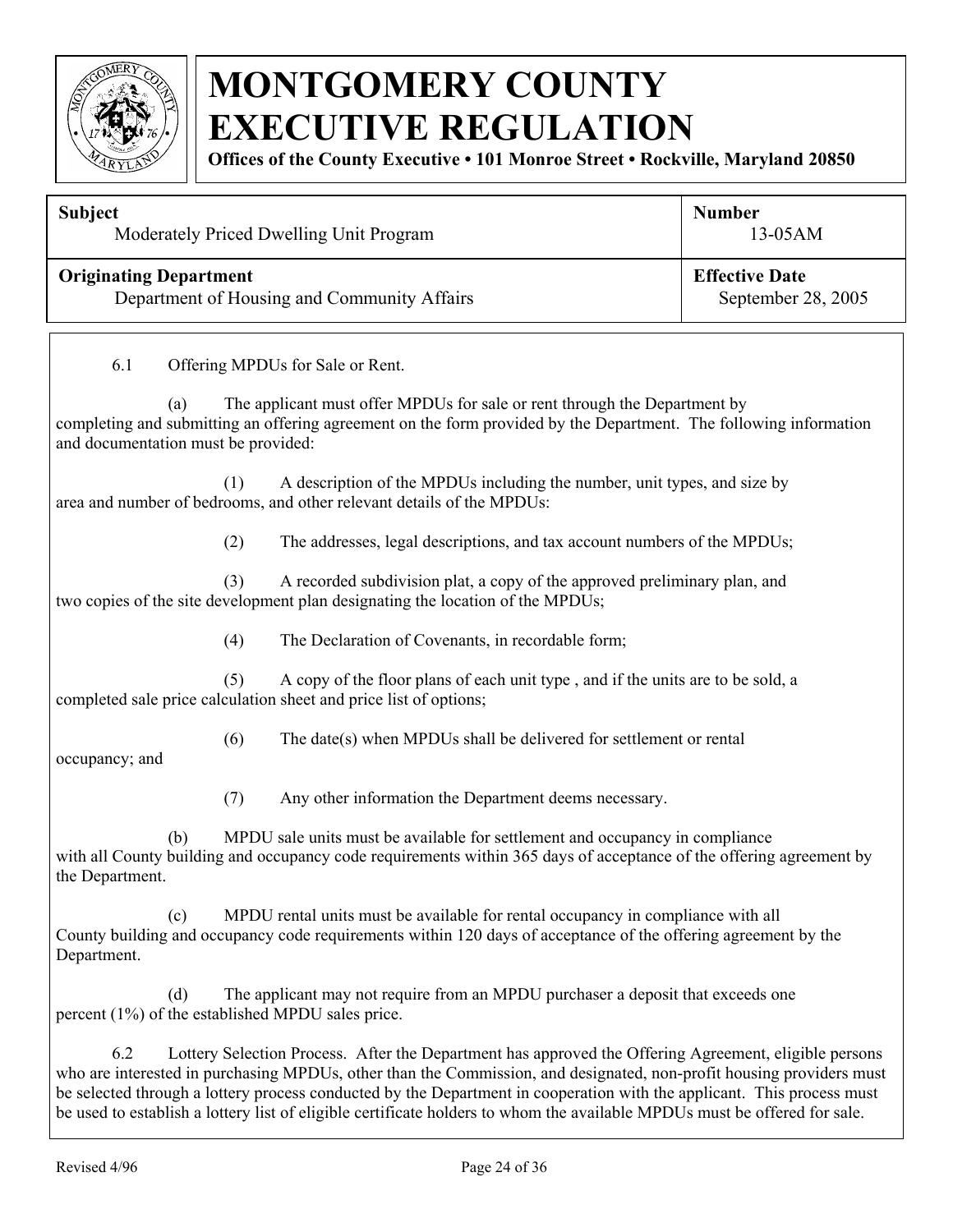

**Offices of the County Executive • 101 Monroe Street • Rockville, Maryland 20850**

| <b>Subject</b><br>Moderately Priced Dwelling Unit Program                                             |     |                                                                                                                                                                                                                               | <b>Number</b><br>13-05AM |  |
|-------------------------------------------------------------------------------------------------------|-----|-------------------------------------------------------------------------------------------------------------------------------------------------------------------------------------------------------------------------------|--------------------------|--|
| <b>Effective Date</b><br><b>Originating Department</b><br>Department of Housing and Community Affairs |     | September 28, 2005                                                                                                                                                                                                            |                          |  |
| 6.1                                                                                                   |     | Offering MPDUs for Sale or Rent.                                                                                                                                                                                              |                          |  |
| (a)<br>and documentation must be provided:                                                            |     | The applicant must offer MPDUs for sale or rent through the Department by<br>completing and submitting an offering agreement on the form provided by the Department. The following information                                |                          |  |
|                                                                                                       | (1) | A description of the MPDUs including the number, unit types, and size by<br>area and number of bedrooms, and other relevant details of the MPDUs:                                                                             |                          |  |
|                                                                                                       | (2) | The addresses, legal descriptions, and tax account numbers of the MPDUs;                                                                                                                                                      |                          |  |
|                                                                                                       | (3) | A recorded subdivision plat, a copy of the approved preliminary plan, and<br>two copies of the site development plan designating the location of the MPDUs;                                                                   |                          |  |
|                                                                                                       | (4) | The Declaration of Covenants, in recordable form;                                                                                                                                                                             |                          |  |
|                                                                                                       | (5) | A copy of the floor plans of each unit type, and if the units are to be sold, a<br>completed sale price calculation sheet and price list of options;                                                                          |                          |  |
| occupancy; and                                                                                        | (6) | The date(s) when MPDUs shall be delivered for settlement or rental                                                                                                                                                            |                          |  |
|                                                                                                       | (7) | Any other information the Department deems necessary.                                                                                                                                                                         |                          |  |
| (b)<br>the Department.                                                                                |     | MPDU sale units must be available for settlement and occupancy in compliance<br>with all County building and occupancy code requirements within 365 days of acceptance of the offering agreement by                           |                          |  |
| (c)<br>Department.                                                                                    |     | MPDU rental units must be available for rental occupancy in compliance with all<br>County building and occupancy code requirements within 120 days of acceptance of the offering agreement by the                             |                          |  |
| (d)                                                                                                   |     | The applicant may not require from an MPDU purchaser a deposit that exceeds one<br>percent (1%) of the established MPDU sales price.                                                                                          |                          |  |
| 6.2                                                                                                   |     | Lottery Selection Process. After the Department has approved the Offering Agreement, eligible persons<br>who are interested in purchasing MPDUs, other than the Commission, and designated, non-profit housing providers must |                          |  |

be selected through a lottery process conducted by the Department in cooperation with the applicant. This process must be used to establish a lottery list of eligible certificate holders to whom the available MPDUs must be offered for sale.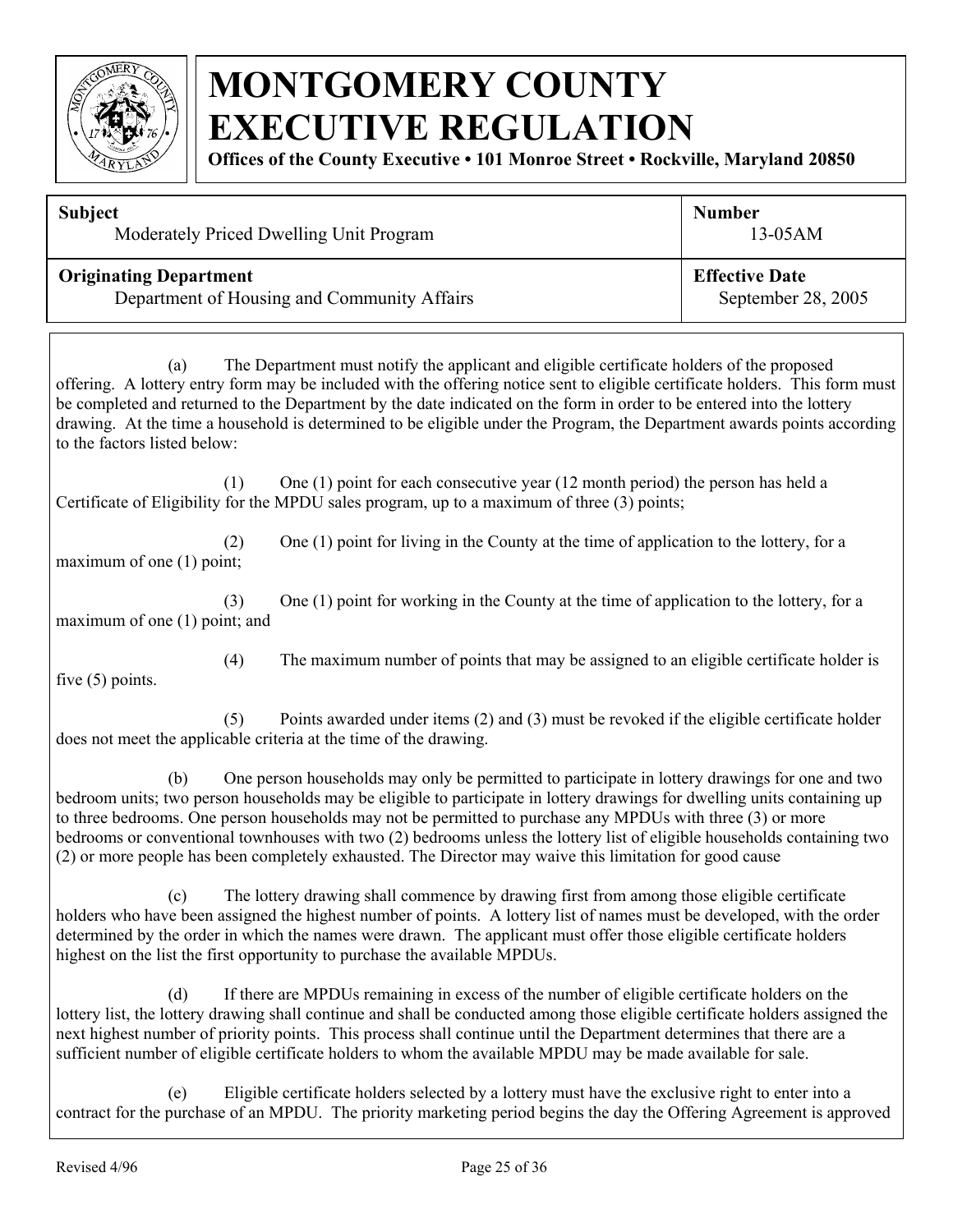

**Offices of the County Executive • 101 Monroe Street • Rockville, Maryland 20850**

| <b>Subject</b>                                                                                                                                                                                                                                                                                                                                                                                                                                                                                                       | <b>Number</b>         |
|----------------------------------------------------------------------------------------------------------------------------------------------------------------------------------------------------------------------------------------------------------------------------------------------------------------------------------------------------------------------------------------------------------------------------------------------------------------------------------------------------------------------|-----------------------|
| Moderately Priced Dwelling Unit Program                                                                                                                                                                                                                                                                                                                                                                                                                                                                              | $13-05AM$             |
| <b>Originating Department</b>                                                                                                                                                                                                                                                                                                                                                                                                                                                                                        | <b>Effective Date</b> |
| Department of Housing and Community Affairs                                                                                                                                                                                                                                                                                                                                                                                                                                                                          | September 28, 2005    |
| The Department must notify the applicant and eligible certificate holders of the proposed<br>(a)<br>offering. A lottery entry form may be included with the offering notice sent to eligible certificate holders. This form must<br>be completed and returned to the Department by the date indicated on the form in order to be entered into the lottery<br>drawing. At the time a household is determined to be eligible under the Program, the Department awards points according<br>to the factors listed below: |                       |

(1) One (1) point for each consecutive year (12 month period) the person has held a Certificate of Eligibility for the MPDU sales program, up to a maximum of three (3) points;

(2) One (1) point for living in the County at the time of application to the lottery, for a maximum of one (1) point;

(3) One (1) point for working in the County at the time of application to the lottery, for a maximum of one (1) point; and

(4) The maximum number of points that may be assigned to an eligible certificate holder is

five  $(5)$  points.

(5) Points awarded under items (2) and (3) must be revoked if the eligible certificate holder does not meet the applicable criteria at the time of the drawing.

(b) One person households may only be permitted to participate in lottery drawings for one and two bedroom units; two person households may be eligible to participate in lottery drawings for dwelling units containing up to three bedrooms. One person households may not be permitted to purchase any MPDUs with three (3) or more bedrooms or conventional townhouses with two (2) bedrooms unless the lottery list of eligible households containing two (2) or more people has been completely exhausted. The Director may waive this limitation for good cause

(c) The lottery drawing shall commence by drawing first from among those eligible certificate holders who have been assigned the highest number of points. A lottery list of names must be developed, with the order determined by the order in which the names were drawn. The applicant must offer those eligible certificate holders highest on the list the first opportunity to purchase the available MPDUs.

 (d) If there are MPDUs remaining in excess of the number of eligible certificate holders on the lottery list, the lottery drawing shall continue and shall be conducted among those eligible certificate holders assigned the next highest number of priority points. This process shall continue until the Department determines that there are a sufficient number of eligible certificate holders to whom the available MPDU may be made available for sale.

(e) Eligible certificate holders selected by a lottery must have the exclusive right to enter into a contract for the purchase of an MPDU. The priority marketing period begins the day the Offering Agreement is approved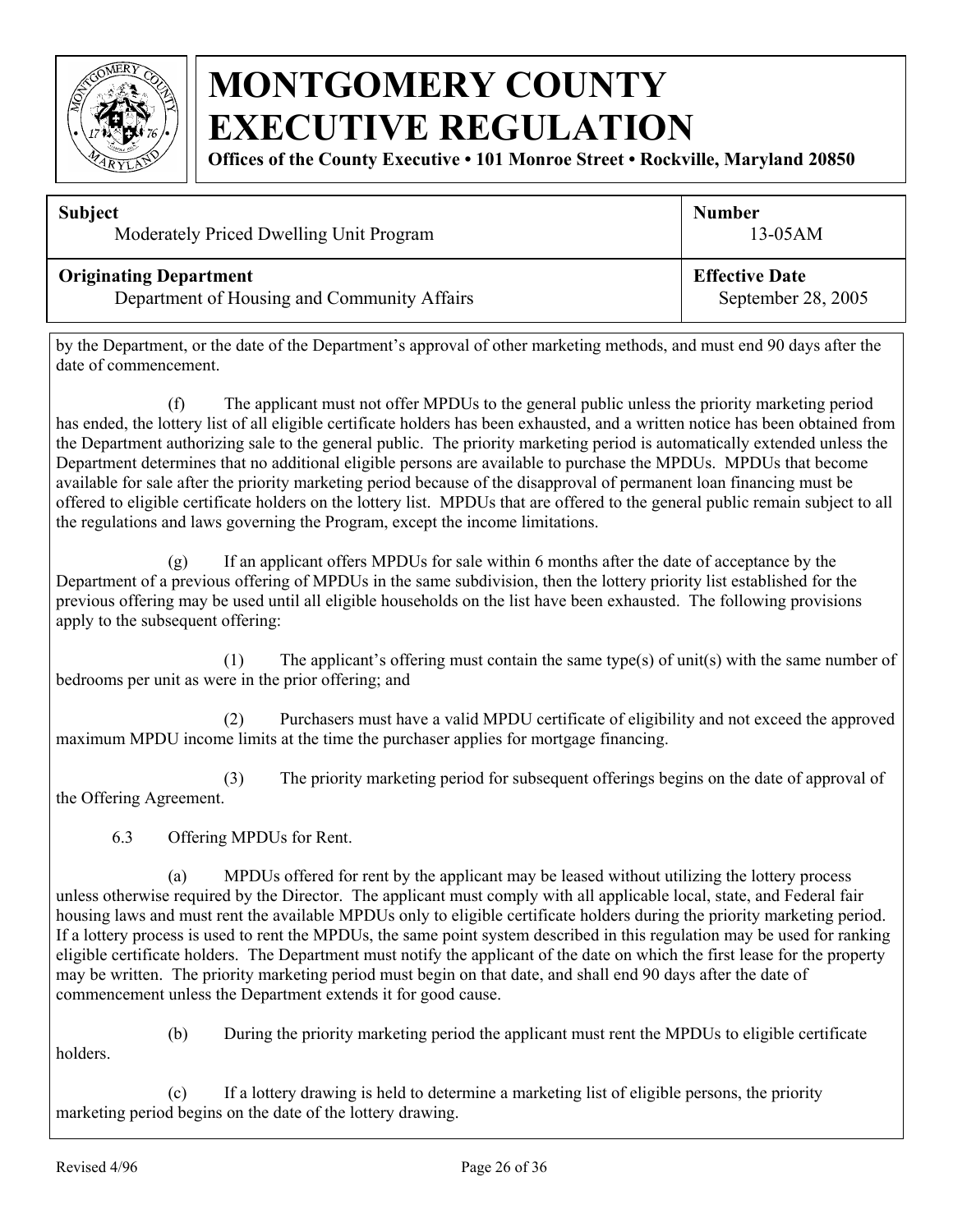

**Offices of the County Executive • 101 Monroe Street • Rockville, Maryland 20850**

| <b>Subject</b>                              | <b>Number</b>         |
|---------------------------------------------|-----------------------|
| Moderately Priced Dwelling Unit Program     | $13-05AM$             |
| <b>Originating Department</b>               | <b>Effective Date</b> |
| Department of Housing and Community Affairs | September 28, 2005    |

by the Department, or the date of the Department's approval of other marketing methods, and must end 90 days after the date of commencement.

(f) The applicant must not offer MPDUs to the general public unless the priority marketing period has ended, the lottery list of all eligible certificate holders has been exhausted, and a written notice has been obtained from the Department authorizing sale to the general public. The priority marketing period is automatically extended unless the Department determines that no additional eligible persons are available to purchase the MPDUs. MPDUs that become available for sale after the priority marketing period because of the disapproval of permanent loan financing must be offered to eligible certificate holders on the lottery list. MPDUs that are offered to the general public remain subject to all the regulations and laws governing the Program, except the income limitations.

(g) If an applicant offers MPDUs for sale within 6 months after the date of acceptance by the Department of a previous offering of MPDUs in the same subdivision, then the lottery priority list established for the previous offering may be used until all eligible households on the list have been exhausted. The following provisions apply to the subsequent offering:

(1) The applicant's offering must contain the same type(s) of unit(s) with the same number of bedrooms per unit as were in the prior offering; and

(2) Purchasers must have a valid MPDU certificate of eligibility and not exceed the approved maximum MPDU income limits at the time the purchaser applies for mortgage financing.

(3) The priority marketing period for subsequent offerings begins on the date of approval of the Offering Agreement.

6.3 Offering MPDUs for Rent.

(a) MPDUs offered for rent by the applicant may be leased without utilizing the lottery process unless otherwise required by the Director. The applicant must comply with all applicable local, state, and Federal fair housing laws and must rent the available MPDUs only to eligible certificate holders during the priority marketing period. If a lottery process is used to rent the MPDUs, the same point system described in this regulation may be used for ranking eligible certificate holders. The Department must notify the applicant of the date on which the first lease for the property may be written. The priority marketing period must begin on that date, and shall end 90 days after the date of commencement unless the Department extends it for good cause.

holders.

(b) During the priority marketing period the applicant must rent the MPDUs to eligible certificate

(c) If a lottery drawing is held to determine a marketing list of eligible persons, the priority marketing period begins on the date of the lottery drawing.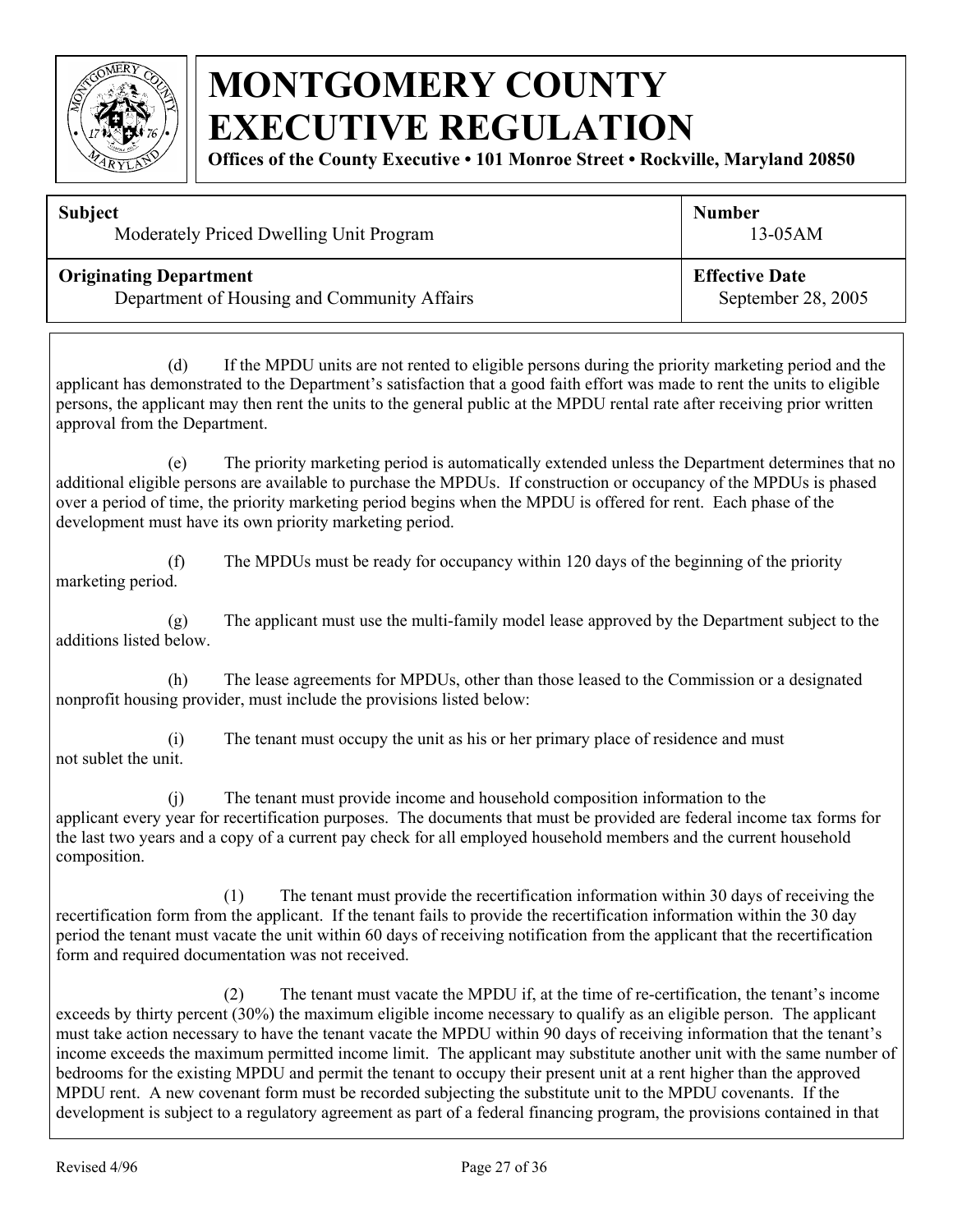

**Offices of the County Executive • 101 Monroe Street • Rockville, Maryland 20850**

| <b>Subject</b>                              | <b>Number</b>         |  |
|---------------------------------------------|-----------------------|--|
| Moderately Priced Dwelling Unit Program     | $13-05AM$             |  |
| <b>Originating Department</b>               | <b>Effective Date</b> |  |
| Department of Housing and Community Affairs | September 28, 2005    |  |

(d) If the MPDU units are not rented to eligible persons during the priority marketing period and the applicant has demonstrated to the Department's satisfaction that a good faith effort was made to rent the units to eligible persons, the applicant may then rent the units to the general public at the MPDU rental rate after receiving prior written approval from the Department.

(e) The priority marketing period is automatically extended unless the Department determines that no additional eligible persons are available to purchase the MPDUs. If construction or occupancy of the MPDUs is phased over a period of time, the priority marketing period begins when the MPDU is offered for rent. Each phase of the development must have its own priority marketing period.

(f) The MPDUs must be ready for occupancy within 120 days of the beginning of the priority marketing period.

(g) The applicant must use the multi-family model lease approved by the Department subject to the additions listed below.

(h) The lease agreements for MPDUs, other than those leased to the Commission or a designated nonprofit housing provider, must include the provisions listed below:

(i) The tenant must occupy the unit as his or her primary place of residence and must not sublet the unit.

(j) The tenant must provide income and household composition information to the applicant every year for recertification purposes. The documents that must be provided are federal income tax forms for the last two years and a copy of a current pay check for all employed household members and the current household composition.

(1) The tenant must provide the recertification information within 30 days of receiving the recertification form from the applicant. If the tenant fails to provide the recertification information within the 30 day period the tenant must vacate the unit within 60 days of receiving notification from the applicant that the recertification form and required documentation was not received.

(2) The tenant must vacate the MPDU if, at the time of re-certification, the tenant's income exceeds by thirty percent (30%) the maximum eligible income necessary to qualify as an eligible person. The applicant must take action necessary to have the tenant vacate the MPDU within 90 days of receiving information that the tenant's income exceeds the maximum permitted income limit. The applicant may substitute another unit with the same number of bedrooms for the existing MPDU and permit the tenant to occupy their present unit at a rent higher than the approved MPDU rent. A new covenant form must be recorded subjecting the substitute unit to the MPDU covenants. If the development is subject to a regulatory agreement as part of a federal financing program, the provisions contained in that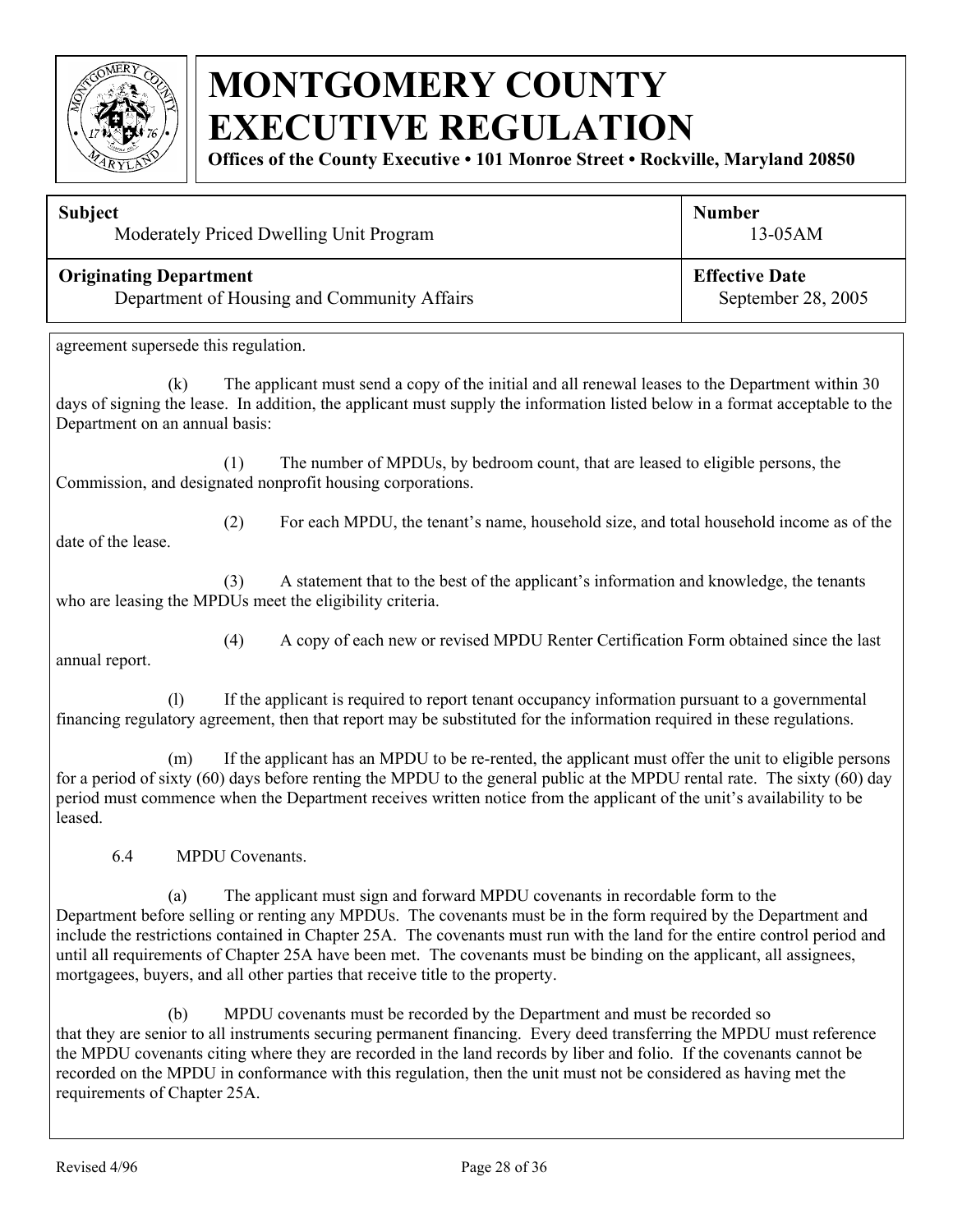

**Offices of the County Executive • 101 Monroe Street • Rockville, Maryland 20850**

| <b>Subject</b>                                                                                                      | Moderately Priced Dwelling Unit Program                                                                                                                                                                                                                                                                                                                                                                                                                                                                                               | <b>Number</b><br>13-05AM                    |
|---------------------------------------------------------------------------------------------------------------------|---------------------------------------------------------------------------------------------------------------------------------------------------------------------------------------------------------------------------------------------------------------------------------------------------------------------------------------------------------------------------------------------------------------------------------------------------------------------------------------------------------------------------------------|---------------------------------------------|
| <b>Originating Department</b>                                                                                       | Department of Housing and Community Affairs                                                                                                                                                                                                                                                                                                                                                                                                                                                                                           | <b>Effective Date</b><br>September 28, 2005 |
| agreement supersede this regulation.                                                                                |                                                                                                                                                                                                                                                                                                                                                                                                                                                                                                                                       |                                             |
| (k)<br>Department on an annual basis:                                                                               | The applicant must send a copy of the initial and all renewal leases to the Department within 30<br>days of signing the lease. In addition, the applicant must supply the information listed below in a format acceptable to the                                                                                                                                                                                                                                                                                                      |                                             |
|                                                                                                                     | (1)<br>The number of MPDUs, by bedroom count, that are leased to eligible persons, the<br>Commission, and designated nonprofit housing corporations.                                                                                                                                                                                                                                                                                                                                                                                  |                                             |
| (2)<br>For each MPDU, the tenant's name, household size, and total household income as of the<br>date of the lease. |                                                                                                                                                                                                                                                                                                                                                                                                                                                                                                                                       |                                             |
|                                                                                                                     | (3)<br>A statement that to the best of the applicant's information and knowledge, the tenants<br>who are leasing the MPDUs meet the eligibility criteria.                                                                                                                                                                                                                                                                                                                                                                             |                                             |
| annual report.                                                                                                      | (4)<br>A copy of each new or revised MPDU Renter Certification Form obtained since the last                                                                                                                                                                                                                                                                                                                                                                                                                                           |                                             |
| (1)                                                                                                                 | If the applicant is required to report tenant occupancy information pursuant to a governmental<br>financing regulatory agreement, then that report may be substituted for the information required in these regulations.                                                                                                                                                                                                                                                                                                              |                                             |
| (m)<br>leased.                                                                                                      | If the applicant has an MPDU to be re-rented, the applicant must offer the unit to eligible persons<br>for a period of sixty (60) days before renting the MPDU to the general public at the MPDU rental rate. The sixty (60) day<br>period must commence when the Department receives written notice from the applicant of the unit's availability to be                                                                                                                                                                              |                                             |
| 6.4                                                                                                                 | MPDU Covenants.                                                                                                                                                                                                                                                                                                                                                                                                                                                                                                                       |                                             |
| (a)                                                                                                                 | The applicant must sign and forward MPDU covenants in recordable form to the<br>Department before selling or renting any MPDUs. The covenants must be in the form required by the Department and<br>include the restrictions contained in Chapter 25A. The covenants must run with the land for the entire control period and<br>until all requirements of Chapter 25A have been met. The covenants must be binding on the applicant, all assignees,<br>mortgagees, buyers, and all other parties that receive title to the property. |                                             |
| (b)<br>requirements of Chapter 25A.                                                                                 | MPDU covenants must be recorded by the Department and must be recorded so<br>that they are senior to all instruments securing permanent financing. Every deed transferring the MPDU must reference<br>the MPDU covenants citing where they are recorded in the land records by liber and folio. If the covenants cannot be<br>recorded on the MPDU in conformance with this regulation, then the unit must not be considered as having met the                                                                                        |                                             |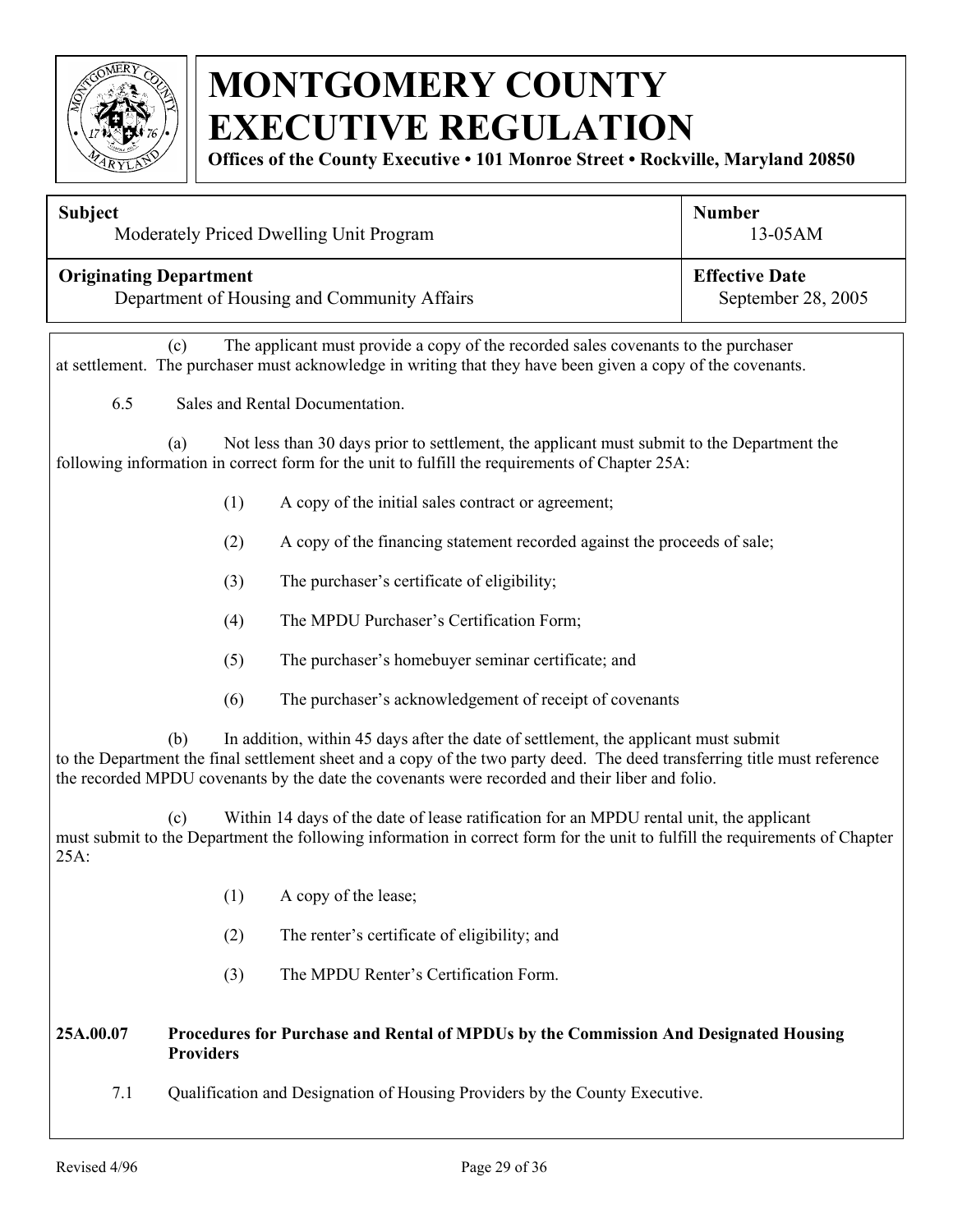

**Offices of the County Executive • 101 Monroe Street • Rockville, Maryland 20850**

| <b>Subject</b>                |                  | Moderately Priced Dwelling Unit Program                                                                                                                                                                                                                                                                            | <b>Number</b><br>13-05AM                    |
|-------------------------------|------------------|--------------------------------------------------------------------------------------------------------------------------------------------------------------------------------------------------------------------------------------------------------------------------------------------------------------------|---------------------------------------------|
| <b>Originating Department</b> |                  | Department of Housing and Community Affairs                                                                                                                                                                                                                                                                        | <b>Effective Date</b><br>September 28, 2005 |
|                               | (c)              | The applicant must provide a copy of the recorded sales covenants to the purchaser<br>at settlement. The purchaser must acknowledge in writing that they have been given a copy of the covenants.                                                                                                                  |                                             |
| 6.5                           |                  | Sales and Rental Documentation.                                                                                                                                                                                                                                                                                    |                                             |
|                               | (a)              | Not less than 30 days prior to settlement, the applicant must submit to the Department the<br>following information in correct form for the unit to fulfill the requirements of Chapter 25A:                                                                                                                       |                                             |
|                               | (1)              | A copy of the initial sales contract or agreement;                                                                                                                                                                                                                                                                 |                                             |
|                               | (2)              | A copy of the financing statement recorded against the proceeds of sale;                                                                                                                                                                                                                                           |                                             |
|                               | (3)              | The purchaser's certificate of eligibility;                                                                                                                                                                                                                                                                        |                                             |
|                               | (4)              | The MPDU Purchaser's Certification Form;                                                                                                                                                                                                                                                                           |                                             |
|                               | (5)              | The purchaser's homebuyer seminar certificate; and                                                                                                                                                                                                                                                                 |                                             |
|                               | (6)              | The purchaser's acknowledgement of receipt of covenants                                                                                                                                                                                                                                                            |                                             |
|                               | (b)              | In addition, within 45 days after the date of settlement, the applicant must submit<br>to the Department the final settlement sheet and a copy of the two party deed. The deed transferring title must reference<br>the recorded MPDU covenants by the date the covenants were recorded and their liber and folio. |                                             |
| 25A:                          | (c)              | Within 14 days of the date of lease ratification for an MPDU rental unit, the applicant<br>must submit to the Department the following information in correct form for the unit to fulfill the requirements of Chapter                                                                                             |                                             |
|                               |                  | (1) A copy of the lease;                                                                                                                                                                                                                                                                                           |                                             |
|                               | (2)              | The renter's certificate of eligibility; and                                                                                                                                                                                                                                                                       |                                             |
|                               | (3)              | The MPDU Renter's Certification Form.                                                                                                                                                                                                                                                                              |                                             |
| 25A.00.07                     | <b>Providers</b> | Procedures for Purchase and Rental of MPDUs by the Commission And Designated Housing                                                                                                                                                                                                                               |                                             |
| 7.1                           |                  | Qualification and Designation of Housing Providers by the County Executive.                                                                                                                                                                                                                                        |                                             |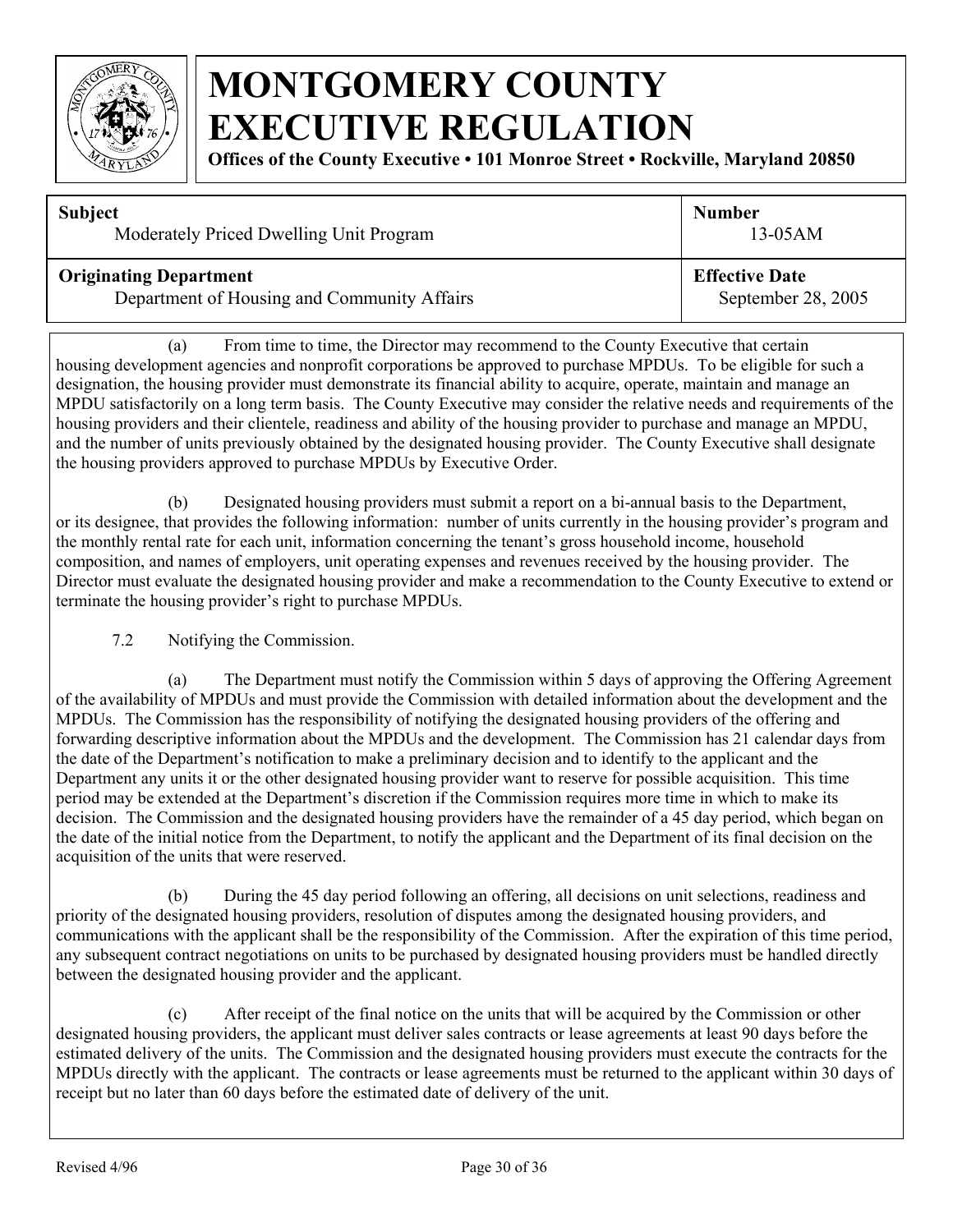

**Offices of the County Executive • 101 Monroe Street • Rockville, Maryland 20850**

| <b>Subject</b>                              | <b>Number</b>         |
|---------------------------------------------|-----------------------|
| Moderately Priced Dwelling Unit Program     | $13-05AM$             |
| <b>Originating Department</b>               | <b>Effective Date</b> |
| Department of Housing and Community Affairs | September 28, 2005    |

(a) From time to time, the Director may recommend to the County Executive that certain housing development agencies and nonprofit corporations be approved to purchase MPDUs. To be eligible for such a designation, the housing provider must demonstrate its financial ability to acquire, operate, maintain and manage an MPDU satisfactorily on a long term basis. The County Executive may consider the relative needs and requirements of the housing providers and their clientele, readiness and ability of the housing provider to purchase and manage an MPDU, and the number of units previously obtained by the designated housing provider. The County Executive shall designate the housing providers approved to purchase MPDUs by Executive Order.

(b) Designated housing providers must submit a report on a bi-annual basis to the Department, or its designee, that provides the following information: number of units currently in the housing provider's program and the monthly rental rate for each unit, information concerning the tenant's gross household income, household composition, and names of employers, unit operating expenses and revenues received by the housing provider. The Director must evaluate the designated housing provider and make a recommendation to the County Executive to extend or terminate the housing provider's right to purchase MPDUs.

#### 7.2 Notifying the Commission.

(a) The Department must notify the Commission within 5 days of approving the Offering Agreement of the availability of MPDUs and must provide the Commission with detailed information about the development and the MPDUs. The Commission has the responsibility of notifying the designated housing providers of the offering and forwarding descriptive information about the MPDUs and the development. The Commission has 21 calendar days from the date of the Department's notification to make a preliminary decision and to identify to the applicant and the Department any units it or the other designated housing provider want to reserve for possible acquisition. This time period may be extended at the Department's discretion if the Commission requires more time in which to make its decision. The Commission and the designated housing providers have the remainder of a 45 day period, which began on the date of the initial notice from the Department, to notify the applicant and the Department of its final decision on the acquisition of the units that were reserved.

(b) During the 45 day period following an offering, all decisions on unit selections, readiness and priority of the designated housing providers, resolution of disputes among the designated housing providers, and communications with the applicant shall be the responsibility of the Commission. After the expiration of this time period, any subsequent contract negotiations on units to be purchased by designated housing providers must be handled directly between the designated housing provider and the applicant.

(c) After receipt of the final notice on the units that will be acquired by the Commission or other designated housing providers, the applicant must deliver sales contracts or lease agreements at least 90 days before the estimated delivery of the units. The Commission and the designated housing providers must execute the contracts for the MPDUs directly with the applicant. The contracts or lease agreements must be returned to the applicant within 30 days of receipt but no later than 60 days before the estimated date of delivery of the unit.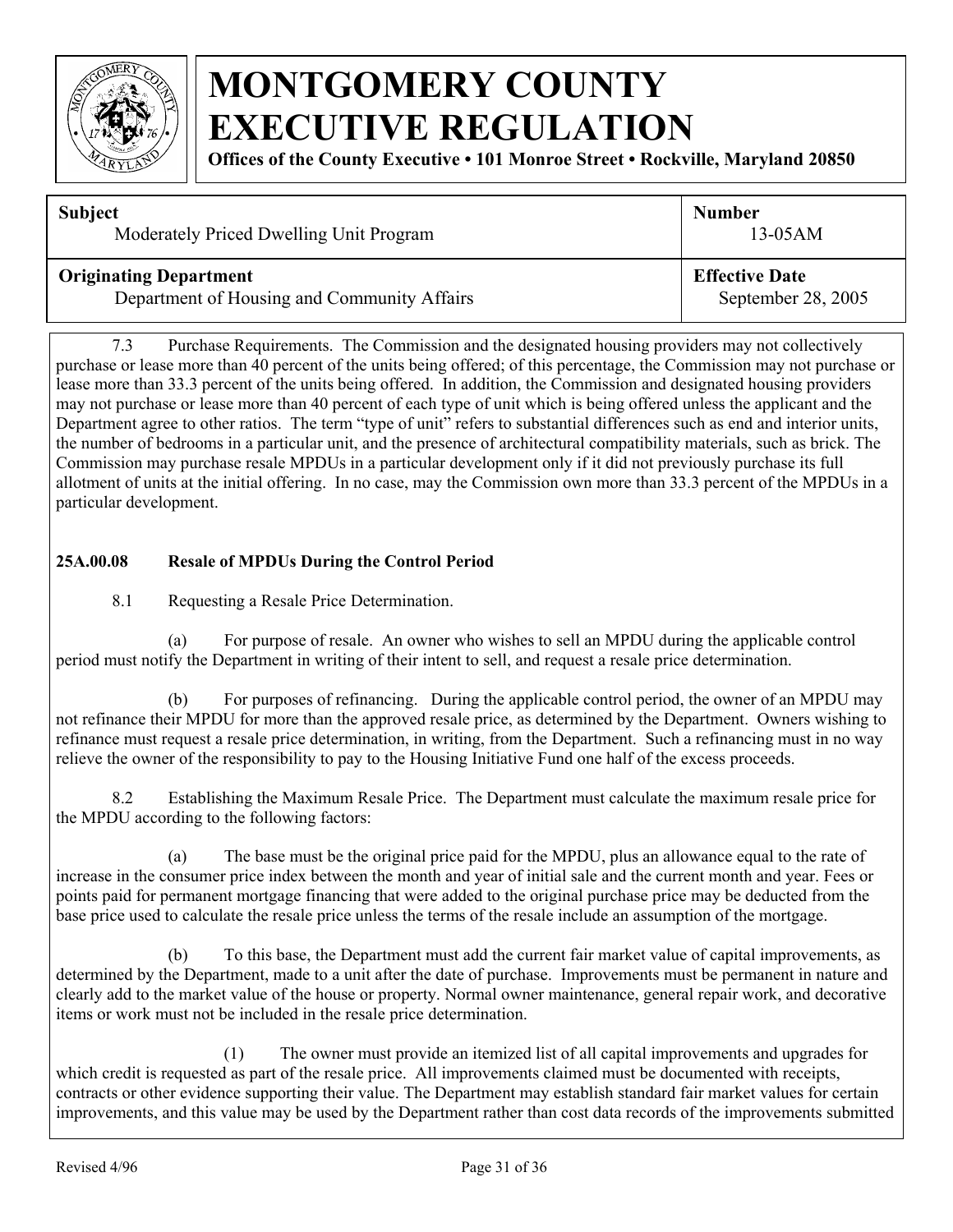

**Offices of the County Executive • 101 Monroe Street • Rockville, Maryland 20850**

| <b>Subject</b>                              | <b>Number</b>         |
|---------------------------------------------|-----------------------|
| Moderately Priced Dwelling Unit Program     | $13-05AM$             |
| <b>Originating Department</b>               | <b>Effective Date</b> |
| Department of Housing and Community Affairs | September 28, 2005    |

7.3 Purchase Requirements. The Commission and the designated housing providers may not collectively purchase or lease more than 40 percent of the units being offered; of this percentage, the Commission may not purchase or lease more than 33.3 percent of the units being offered. In addition, the Commission and designated housing providers may not purchase or lease more than 40 percent of each type of unit which is being offered unless the applicant and the Department agree to other ratios. The term "type of unit" refers to substantial differences such as end and interior units, the number of bedrooms in a particular unit, and the presence of architectural compatibility materials, such as brick. The Commission may purchase resale MPDUs in a particular development only if it did not previously purchase its full allotment of units at the initial offering. In no case, may the Commission own more than 33.3 percent of the MPDUs in a particular development.

#### **25A.00.08 Resale of MPDUs During the Control Period**

8.1 Requesting a Resale Price Determination.

(a) For purpose of resale. An owner who wishes to sell an MPDU during the applicable control period must notify the Department in writing of their intent to sell, and request a resale price determination.

(b) For purposes of refinancing. During the applicable control period, the owner of an MPDU may not refinance their MPDU for more than the approved resale price, as determined by the Department. Owners wishing to refinance must request a resale price determination, in writing, from the Department. Such a refinancing must in no way relieve the owner of the responsibility to pay to the Housing Initiative Fund one half of the excess proceeds.

8.2 Establishing the Maximum Resale Price. The Department must calculate the maximum resale price for the MPDU according to the following factors:

 (a) The base must be the original price paid for the MPDU, plus an allowance equal to the rate of increase in the consumer price index between the month and year of initial sale and the current month and year. Fees or points paid for permanent mortgage financing that were added to the original purchase price may be deducted from the base price used to calculate the resale price unless the terms of the resale include an assumption of the mortgage.

(b) To this base, the Department must add the current fair market value of capital improvements, as determined by the Department, made to a unit after the date of purchase. Improvements must be permanent in nature and clearly add to the market value of the house or property. Normal owner maintenance, general repair work, and decorative items or work must not be included in the resale price determination.

(1) The owner must provide an itemized list of all capital improvements and upgrades for which credit is requested as part of the resale price. All improvements claimed must be documented with receipts, contracts or other evidence supporting their value. The Department may establish standard fair market values for certain improvements, and this value may be used by the Department rather than cost data records of the improvements submitted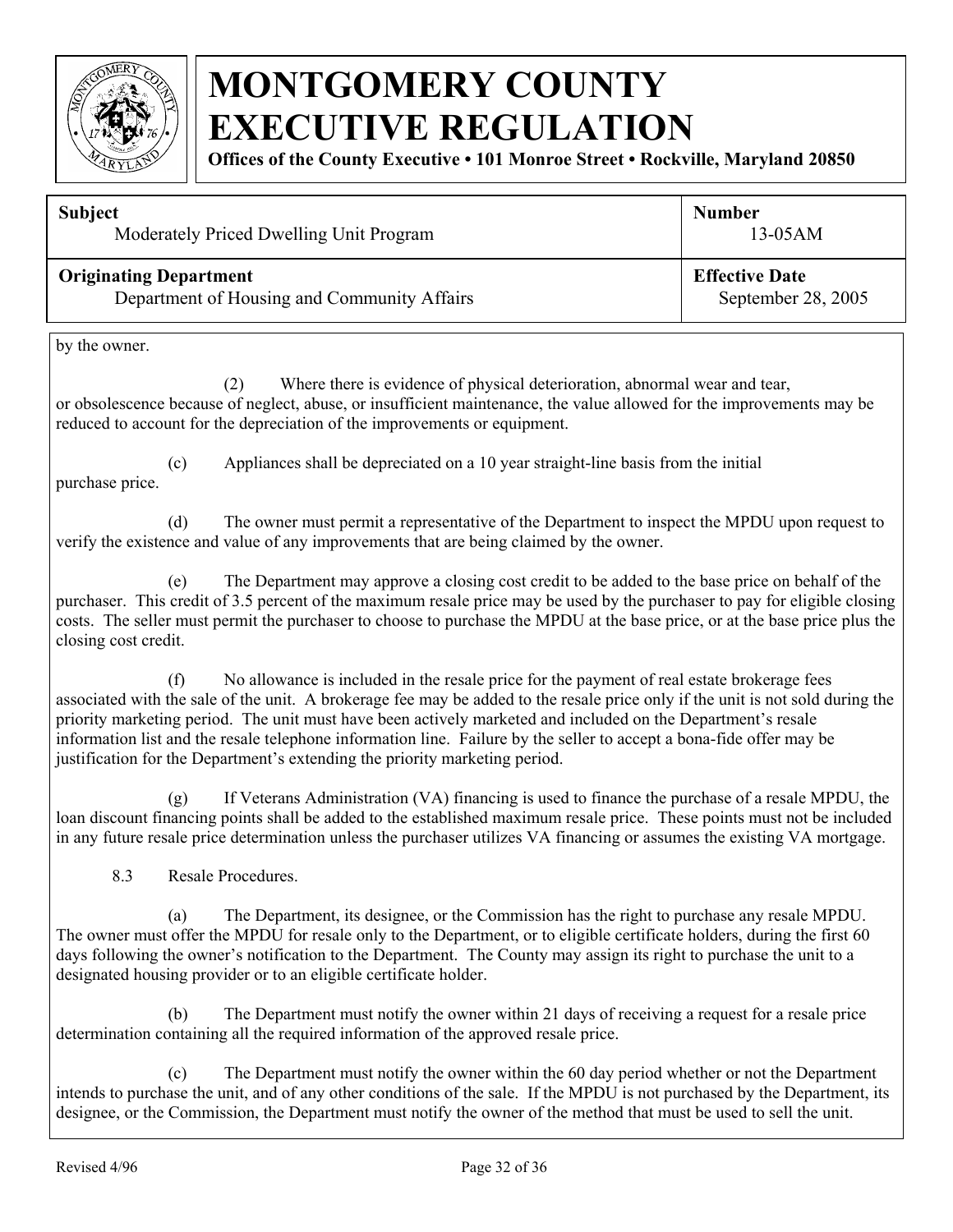

**Offices of the County Executive • 101 Monroe Street • Rockville, Maryland 20850**

| <b>Subject</b>                              | <b>Number</b>         |  |
|---------------------------------------------|-----------------------|--|
| Moderately Priced Dwelling Unit Program     | $13-05AM$             |  |
| <b>Originating Department</b>               | <b>Effective Date</b> |  |
| Department of Housing and Community Affairs | September 28, 2005    |  |
| by the owner.                               |                       |  |

(2) Where there is evidence of physical deterioration, abnormal wear and tear, or obsolescence because of neglect, abuse, or insufficient maintenance, the value allowed for the improvements may be reduced to account for the depreciation of the improvements or equipment.

(c) Appliances shall be depreciated on a 10 year straight-line basis from the initial

purchase price.

(d) The owner must permit a representative of the Department to inspect the MPDU upon request to verify the existence and value of any improvements that are being claimed by the owner.

(e) The Department may approve a closing cost credit to be added to the base price on behalf of the purchaser. This credit of 3.5 percent of the maximum resale price may be used by the purchaser to pay for eligible closing costs. The seller must permit the purchaser to choose to purchase the MPDU at the base price, or at the base price plus the closing cost credit.

(f) No allowance is included in the resale price for the payment of real estate brokerage fees associated with the sale of the unit. A brokerage fee may be added to the resale price only if the unit is not sold during the priority marketing period. The unit must have been actively marketed and included on the Department's resale information list and the resale telephone information line. Failure by the seller to accept a bona-fide offer may be justification for the Department's extending the priority marketing period.

(g) If Veterans Administration (VA) financing is used to finance the purchase of a resale MPDU, the loan discount financing points shall be added to the established maximum resale price. These points must not be included in any future resale price determination unless the purchaser utilizes VA financing or assumes the existing VA mortgage.

8.3 Resale Procedures.

(a) The Department, its designee, or the Commission has the right to purchase any resale MPDU. The owner must offer the MPDU for resale only to the Department, or to eligible certificate holders, during the first 60 days following the owner's notification to the Department. The County may assign its right to purchase the unit to a designated housing provider or to an eligible certificate holder.

 (b) The Department must notify the owner within 21 days of receiving a request for a resale price determination containing all the required information of the approved resale price.

 (c) The Department must notify the owner within the 60 day period whether or not the Department intends to purchase the unit, and of any other conditions of the sale. If the MPDU is not purchased by the Department, its designee, or the Commission, the Department must notify the owner of the method that must be used to sell the unit.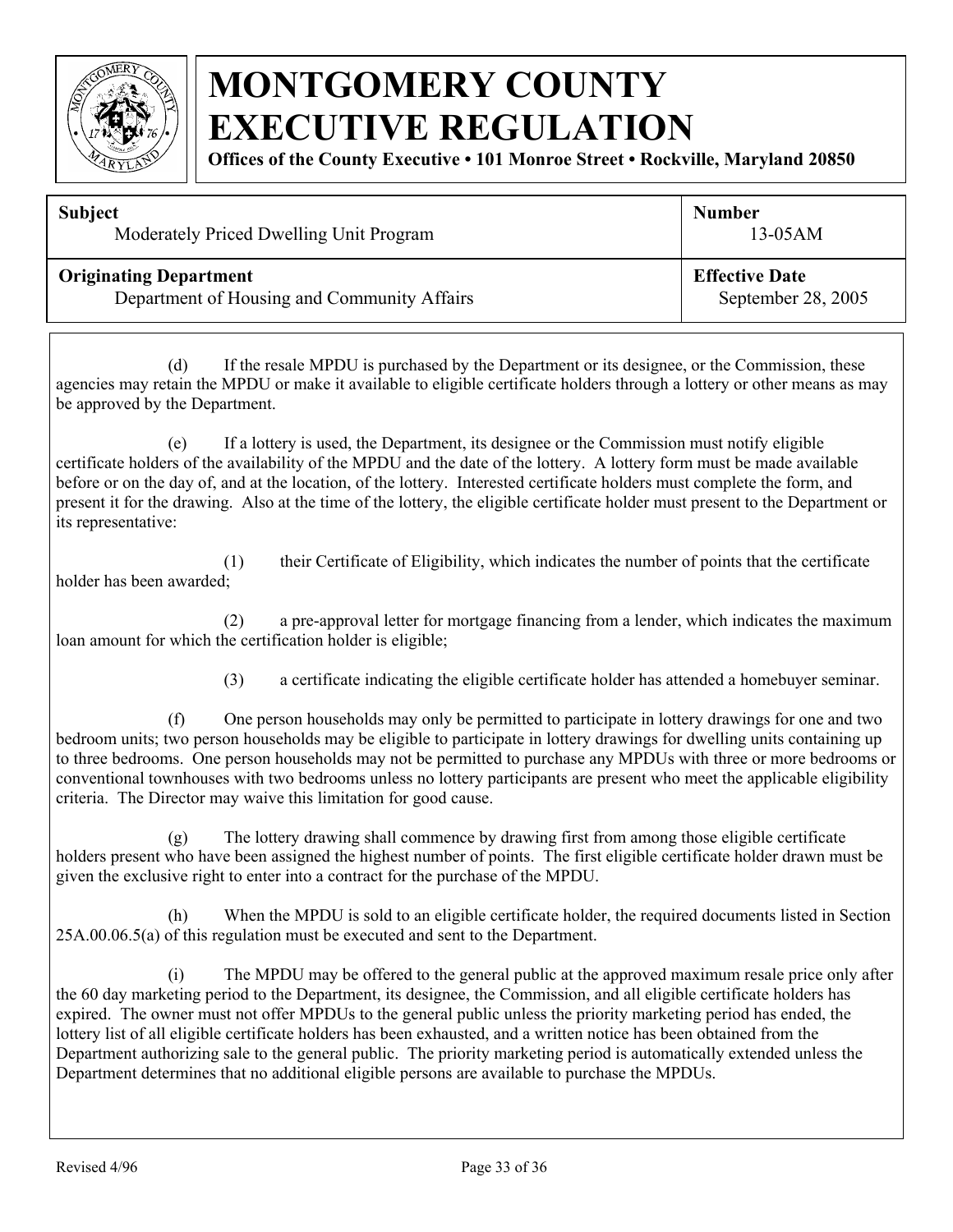

**Offices of the County Executive • 101 Monroe Street • Rockville, Maryland 20850**

| <b>Subject</b>                              | <b>Number</b>         |  |
|---------------------------------------------|-----------------------|--|
| Moderately Priced Dwelling Unit Program     | $13-05AM$             |  |
| <b>Originating Department</b>               | <b>Effective Date</b> |  |
| Department of Housing and Community Affairs | September 28, 2005    |  |

 (d) If the resale MPDU is purchased by the Department or its designee, or the Commission, these agencies may retain the MPDU or make it available to eligible certificate holders through a lottery or other means as may be approved by the Department.

 (e) If a lottery is used, the Department, its designee or the Commission must notify eligible certificate holders of the availability of the MPDU and the date of the lottery. A lottery form must be made available before or on the day of, and at the location, of the lottery. Interested certificate holders must complete the form, and present it for the drawing. Also at the time of the lottery, the eligible certificate holder must present to the Department or its representative:

 (1) their Certificate of Eligibility, which indicates the number of points that the certificate holder has been awarded;

 (2) a pre-approval letter for mortgage financing from a lender, which indicates the maximum loan amount for which the certification holder is eligible;

(3) a certificate indicating the eligible certificate holder has attended a homebuyer seminar.

 (f) One person households may only be permitted to participate in lottery drawings for one and two bedroom units; two person households may be eligible to participate in lottery drawings for dwelling units containing up to three bedrooms. One person households may not be permitted to purchase any MPDUs with three or more bedrooms or conventional townhouses with two bedrooms unless no lottery participants are present who meet the applicable eligibility criteria. The Director may waive this limitation for good cause.

 (g) The lottery drawing shall commence by drawing first from among those eligible certificate holders present who have been assigned the highest number of points. The first eligible certificate holder drawn must be given the exclusive right to enter into a contract for the purchase of the MPDU.

 (h) When the MPDU is sold to an eligible certificate holder, the required documents listed in Section 25A.00.06.5(a) of this regulation must be executed and sent to the Department.

(i) The MPDU may be offered to the general public at the approved maximum resale price only after the 60 day marketing period to the Department, its designee, the Commission, and all eligible certificate holders has expired. The owner must not offer MPDUs to the general public unless the priority marketing period has ended, the lottery list of all eligible certificate holders has been exhausted, and a written notice has been obtained from the Department authorizing sale to the general public. The priority marketing period is automatically extended unless the Department determines that no additional eligible persons are available to purchase the MPDUs.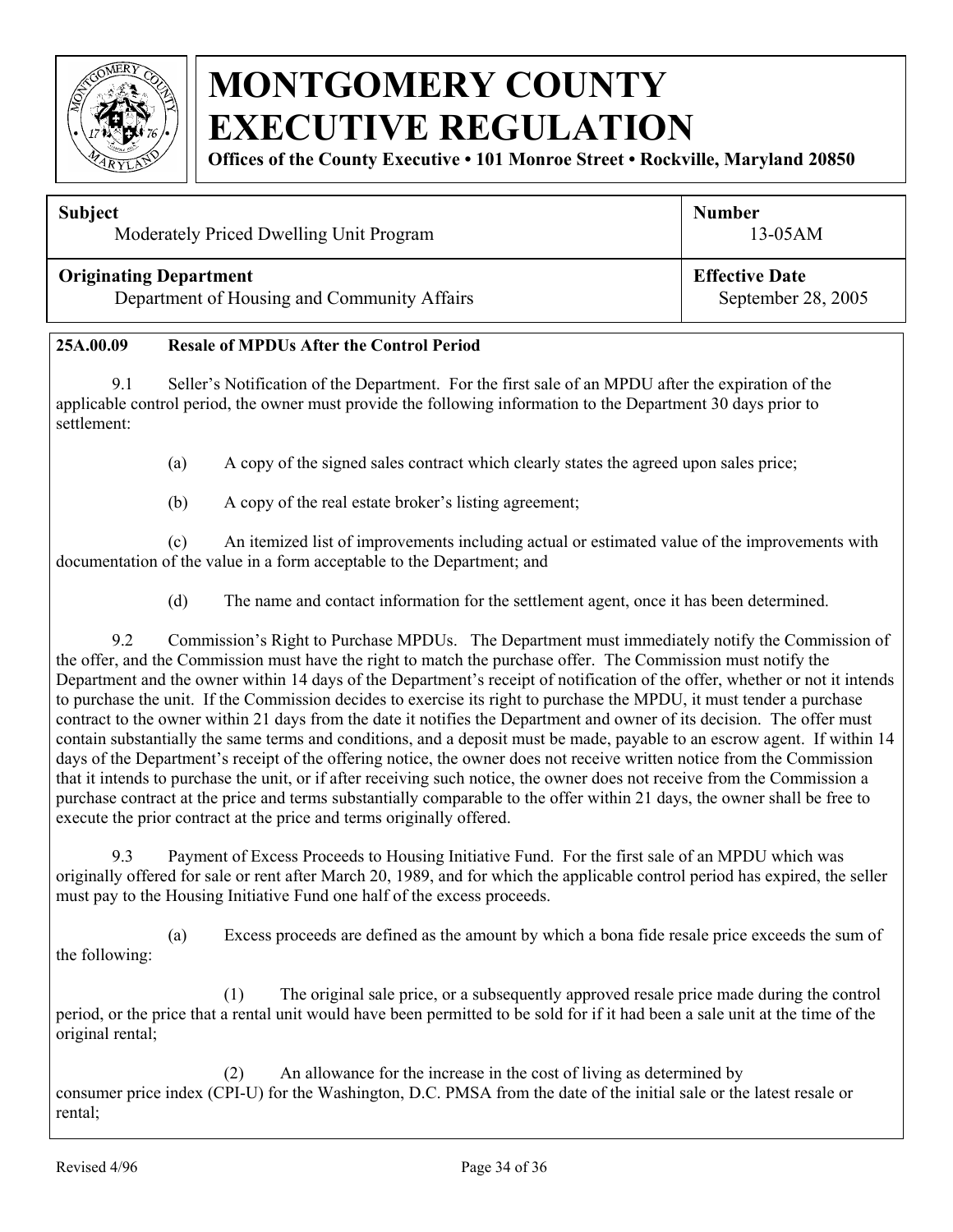

**Offices of the County Executive • 101 Monroe Street • Rockville, Maryland 20850**

#### **Subject**

Moderately Priced Dwelling Unit Program

#### **Originating Department**

Department of Housing and Community Affairs

**Effective Date** September 28, 2005

13-05AM

**Number** 

#### **25A.00.09 Resale of MPDUs After the Control Period**

9.1 Seller's Notification of the Department. For the first sale of an MPDU after the expiration of the applicable control period, the owner must provide the following information to the Department 30 days prior to settlement:

(a) A copy of the signed sales contract which clearly states the agreed upon sales price;

(b) A copy of the real estate broker's listing agreement;

(c) An itemized list of improvements including actual or estimated value of the improvements with documentation of the value in a form acceptable to the Department; and

(d) The name and contact information for the settlement agent, once it has been determined.

9.2 Commission's Right to Purchase MPDUs. The Department must immediately notify the Commission of the offer, and the Commission must have the right to match the purchase offer. The Commission must notify the Department and the owner within 14 days of the Department's receipt of notification of the offer, whether or not it intends to purchase the unit. If the Commission decides to exercise its right to purchase the MPDU, it must tender a purchase contract to the owner within 21 days from the date it notifies the Department and owner of its decision. The offer must contain substantially the same terms and conditions, and a deposit must be made, payable to an escrow agent. If within 14 days of the Department's receipt of the offering notice, the owner does not receive written notice from the Commission that it intends to purchase the unit, or if after receiving such notice, the owner does not receive from the Commission a purchase contract at the price and terms substantially comparable to the offer within 21 days, the owner shall be free to execute the prior contract at the price and terms originally offered.

9.3 Payment of Excess Proceeds to Housing Initiative Fund. For the first sale of an MPDU which was originally offered for sale or rent after March 20, 1989, and for which the applicable control period has expired, the seller must pay to the Housing Initiative Fund one half of the excess proceeds.

(a) Excess proceeds are defined as the amount by which a bona fide resale price exceeds the sum of the following:

(1) The original sale price, or a subsequently approved resale price made during the control period, or the price that a rental unit would have been permitted to be sold for if it had been a sale unit at the time of the original rental;

(2) An allowance for the increase in the cost of living as determined by consumer price index (CPI-U) for the Washington, D.C. PMSA from the date of the initial sale or the latest resale or rental;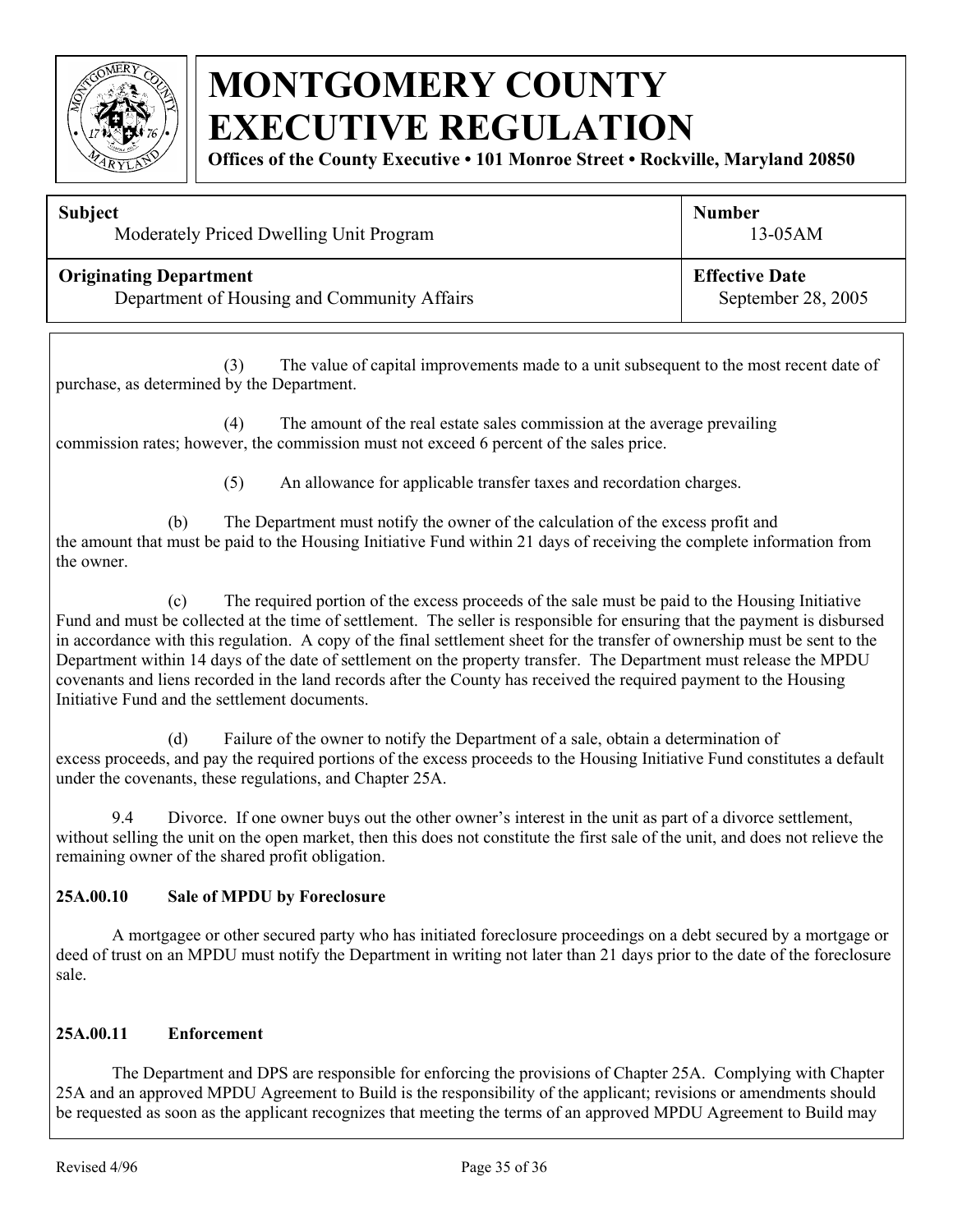

**Offices of the County Executive • 101 Monroe Street • Rockville, Maryland 20850**

| <b>Subject</b>                              | <b>Number</b>         |
|---------------------------------------------|-----------------------|
| Moderately Priced Dwelling Unit Program     | $13-05AM$             |
| <b>Originating Department</b>               | <b>Effective Date</b> |
| Department of Housing and Community Affairs | September 28, 2005    |

(3) The value of capital improvements made to a unit subsequent to the most recent date of purchase, as determined by the Department.

(4) The amount of the real estate sales commission at the average prevailing commission rates; however, the commission must not exceed 6 percent of the sales price.

(5) An allowance for applicable transfer taxes and recordation charges.

(b) The Department must notify the owner of the calculation of the excess profit and the amount that must be paid to the Housing Initiative Fund within 21 days of receiving the complete information from the owner.

(c) The required portion of the excess proceeds of the sale must be paid to the Housing Initiative Fund and must be collected at the time of settlement. The seller is responsible for ensuring that the payment is disbursed in accordance with this regulation. A copy of the final settlement sheet for the transfer of ownership must be sent to the Department within 14 days of the date of settlement on the property transfer. The Department must release the MPDU covenants and liens recorded in the land records after the County has received the required payment to the Housing Initiative Fund and the settlement documents.

(d) Failure of the owner to notify the Department of a sale, obtain a determination of excess proceeds, and pay the required portions of the excess proceeds to the Housing Initiative Fund constitutes a default under the covenants, these regulations, and Chapter 25A.

9.4 Divorce. If one owner buys out the other owner's interest in the unit as part of a divorce settlement, without selling the unit on the open market, then this does not constitute the first sale of the unit, and does not relieve the remaining owner of the shared profit obligation.

#### **25A.00.10 Sale of MPDU by Foreclosure**

A mortgagee or other secured party who has initiated foreclosure proceedings on a debt secured by a mortgage or deed of trust on an MPDU must notify the Department in writing not later than 21 days prior to the date of the foreclosure sale.

#### **25A.00.11 Enforcement**

The Department and DPS are responsible for enforcing the provisions of Chapter 25A. Complying with Chapter 25A and an approved MPDU Agreement to Build is the responsibility of the applicant; revisions or amendments should be requested as soon as the applicant recognizes that meeting the terms of an approved MPDU Agreement to Build may